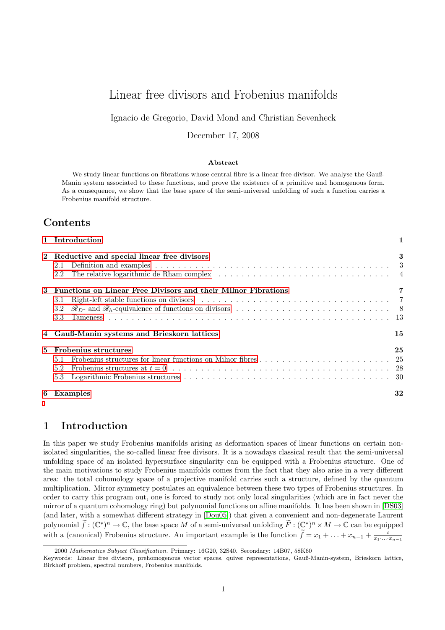# Linear free divisors and Frobenius manifolds

Ignacio de Gregorio, David Mond and Christian Sevenheck

December 17, 2008

#### Abstract

We study linear functions on fibrations whose central fibre is a linear free divisor. We analyse the Gauß-Manin system associated to these functions, and prove the existence of a primitive and homogenous form. As a consequence, we show that the base space of the semi-universal unfolding of such a function carries a Frobenius manifold structure.

# Contents

|   | 1 Introduction                                                                                                                                                                                                                        |    |  |  |  |  |
|---|---------------------------------------------------------------------------------------------------------------------------------------------------------------------------------------------------------------------------------------|----|--|--|--|--|
|   | 2 Reductive and special linear free divisors                                                                                                                                                                                          | 3  |  |  |  |  |
|   |                                                                                                                                                                                                                                       |    |  |  |  |  |
|   | 2.2                                                                                                                                                                                                                                   |    |  |  |  |  |
| 3 | Functions on Linear Free Divisors and their Milnor Fibrations                                                                                                                                                                         |    |  |  |  |  |
|   | Right-left stable functions on divisors (a) and a contract of the state of the stable functions on divisors (b) and a contract of the state of the state of the state of the state of the state of the state of the state of t<br>3.1 |    |  |  |  |  |
|   | 3.2                                                                                                                                                                                                                                   |    |  |  |  |  |
|   | 3.3                                                                                                                                                                                                                                   |    |  |  |  |  |
|   | 4 Gauß-Manin systems and Brieskorn lattices                                                                                                                                                                                           | 15 |  |  |  |  |
| 5 | Frobenius structures                                                                                                                                                                                                                  | 25 |  |  |  |  |
|   | 5.1                                                                                                                                                                                                                                   |    |  |  |  |  |
|   | 5.2                                                                                                                                                                                                                                   |    |  |  |  |  |
|   | 5.3                                                                                                                                                                                                                                   |    |  |  |  |  |
| 6 | Examples                                                                                                                                                                                                                              | 32 |  |  |  |  |

# <span id="page-0-0"></span>1 Introduction

In this paper we study Frobenius manifolds arising as deformation spaces of linear functions on certain nonisolated singularities, the so-called linear free divisors. It is a nowadays classical result that the semi-universal unfolding space of an isolated hypersurface singularity can be equipped with a Frobenius structure. One of the main motivations to study Frobenius manifolds comes from the fact that they also arise in a very different area: the total cohomology space of a projective manifold carries such a structure, defined by the quantum multiplication. Mirror symmetry postulates an equivalence between these two types of Frobenius structures. In order to carry this program out, one is forced to study not only local singularities (which are in fact never the mirror of a quantum cohomology ring) but polynomial functions on affine manifolds. It has been shown in [\[DS03\]](#page-35-0) (and later, with a somewhat different strategy in [\[Dou05\]](#page-34-0)) that given a convenient and non-degenerate Laurent polynomial  $\widetilde{f}: (\mathbb{C}^*)^n \to \mathbb{C}$ , the base space M of a semi-universal unfolding  $\widetilde{F}: (\mathbb{C}^*)^n \times M \to \mathbb{C}$  can be equipped with a (canonical) Frobenius structure. An important example is the function  $\tilde{f} = x_1 + \ldots + x_{n-1} + \frac{t}{x_1 \cdots x_{n-1}}$ 

<sup>2000</sup> Mathematics Subject Classification. Primary: 16G20, 32S40. Secondary: 14B07, 58K60

Keywords: Linear free divisors, prehomogenous vector spaces, quiver representations, Gauß-Manin-system, Brieskorn lattice, Birkhoff problem, spectral numbers, Frobenius manifolds.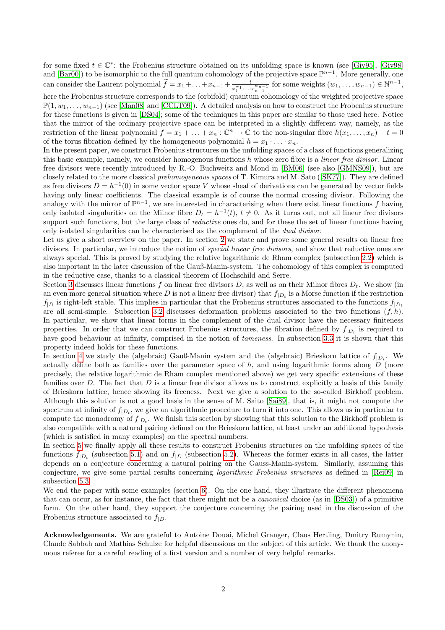for some fixed  $t \in \mathbb{C}^*$ : the Frobenius structure obtained on its unfolding space is known (see [\[Giv95\]](#page-35-1), [\[Giv98\]](#page-35-2) and  $[\text{Bar}00]$ ) to be isomorphic to the full quantum cohomology of the projective space  $\mathbb{P}^{n-1}$ . More generally, one can consider the Laurent polynomial  $\widetilde{f} = x_1 + \ldots + x_{n-1} + \frac{t}{x_1^{w_1} \ldots x_n^{w_n}}$  $\frac{t}{x_1^{w_1} \cdot ... \cdot x_{n-1}^{w_{n-1}}}$  for some weights  $(w_1, ..., w_{n-1}) \in \mathbb{N}^{n-1}$ ,

here the Frobenius structure corresponds to the (orbifold) quantum cohomology of the weighted projective space  $\mathbb{P}(1, w_1, \ldots, w_{n-1})$  (see [\[Man08\]](#page-35-3) and [\[CCLT09\]](#page-34-2)). A detailed analysis on how to construct the Frobenius structure for these functions is given in [\[DS04\]](#page-35-4); some of the techniques in this paper are similar to those used here. Notice that the mirror of the ordinary projective space can be interpreted in a slightly different way, namely, as the restriction of the linear polynomial  $f = x_1 + \ldots + x_n : \mathbb{C}^n \to \mathbb{C}$  to the non-singular fibre  $h(x_1, \ldots, x_n) - t = 0$ of the torus fibration defined by the homogeneous polynomial  $h = x_1 \cdot \ldots \cdot x_n$ .

In the present paper, we construct Frobenius structures on the unfolding spaces of a class of functions generalizing this basic example, namely, we consider homogenous functions  $h$  whose zero fibre is a *linear free divisor*. Linear free divisors were recently introduced by R.-O. Buchweitz and Mond in [\[BM06\]](#page-34-3) (see also [\[GMNS09\]](#page-35-5)), but are closelyrelated to the more classical *prehomogeneous spaces* of T. Kimura and M. Sato ([\[SK77\]](#page-36-0)). They are defined as free divisors  $D = h^{-1}(0)$  in some vector space V whose sheaf of derivations can be generated by vector fields having only linear coefficients. The classical example is of course the normal crossing divisor. Following the analogy with the mirror of  $\mathbb{P}^{n-1}$ , we are interested in characterising when there exist linear functions f having only isolated singularities on the Milnor fibre  $D_t = h^{-1}(t)$ ,  $t \neq 0$ . As it turns out, not all linear free divisors support such functions, but the large class of *reductive* ones do, and for these the set of linear functions having only isolated singularities can be characterised as the complement of the dual divisor.

Let us give a short overview on the paper. In section [2](#page-2-0) we state and prove some general results on linear free divisors. In particular, we introduce the notion of *special linear free divisors*, and show that reductive ones are always special. This is proved by studying the relative logarithmic de Rham complex (subsection [2.2\)](#page-3-0) which is also important in the later discussion of the Gauß-Manin-system. The cohomology of this complex is computed in the reductive case, thanks to a classical theorem of Hochschild and Serre.

Section [3](#page-6-0) discusses linear functions f on linear free divisors D, as well as on their Milnor fibres  $D_t$ . We show (in an even more general situation where D is not a linear free divisor) that  $f_{|D_t}$  is a Morse function if the restriction  $f|_D$  is right-left stable. This implies in particular that the Frobenius structures associated to the functions  $f|_{D_t}$ are all semi-simple. Subsection [3.2](#page-7-0) discusses deformation problems associated to the two functions  $(f, h)$ . In particular, we show that linear forms in the complement of the dual divisor have the necessary finiteness properties. In order that we can construct Frobenius structures, the fibration defined by  $f_{|D_t}$  is required to have good behaviour at infinity, comprised in the notion of *tameness*. In subsection [3.3](#page-12-0) it is shown that this property indeed holds for these functions.

In section [4](#page-14-0) we study the (algebraic) Gauß-Manin system and the (algebraic) Brieskorn lattice of  $f_{|D_t}$ . We actually define both as families over the parameter space of h, and using logarithmic forms along  $D$  (more precisely, the relative logarithmic de Rham complex mentioned above) we get very specific extensions of these families over  $D$ . The fact that  $D$  is a linear free divisor allows us to construct explicitly a basis of this family of Brieskorn lattice, hence showing its freeness. Next we give a solution to the so-called Birkhoff problem. Although this solution is not a good basis in the sense of M. Saito [\[Sai89\]](#page-36-1), that is, it might not compute the spectrum at infinity of  $f_{|D_t}$ , we give an algorithmic procedure to turn it into one. This allows us in particular to compute the monodromy of  $f_{|D_t}$ . We finish this section by showing that this solution to the Birkhoff problem is also compatible with a natural pairing defined on the Brieskorn lattice, at least under an additional hypothesis (which is satisfied in many examples) on the spectral numbers.

In section [5](#page-24-0) we finally apply all these results to construct Frobenius structures on the unfolding spaces of the functions  $f_{|D_t}$  (subsection [5.1\)](#page-24-1) and on  $f_{|D}$  (subsection [5.2\)](#page-27-0). Whereas the former exists in all cases, the latter depends on a conjecture concerning a natural pairing on the Gauss-Manin-system. Similarly, assuming this conjecture, we give some partial results concerning logarithmic Frobenius structures as defined in [\[Rei09\]](#page-35-6) in subsection [5.3.](#page-29-0)

We end the paper with some examples (section [6\)](#page-31-0). On the one hand, they illustrate the different phenomena that can occur, as for instance, the fact that there might not be a canonical choice (as in [\[DS03\]](#page-35-0)) of a primitive form. On the other hand, they support the conjecture concerning the pairing used in the discussion of the Frobenius structure associated to  $f_{|D}$ .

Acknowledgements. We are grateful to Antoine Douai, Michel Granger, Claus Hertling, Dmitry Rumynin, Claude Sabbah and Mathias Schulze for helpful discussions on the subject of this article. We thank the anonymous referee for a careful reading of a first version and a number of very helpful remarks.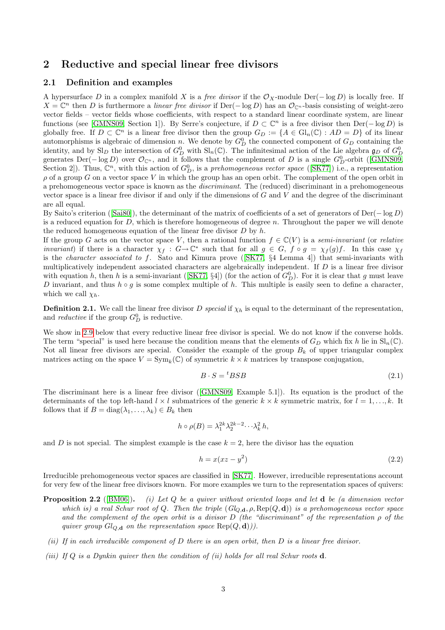# <span id="page-2-0"></span>2 Reductive and special linear free divisors

#### <span id="page-2-1"></span>2.1 Definition and examples

A hypersurface D in a complex manifold X is a free divisor if the  $\mathcal{O}_X$ -module Der( $-\log D$ ) is locally free. If  $X = \mathbb{C}^n$  then D is furthermore a linear free divisor if Der(-log D) has an  $\mathcal{O}_{\mathbb{C}^n}$ -basis consisting of weight-zero vector fields – vector fields whose coefficients, with respect to a standard linear coordinate system, are linear functions (see [\[GMNS09,](#page-35-5) Section 1]). By Serre's conjecture, if  $D \subset \mathbb{C}^n$  is a free divisor then  $\text{Der}(-\log D)$  is globally free. If  $D \subset \mathbb{C}^n$  is a linear free divisor then the group  $G_D := \{A \in Gl_n(\mathbb{C}) : AD = D\}$  of its linear automorphisms is algebraic of dimension n. We denote by  $G_D^0$  the connected component of  $G_D$  containing the identity, and by  $\text{Sl}_D$  the intersection of  $G_D^0$  with  $\text{Sl}_n(\mathbb{C})$ . The infinitesimal action of the Lie algebra  $\mathfrak{g}_D$  of  $G_D^0$ generatesDer( $-\log D$ ) over  $\mathcal{O}_{\mathbb{C}^n}$ , and it follows that the complement of D is a single  $G_D^0$ -orbit ([\[GMNS09,](#page-35-5) Section 2]). Thus,  $\mathbb{C}^n$ , with this action of  $G_D^0$ , is a prehomogeneous vector space ([\[SK77\]](#page-36-0)) i.e., a representation  $\rho$  of a group G on a vector space V in which the group has an open orbit. The complement of the open orbit in a prehomogeneous vector space is known as the discriminant. The (reduced) discriminant in a prehomogeneous vector space is a linear free divisor if and only if the dimensions of  $G$  and  $V$  and the degree of the discriminant are all equal.

By Saito's criterion([\[Sai80\]](#page-36-2)), the determinant of the matrix of coefficients of a set of generators of Der(− log D) is a reduced equation for  $D$ , which is therefore homogeneous of degree n. Throughout the paper we will denote the reduced homogeneous equation of the linear free divisor  $D$  by  $h$ .

If the group G acts on the vector space V, then a rational function  $f \in \mathbb{C}(V)$  is a semi-invariant (or relative *invariant*) if there is a character  $\chi_f : G \to \mathbb{C}^*$  such that for all  $g \in G$ ,  $f \circ g = \chi_f(g)f$ . In this case  $\chi_f$ isthe *character associated to f.* Sato and Kimura prove ( $[SK77, §4$  $[SK77, §4$  Lemma 4) that semi-invariants with multiplicatively independent associated characters are algebraically independent. If  $D$  is a linear free divisor withequation h, then h is a semi-invariant ([\[SK77,](#page-36-0) §4]) (for the action of  $G_D^0$ ). For it is clear that g must leave D invariant, and thus  $h \circ q$  is some complex multiple of h. This multiple is easily seen to define a character, which we call  $\chi_h$ .

<span id="page-2-4"></span>**Definition 2.1.** We call the linear free divisor D special if  $\chi_h$  is equal to the determinant of the representation, and *reductive* if the group  $G_D^0$  is reductive.

We show in [2.9](#page-6-2) below that every reductive linear free divisor is special. We do not know if the converse holds. The term "special" is used here because the condition means that the elements of  $G_D$  which fix h lie in  $\text{Sl}_n(\mathbb{C})$ . Not all linear free divisors are special. Consider the example of the group  $B_k$  of upper triangular complex matrices acting on the space  $V = \text{Sym}_k(\mathbb{C})$  of symmetric  $k \times k$  matrices by transpose conjugation,

$$
B \cdot S = {}^{t}BSB \tag{2.1}
$$

The discriminant here is a linear free divisor([\[GMNS09,](#page-35-5) Example 5.1]). Its equation is the product of the determinants of the top left-hand  $l \times l$  submatrices of the generic  $k \times k$  symmetric matrix, for  $l = 1, \ldots, k$ . It follows that if  $B = diag(\lambda_1, ..., \lambda_k) \in B_k$  then

$$
h \circ \rho(B) = \lambda_1^{2k} \lambda_2^{2k-2} \cdots \lambda_k^2 h,
$$

and D is not special. The simplest example is the case  $k = 2$ , here the divisor has the equation

<span id="page-2-3"></span>
$$
h = x(xz - y^2) \tag{2.2}
$$

Irreducible prehomogeneous vector spaces are classified in [\[SK77\]](#page-36-0). However, irreducible representations account for very few of the linear free divisors known. For more examples we turn to the representation spaces of quivers:

- <span id="page-2-2"></span>**Proposition 2.2** ([\[BM06\]](#page-34-3)). (i) Let  $Q$  be a quiver without oriented loops and let  $d$  be (a dimension vector which is) a real Schur root of Q. Then the triple  $(Gl_{Q,\mathbf{d}}, \rho, \text{Rep}(Q, \mathbf{d}))$  is a prehomogeneous vector space and the complement of the open orbit is a divisor  $D$  (the "discriminant" of the representation  $\rho$  of the quiver group  $Gl_{Q,\mathbf{d}}$  on the representation space  $Rep(Q, \mathbf{d})).$
- (ii) If in each irreducible component of D there is an open orbit, then D is a linear free divisor.
- (iii) If Q is a Dynkin quiver then the condition of (ii) holds for all real Schur roots  $\mathbf d$ .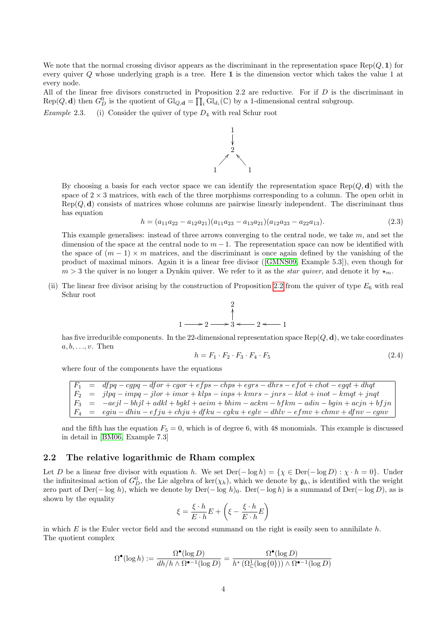We note that the normal crossing divisor appears as the discriminant in the representation space  $\text{Rep}(Q, 1)$  for every quiver Q whose underlying graph is a tree. Here 1 is the dimension vector which takes the value 1 at every node.

All of the linear free divisors constructed in Proposition 2.2 are reductive. For if  $D$  is the discriminant in  $Rep(Q, d)$  then  $G_D^0$  is the quotient of  $Gl_{Q, d} = \prod_i Gl_{d_i}(\mathbb{C})$  by a 1-dimensional central subgroup.

1

<span id="page-3-1"></span>*Example* 2.3. (i) Consider the quiver of type  $D_4$  with real Schur root

By choosing a basis for each vector space we can identify the representation space Rep( $Q, d$ ) with the space of  $2 \times 3$  matrices, with each of the three morphisms corresponding to a column. The open orbit in  $Rep(Q, d)$  consists of matrices whose columns are pairwise linearly independent. The discriminant thus has equation

$$
h = (a_{11}a_{22} - a_{12}a_{21})(a_{11}a_{23} - a_{13}a_{21})(a_{12}a_{23} - a_{22}a_{13}).
$$
\n(2.3)

This example generalises: instead of three arrows converging to the central node, we take  $m$ , and set the dimension of the space at the central node to  $m-1$ . The representation space can now be identified with the space of  $(m-1) \times m$  matrices, and the discriminant is once again defined by the vanishing of the product of maximal minors. Again it is a linear free divisor([\[GMNS09,](#page-35-5) Example 5.3]), even though for  $m > 3$  the quiver is no longer a Dynkin quiver. We refer to it as the *star quiver*, and denote it by  $\star_m$ .

(ii) The linear free divisor arising by the construction of Proposition [2.2](#page-2-2) from the quiver of type  $E_6$  with real Schur root

$$
\begin{array}{ccc}\n & 2 \\
 & \uparrow \\
1 & \longrightarrow 2 \longrightarrow 3 \longleftarrow 2 \longleftarrow 1\n\end{array}
$$

has five irreducible components. In the 22-dimensional representation space  $\text{Rep}(Q, \mathbf{d})$ , we take coordinates  $a, b, \ldots, v$ . Then

<span id="page-3-2"></span>
$$
h = F_1 \cdot F_2 \cdot F_3 \cdot F_4 \cdot F_5 \tag{2.4}
$$

where four of the components have the equations

 $dfpq-cgpq-dfor+cgor+efps-chps+egrs-dhrs-efot+chot-egqt+dhqt$  $\begin{array}{lll} F_2 & = & jlpq - impq - jlor + imor + klps - inps + kmrs - jnrs - klot + inot - kmqt + jngt \end{array}$  $\begin{array}{rcl} F_3 & = & -aejl-bhjl+adkl+bgkl+aeim+bhim-ackm-bfkm-adin-bgin+acjn+bfjn \end{array}$  $= \hspace{0.2cm} egiu - dhiu - efju + chju + dfku - cgku + eglv - dhlv - efmv + chmv + dfnv - cgnv$ 

and the fifth has the equation  $F_5 = 0$ , which is of degree 6, with 48 monomials. This example is discussed in detail in [\[BM06,](#page-34-3) Example 7.3]

#### <span id="page-3-0"></span>2.2 The relative logarithmic de Rham complex

Let D be a linear free divisor with equation h. We set  $\text{Der}(-\log h) = \{ \chi \in \text{Der}(-\log D) : \chi \cdot h = 0 \}$ . Under the infinitesimal action of  $G_D^0$ , the Lie algebra of ker( $\chi_h$ ), which we denote by  $\mathfrak{g}_h$ , is identified with the weight zero part of Der(− log h), which we denote by Der(− log h)<sub>0</sub>. Der(− log h) is a summand of Der(− log D), as is shown by the equality

$$
\xi = \frac{\xi \cdot h}{E \cdot h} E + \left( \xi - \frac{\xi \cdot h}{E \cdot h} E \right)
$$

in which E is the Euler vector field and the second summand on the right is easily seen to annihilate  $h$ . The quotient complex

$$
\Omega^\bullet(\log h):=\frac{\Omega^\bullet(\log D)}{dh/h \wedge \Omega^{\bullet-1}(\log D)}=\frac{\Omega^\bullet(\log D)}{h^*\left(\Omega^1_\mathbb{C}(\log\{0\})\right)\wedge \Omega^{\bullet-1}(\log D)}
$$

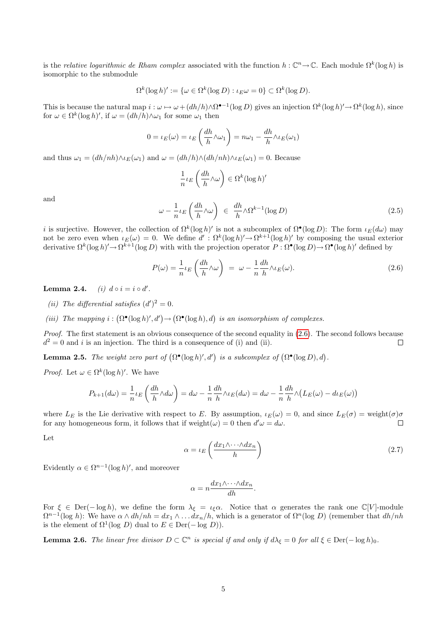is the relative logarithmic de Rham complex associated with the function  $h: \mathbb{C}^n \to \mathbb{C}$ . Each module  $\Omega^k(\log h)$  is isomorphic to the submodule

$$
\Omega^k(\log h)' := \{ \omega \in \Omega^k(\log D) : \iota_E \omega = 0 \} \subset \Omega^k(\log D).
$$

This is because the natural map  $i : \omega \mapsto \omega + (dh/h) \wedge \Omega^{\bullet-1}(\log D)$  gives an injection  $\Omega^k(\log h)' \to \Omega^k(\log h)$ , since for  $\omega \in \Omega^k(\log h)'$ , if  $\omega = (dh/h) \wedge \omega_1$  for some  $\omega_1$  then

$$
0 = \iota_E(\omega) = \iota_E\left(\frac{dh}{h}\wedge\omega_1\right) = n\omega_1 - \frac{dh}{h}\wedge\iota_E(\omega_1)
$$

and thus  $\omega_1 = (dh/nh) \wedge \iota_E(\omega_1)$  and  $\omega = (dh/h) \wedge (dh/nh) \wedge \iota_E(\omega_1) = 0$ . Because

$$
\frac{1}{n} \iota_E \left( \frac{dh}{h} \wedge \omega \right) \in \Omega^k(\log h)'
$$

and

$$
\omega - \frac{1}{n} \iota_E \left( \frac{dh}{h} \wedge \omega \right) \in \frac{dh}{h} \wedge \Omega^{k-1}(\log D) \tag{2.5}
$$

*i* is surjective. However, the collection of  $\Omega^k(\log h)'$  is not a subcomplex of  $\Omega^{\bullet}(\log D)$ : The form  $\iota_E(d\omega)$  may not be zero even when  $\iota_E(\omega) = 0$ . We define  $d' : \Omega^k(\log h)' \to \Omega^{k+1}(\log h)'$  by composing the usual exterior derivative  $\Omega^k(\log h)' \to \Omega^{k+1}(\log D)$  with with the projection operator  $P : \Omega^{\bullet}(\log D) \to \Omega^{\bullet}(\log h)'$  defined by

<span id="page-4-0"></span>
$$
P(\omega) = \frac{1}{n} \iota_E \left( \frac{dh}{h} \wedge \omega \right) = \omega - \frac{1}{n} \frac{dh}{h} \wedge \iota_E(\omega). \tag{2.6}
$$

Lemma 2.4. (i)  $d \circ i = i \circ d'$ .

- (ii) The differential satisfies  $(d')^2 = 0$ .
- (iii) The mapping  $i : (\Omega^{\bullet}(\log h)', d') \to (\Omega^{\bullet}(\log h), d)$  is an isomorphism of complexes.

*Proof.* The first statement is an obvious consequence of the second equality in  $(2.6)$ . The second follows because  $d^2 = 0$  and i is an injection. The third is a consequence of (i) and (ii).  $\Box$ 

**Lemma 2.5.** The weight zero part of  $(\Omega^{\bullet}(\log h)', d')$  is a subcomplex of  $(\Omega^{\bullet}(\log D), d)$ .

*Proof.* Let  $\omega \in \Omega^k(\log h)'$ . We have

$$
P_{k+1}(d\omega) = \frac{1}{n} \iota_E \left( \frac{dh}{h} \wedge d\omega \right) = d\omega - \frac{1}{n} \frac{dh}{h} \wedge \iota_E(d\omega) = d\omega - \frac{1}{n} \frac{dh}{h} \wedge \left( L_E(\omega) - d\iota_E(\omega) \right)
$$

where  $L_E$  is the Lie derivative with respect to E. By assumption,  $\iota_E(\omega) = 0$ , and since  $L_E(\sigma) =$  weight $(\sigma)\sigma$ for any homogeneous form, it follows that if weight $(\omega) = 0$  then  $d'\omega = d\omega$ .  $\Box$ 

Let

$$
\alpha = \iota_E \left( \frac{dx_1 \wedge \dots \wedge dx_n}{h} \right) \tag{2.7}
$$

Evidently  $\alpha \in \Omega^{n-1}(\log h)'$ , and moreover

$$
\alpha = n \frac{dx_1 \wedge \dots \wedge dx_n}{dh}.
$$

For  $\xi \in \text{Der}(-\log h)$ , we define the form  $\lambda_{\xi} = \iota_{\xi} \alpha$ . Notice that  $\alpha$  generates the rank one  $\mathbb{C}[V]$ -module  $\Omega^{n-1}(\log h)$ : We have  $\alpha \wedge dh/nh = dx_1 \wedge \ldots dx_n/h$ , which is a generator of  $\Omega^n(\log D)$  (remember that  $dh/nh$ is the element of  $\Omega^1(\log D)$  dual to  $E \in \text{Der}(-\log D)$ .

<span id="page-4-1"></span>**Lemma 2.6.** The linear free divisor  $D \subset \mathbb{C}^n$  is special if and only if  $d\lambda_{\xi} = 0$  for all  $\xi \in \text{Der}(-\log h)_{0}$ .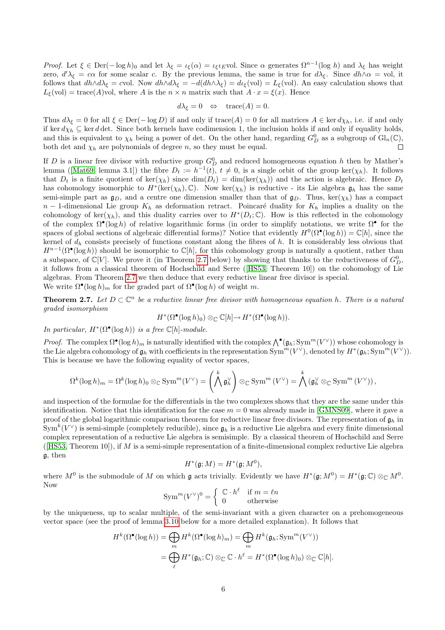Proof. Let  $\xi \in \text{Der}(-\log h)_0$  and let  $\lambda_{\xi} = \iota_{\xi}(\alpha) = \iota_{\xi} \iota_E$ vol. Since  $\alpha$  generates  $\Omega^{n-1}(\log h)$  and  $\lambda_{\xi}$  has weight zero,  $d'\lambda_{\xi} = c\alpha$  for some scalar c. By the previous lemma, the same is true for  $d\lambda_{\xi}$ . Since  $dh\wedge\alpha = vol$ , it follows that  $dh \wedge d\lambda_{\xi} = cv$ ol. Now  $dh \wedge d\lambda_{\xi} = -d(dh \wedge \lambda_{\xi}) = d_{\xi}(vol) = L_{\xi}(vol)$ . An easy calculation shows that  $L_{\xi}(vol) = \text{trace}(A)$ vol, where A is the  $n \times n$  matrix such that  $A \cdot x = \xi(x)$ . Hence

$$
d\lambda_{\xi} = 0 \quad \Leftrightarrow \quad \text{trace}(A) = 0.
$$

Thus  $d\lambda_{\xi} = 0$  for all  $\xi \in \text{Der}(-\log D)$  if and only if  $\text{trace}(A) = 0$  for all matrices  $A \in \text{ker }d\chi_h$ , i.e. if and only if ker  $d\chi_h \subseteq$  ker d det. Since both kernels have codimension 1, the inclusion holds if and only if equality holds, and this is equivalent to  $\chi_h$  being a power of det. On the other hand, regarding  $G_D^0$  as a subgroup of  $\text{Gl}_n(\mathbb{C})$ , both det and  $\chi_h$  are polynomials of degree n, so they must be equal.

If D is a linear free divisor with reductive group  $G_D^0$  and reduced homogeneous equation h then by Mather's lemma([\[Mat69,](#page-35-7) lemma 3.1]) the fibre  $D_t := h^{-1}(t)$ ,  $t \neq 0$ , is a single orbit of the group ker $(\chi_h)$ . It follows that  $D_t$  is a finite quotient of ker( $\chi_h$ ) since  $\dim(D_t) = \dim(\ker(\chi_h))$  and the action is algebraic. Hence  $D_t$ has cohomology isomorphic to  $H^*(\text{ker}(\chi_h), \mathbb{C})$ . Now ker $(\chi_h)$  is reductive - its Lie algebra  $\mathfrak{g}_h$  has the same semi-simple part as  $\mathfrak{g}_D$ , and a centre one dimension smaller than that of  $\mathfrak{g}_D$ . Thus, ker( $\chi_h$ ) has a compact  $n-1$ -dimensional Lie group  $K_h$  as deformation retract. Poincaré duality for  $K_h$  implies a duality on the cohomology of ker $(\chi_h)$ , and this duality carries over to  $H^*(D_t;\mathbb{C})$ . How is this reflected in the cohomology of the complex  $\Omega^{\bullet}(\log h)$  of relative logarithmic forms (in order to simplify notations, we write  $\Omega^{\bullet}$  for the spaces of global sections of algebraic differential forms)? Notice that evidently  $H^0(\Omega^{\bullet}(\log h)) = \mathbb{C}[h]$ , since the kernel of  $d_h$  consists precisely of functions constant along the fibres of  $h$ . It is considerably less obvious that  $H^{n-1}(\Omega^{\bullet}(\log h))$  should be isomorphic to  $\mathbb{C}[h]$ , for this cohomology group is naturally a quotient, rather than a subspace, of  $\mathbb{C}[V]$ . We prove it (in Theorem [2.7](#page-5-0) below) by showing that thanks to the reductiveness of  $G_D^0$ , it follows from a classical theorem of Hochschild and Serre([\[HS53,](#page-35-8) Theorem 10]) on the cohomology of Lie algebras. From Theorem [2.7](#page-5-0) we then deduce that every reductive linear free divisor is special.

We write  $\Omega^{\bullet}(\log h)_{m}$  for the graded part of  $\Omega^{\bullet}(\log h)$  of weight m.

<span id="page-5-0"></span>**Theorem 2.7.** Let  $D \subset \mathbb{C}^n$  be a reductive linear free divisor with homogeneous equation h. There is a natural graded isomorphism

$$
H^*(\Omega^\bullet(\log h)_0) \otimes_{\mathbb{C}} \mathbb{C}[h] \to H^*(\Omega^\bullet(\log h)).
$$

In particular,  $H^*(\Omega^{\bullet}(\log h))$  is a free  $\mathbb{C}[h]$ -module.

*Proof.* The complex  $\Omega^{\bullet}(\log h)_{m}$  is naturally identified with the complex  $\bigwedge^{\bullet}(\mathfrak{g}_{h}; \text{Sym}^{m}(V^{\vee}))$  whose cohomology is the Lie algebra cohomology of  $\mathfrak{g}_h$  with coefficients in the representation  $\text{Sym}^m(V^{\vee})$ , denoted by  $H^*(\mathfrak{g}_h; \text{Sym}^m(V^{\vee}))$ . This is because we have the following equality of vector spaces,

$$
\Omega^k(\log h)_m = \Omega^k(\log h)_0 \otimes_{\mathbb{C}} \operatorname{Sym}^m(V^{\vee}) = \left(\bigwedge^k \mathfrak{g}_h^{\vee}\right) \otimes_{\mathbb{C}} \operatorname{Sym}^m(V^{\vee}) = \bigwedge^k \left(\mathfrak{g}_h^{\vee} \otimes_{\mathbb{C}} \operatorname{Sym}^m(V^{\vee})\right),
$$

and inspection of the formulae for the differentials in the two complexes shows that they are the same under this identification. Notice that this identification for the case  $m = 0$  was already made in [\[GMNS09\]](#page-35-5), where it gave a proof of the global logarithmic comparison theorem for reductive linear free divisors. The representation of  $\mathfrak{g}_h$  in  $\text{Sym}^k(V^{\vee})$  is semi-simple (completely reducible), since  $\mathfrak{g}_h$  is a reductive Lie algebra and every finite dimensional complex representation of a reductive Lie algebra is semisimple. By a classical theorem of Hochschild and Serre ([\[HS53,](#page-35-8) Theorem 10]), if M is a semi-simple representation of a finite-dimensional complex reductive Lie algebra g, then

$$
H^*(\mathfrak{g};M)=H^*(\mathfrak{g};M^0),
$$

where  $M^0$  is the submodule of M on which g acts trivially. Evidently we have  $H^*(\mathfrak{g};M^0) = H^*(\mathfrak{g};\mathbb{C}) \otimes_{\mathbb{C}} M^0$ . Now

$$
\text{Sym}^m (V^\vee)^0 = \left\{ \begin{array}{ll} \mathbb{C} \cdot h^\ell & \text{if } m = \ell n \\ 0 & \text{otherwise} \end{array} \right.
$$

by the uniqueness, up to scalar multiple, of the semi-invariant with a given character on a prehomogeneous vector space (see the proof of lemma [3.10](#page-11-0) below for a more detailed explanation). It follows that

$$
H^k(\Omega^\bullet(\log h)) = \bigoplus_m H^k(\Omega^\bullet(\log h)_m) = \bigoplus_m H^k(\mathfrak{g}_h; \text{Sym}^m(V^\vee))
$$
  
= 
$$
\bigoplus_\ell H^*(\mathfrak{g}_h; \mathbb{C}) \otimes_{\mathbb{C}} \mathbb{C} \cdot h^\ell = H^*(\Omega^\bullet(\log h)_0) \otimes_{\mathbb{C}} \mathbb{C}[h].
$$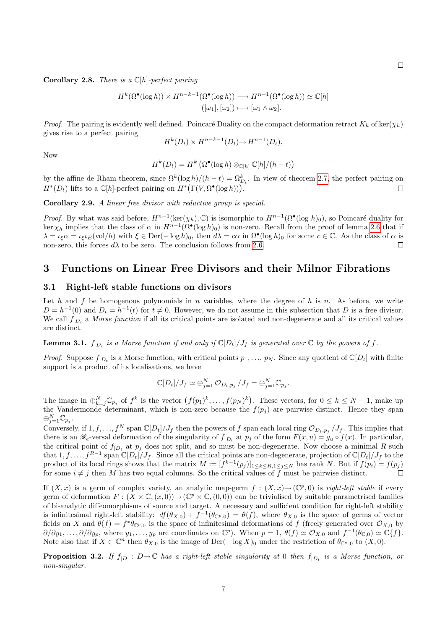**Corollary 2.8.** There is a  $\mathbb{C}[h]$ -perfect pairing

$$
H^k(\Omega^\bullet(\log h)) \times H^{n-k-1}(\Omega^\bullet(\log h)) \longrightarrow H^{n-1}(\Omega^\bullet(\log h)) \simeq \mathbb{C}[h]
$$

$$
([\omega_1], [\omega_2]) \longmapsto [\omega_1 \wedge \omega_2].
$$

*Proof.* The pairing is evidently well defined. Poincaré Duality on the compact deformation retract  $K_h$  of ker( $\chi_h$ ) gives rise to a perfect pairing

$$
H^k(D_t) \times H^{n-k-1}(D_t) \to H^{n-1}(D_t),
$$

Now

$$
H^k(D_t) = H^k\left(\Omega^\bullet(\log h) \otimes_{\mathbb{C}[h]} \mathbb{C}[h]/(h-t)\right)
$$

by the affine de Rham theorem, since  $\Omega^k(\log h)/(h-t) = \Omega_{D_t}^k$ . In view of theorem [2.7,](#page-5-0) the perfect pairing on  $H^*(D_t)$  lifts to a  $\mathbb{C}[h]$ -perfect pairing on  $H^*(\Gamma(V, \Omega^{\bullet}(\log h)))$ .  $\Box$ 

<span id="page-6-2"></span>Corollary 2.9. A linear free divisor with reductive group is special.

*Proof.* By what was said before,  $H^{n-1}(\text{ker}(\chi_h), \mathbb{C})$  is isomorphic to  $H^{n-1}(\Omega^{\bullet}(\log h)_0)$ , so Poincaré duality for ker  $\chi_h$  implies that the class of  $\alpha$  in  $H^{n-1}(\Omega^{\bullet}(\log h)_0)$  is non-zero. Recall from the proof of lemma [2.6](#page-4-1) that if  $\lambda = \iota_{\xi} \alpha = \iota_{\xi} \iota_E(\text{vol}/h)$  with  $\xi \in \text{Der}(-\log h)_0$ , then  $d\lambda = c\alpha$  in  $\Omega^{\bullet}(\log h)_0$  for some  $c \in \mathbb{C}$ . As the class of  $\alpha$  is non-zero, this forces  $d\lambda$  to be zero. The conclusion follows from [2.6.](#page-4-1) П

## <span id="page-6-0"></span>3 Functions on Linear Free Divisors and their Milnor Fibrations

#### <span id="page-6-1"></span>3.1 Right-left stable functions on divisors

Let h and f be homogenous polynomials in n variables, where the degree of h is n. As before, we write  $D = h^{-1}(0)$  and  $D_t = h^{-1}(t)$  for  $t \neq 0$ . However, we do not assume in this subsection that D is a free divisor. We call  $f_{|D_t}$  a *Morse function* if all its critical points are isolated and non-degenerate and all its critical values are distinct.

<span id="page-6-3"></span>**Lemma 3.1.**  $f_{|D_t}$  is a Morse function if and only if  $\mathbb{C}[D_t]/J_f$  is generated over  $\mathbb C$  by the powers of f.

*Proof.* Suppose  $f_{|D_t}$  is a Morse function, with critical points  $p_1, \ldots, p_N$ . Since any quotient of  $\mathbb{C}[D_t]$  with finite support is a product of its localisations, we have

$$
\mathbb{C}[D_t]/J_f \simeq \bigoplus_{j=1}^N \mathcal{O}_{D_t,p_j}/J_f = \bigoplus_{j=1}^N \mathbb{C}_{p_j}.
$$

The image in  $\bigoplus_{k=1}^N \mathbb{C}_{p_j}$  of  $f^k$  is the vector  $(f(p_1)^k, \ldots, f(p_N)^k)$ . These vectors, for  $0 \leq k \leq N-1$ , make up the Vandermonde determinant, which is non-zero because the  $f(p_j)$  are pairwise distinct. Hence they span  $\oplus_{j=1}^N \mathbb{C}_{p_j}.$ 

Conversely, if  $1, f, ..., f^N$  span  $\mathbb{C}[D_t]/J_f$  then the powers of f span each local ring  $\mathcal{O}_{D_t,p_j}/J_f$ . This implies that there is an  $\mathcal{R}_e$ -versal deformation of the singularity of  $f_{|D_t}$  at  $p_j$  of the form  $F(x, u) = g_u \circ f(x)$ . In particular, the critical point of  $f_{|D_t}$  at  $p_j$  does not split, and so must be non-degenerate. Now choose a minimal R such that  $1, f, \ldots, f^{R-1}$  span  $\mathbb{C}[D_t]/J_f$ . Since all the critical points are non-degenerate, projection of  $\mathbb{C}[D_t]/J_f$  to the product of its local rings shows that the matrix  $M := [f^{k-1}(p_j)]_{1 \le k \le R, 1 \le j \le N}$  has rank N. But if  $f(p_i) = f(p_j)$ for some  $i \neq j$  then M has two equal columns. So the critical values of f must be pairwise distinct.  $\Box$ 

If  $(X, x)$  is a germ of complex variety, an analytic map-germ  $f : (X, x) \to (\mathbb{C}^p, 0)$  is right-left stable if every germ of deformation  $F: (X \times \mathbb{C}, (x, 0)) \to (\mathbb{C}^p \times \mathbb{C}, (0, 0))$  can be trivialised by suitable parametrised families of bi-analytic diffeomorphisms of source and target. A necessary and sufficient condition for right-left stability is infinitesimal right-left stability:  $df(\theta_{X,0}) + f^{-1}(\theta_{\mathbb{C}^p,0}) = \theta(f)$ , where  $\theta_{X,0}$  is the space of germs of vector fields on X and  $\theta(f) = f^* \theta_{\mathbb{C}^p,0}$  is the space of infinitesimal deformations of f (freely generated over  $\mathcal{O}_{X,0}$  by  $\partial/\partial y_1,\ldots,\partial/\partial y_p$ , where  $y_1,\ldots,y_p$  are coordinates on  $\mathbb{C}^p$ ). When  $p=1$ ,  $\theta(f) \simeq \mathcal{O}_{X,0}$  and  $f^{-1}(\theta_{\mathbb{C},0}) \simeq \mathbb{C}\{f\}$ . Note also that if  $X \subset \mathbb{C}^n$  then  $\theta_{X,0}$  is the image of Der(- $\log X$ )<sub>0</sub> under the restriction of  $\theta_{\mathbb{C}^n,0}$  to  $(X,0)$ .

**Proposition 3.2.** If  $f_{|D}$  :  $D \to \mathbb{C}$  has a right-left stable singularity at 0 then  $f_{|D_t}$  is a Morse function, or non-singular.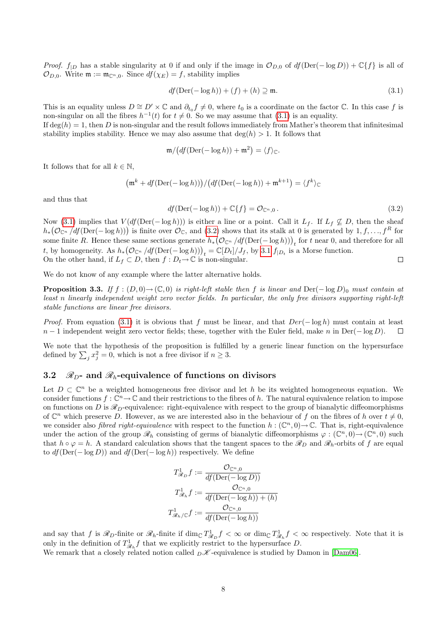*Proof.*  $f_{|D}$  has a stable singularity at 0 if and only if the image in  $\mathcal{O}_{D,0}$  of  $df(Der(-log D)) + \mathbb{C}{f}$  is all of  $\mathcal{O}_{D,0}$ . Write  $\mathfrak{m} := \mathfrak{m}_{\mathbb{C}^n,0}$ . Since  $df(\chi_E) = f$ , stability implies

<span id="page-7-1"></span>
$$
df(\text{Der}(-\log h)) + (f) + (h) \supseteq \mathfrak{m}.
$$
\n(3.1)

This is an equality unless  $D \cong D' \times \mathbb{C}$  and  $\partial_{t_0} f \neq 0$ , where  $t_0$  is a coordinate on the factor  $\mathbb{C}$ . In this case f is non-singular on all the fibres  $h^{-1}(t)$  for  $t \neq 0$ . So we may assume that [\(3.1\)](#page-7-1) is an equality.

If  $\deg(h) = 1$ , then D is non-singular and the result follows immediately from Mather's theorem that infinitesimal stability implies stability. Hence we may also assume that  $\deg(h) > 1$ . It follows that

$$
\mathfrak{m}/\big(df(\mathrm{Der}(-\log h))+\mathfrak{m}^2\big)=\langle f\rangle_{\mathbb{C}}.
$$

It follows that for all  $k \in \mathbb{N}$ ,

$$
\left(\mathfrak{m}^k + df(\mathrm{Der}(-\log h))\right) / \left(df(\mathrm{Der}(-\log h)) + \mathfrak{m}^{k+1}\right) = \langle f^k \rangle_{\mathbb{C}}
$$

and thus that

<span id="page-7-2"></span>
$$
df(\text{Der}(-\log h)) + \mathbb{C}\{f\} = \mathcal{O}_{\mathbb{C}^n,0}.
$$
\n(3.2)

Now [\(3.1\)](#page-7-1) implies that  $V(df(Der(-log h)))$  is either a line or a point. Call it  $L_f$ . If  $L_f \nsubseteq D$ , then the sheaf  $h_*(\mathcal{O}_{\mathbb{C}^n}/df(\mathrm{Der}(-\log h)))$  is finite over  $\mathcal{O}_{\mathbb{C}}$ , and  $(3.2)$  shows that its stalk at 0 is generated by  $1, f, \ldots, f^R$  for some finite R. Hence these same sections generate  $h_*(\mathcal{O}_{\mathbb{C}^n}/df(\mathrm{Der}(-\log h)))_t$  for t near 0, and therefore for all t, by homogeneity. As  $h_*(\mathcal{O}_{\mathbb{C}^n}/df(\mathrm{Der}(-\log h)))_t = \mathbb{C}[D_t]/J_f$ , by [3.1](#page-6-3)  $f_{|D_t}$  is a Morse function. On the other hand, if  $L_f \subset D$ , then  $f : D_t \to \mathbb{C}$  is non-singular.  $\Box$ 

We do not know of any example where the latter alternative holds.

**Proposition 3.3.** If  $f : (D, 0) \to (\mathbb{C}, 0)$  is right-left stable then f is linear and Der( $-\log D$ )<sub>0</sub> must contain at least n linearly independent weight zero vector fields. In particular, the only free divisors supporting right-left stable functions are linear free divisors.

*Proof.* From equation [\(3.1\)](#page-7-1) it is obvious that f must be linear, and that  $Der(-\log h)$  must contain at least  $n-1$  independent weight zero vector fields; these, together with the Euler field, make n in Der(− log D).  $\Box$ 

We note that the hypothesis of the proposition is fulfilled by a generic linear function on the hypersurface defined by  $\sum_j x_j^2 = 0$ , which is not a free divisor if  $n \geq 3$ .

# <span id="page-7-0"></span>3.2  $\mathcal{R}_D$ - and  $\mathcal{R}_b$ -equivalence of functions on divisors

Let  $D \subset \mathbb{C}^n$  be a weighted homogeneous free divisor and let h be its weighted homogeneous equation. We consider functions  $f: \mathbb{C}^n \to \mathbb{C}$  and their restrictions to the fibres of h. The natural equivalence relation to impose on functions on D is  $\mathcal{R}_D$ -equivalence: right-equivalence with respect to the group of bianalytic diffeomorphisms of  $\mathbb{C}^n$  which preserve D. However, as we are interested also in the behaviour of f on the fibres of h over  $t \neq 0$ , we consider also *fibred right-equivalence* with respect to the function  $h : (\mathbb{C}^n, 0) \to \mathbb{C}$ . That is, right-equivalence under the action of the group  $\mathscr{R}_h$  consisting of germs of bianalytic diffeomorphisms  $\varphi: (\mathbb{C}^n, 0) \to (\mathbb{C}^n, 0)$  such that  $h \circ \varphi = h$ . A standard calculation shows that the tangent spaces to the  $\mathscr{R}_D$  and  $\mathscr{R}_h$ -orbits of f are equal to  $df(\text{Der}(-\log D))$  and  $df(\text{Der}(-\log h))$  respectively. We define

$$
T_{\mathscr{R}_D}^1 f := \frac{\mathcal{O}_{\mathbb{C}^n,0}}{df(\text{Der}(-\log D))}
$$

$$
T_{\mathscr{R}_h}^1 f := \frac{\mathcal{O}_{\mathbb{C}^n,0}}{df(\text{Der}(-\log h)) + (h)}
$$

$$
T_{\mathscr{R}_h/\mathbb{C}}^1 f := \frac{\mathcal{O}_{\mathbb{C}^n,0}}{df(\text{Der}(-\log h))}
$$

and say that f is  $\mathscr{R}_D$ -finite or  $\mathscr{R}_h$ -finite if  $\dim_{\mathbb{C}} T^1_{\mathscr{R}_D} f < \infty$  or  $\dim_{\mathbb{C}} T^1_{\mathscr{R}_h} f < \infty$  respectively. Note that it is only in the definition of  $T_{\mathscr{R}_h}^1 f$  that we explicitly restrict to the hypersurface D.

<span id="page-7-3"></span>We remark that a closely related notion called  $D\mathscr{K}$ -equivalence is studied by Damon in [\[Dam06\]](#page-34-4).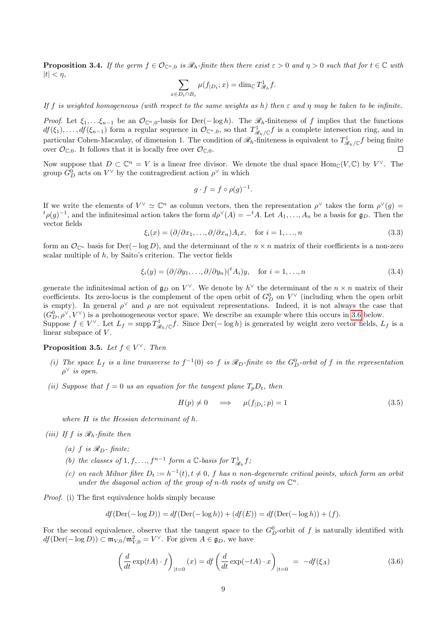**Proposition 3.4.** If the germ  $f \in \mathcal{O}_{\mathbb{C}^n,0}$  is  $\mathscr{R}_h$ -finite then there exist  $\varepsilon > 0$  and  $\eta > 0$  such that for  $t \in \mathbb{C}$  with  $|t| < \eta$ ,

$$
\sum_{x \in D_t \cap B_{\varepsilon}} \mu(f_{|D_t}; x) = \dim_{\mathbb{C}} T^1_{\mathcal{R}_h} f.
$$

If f is weighted homogeneous (with respect to the same weights as h) then  $\varepsilon$  and  $\eta$  may be taken to be infinite.

*Proof.* Let  $\xi_1, \ldots, \xi_{n-1}$  be an  $\mathcal{O}_{\mathbb{C}^n,0}$ -basis for Der( $-\log h$ ). The  $\mathscr{R}_h$ -finiteness of f implies that the functions  $df(\xi_1), \ldots, df(\xi_{n-1})$  form a regular sequence in  $\mathcal{O}_{\mathbb{C}^n,0}$ , so that  $T^1_{\mathscr{R}_h/\mathbb{C}}f$  is a complete intersection ring, and in particular Cohen-Macaulay, of dimension 1. The condition of  $\mathscr{R}_h$ -finiteness is equivalent to  $T^1_{\mathscr{R}_h/\mathbb{C}}f$  being finite over  $\mathcal{O}_{\mathbb{C},0}$ . It follows that it is locally free over  $\mathcal{O}_{\mathbb{C},0}$ .  $\Box$ 

Now suppose that  $D \subset \mathbb{C}^n = V$  is a linear free divisor. We denote the dual space  $\text{Hom}_{\mathbb{C}}(V, \mathbb{C})$  by  $V^{\vee}$ . The group  $G_D^0$  acts on  $V^\vee$  by the contragredient action  $\rho^\vee$  in which

$$
g \cdot f = f \circ \rho(g)^{-1}.
$$

If we write the elements of  $V^{\vee} \simeq \mathbb{C}^n$  as column vectors, then the representation  $\rho^{\vee}$  takes the form  $\rho^{\vee}(g)$  ${}^t\rho(g)^{-1}$ , and the infinitesimal action takes the form  $d\rho^{\vee}(A) = -{}^tA$ . Let  $A_1, \ldots, A_n$  be a basis for  $\mathfrak{g}_D$ . Then the vector fields

$$
\xi_i(x) = (\partial/\partial x_1, \dots, \partial/\partial x_n) A_i x, \quad \text{for } i = 1, \dots, n
$$
\n(3.3)

form an  $\mathcal{O}_{\mathbb{C}^n}$  basis for Der(− log D), and the determinant of the  $n \times n$  matrix of their coefficients is a non-zero scalar multiple of  $h$ , by Saito's criterion. The vector fields

<span id="page-8-1"></span>
$$
\xi_i(y) = (\partial/\partial y_1, \dots, \partial/\partial y_n)^{(t)} A_i(y), \quad \text{for } i = 1, \dots, n
$$
\n(3.4)

generate the infinitesimal action of  $\mathfrak{g}_D$  on  $V^{\vee}$ . We denote by  $h^{\vee}$  the determinant of the  $n \times n$  matrix of their coefficients. Its zero-locus is the complement of the open orbit of  $G_D^0$  on  $V^{\vee}$  (including when the open orbit is empty). In general  $\rho^{\vee}$  and  $\rho$  are not equivalent representations. Indeed, it is not always the case that  $(G_D^0, \rho^{\vee}, V^{\vee})$  is a prehomogeneous vector space. We describe an example where this occurs in [3.6](#page-9-0) below. Suppose  $f \in V^{\vee}$ . Let  $L_f = \text{supp } T^1_{\mathcal{R}_h/\mathbb{C}} f$ . Since  $\text{Der}(-\log h)$  is generated by weight zero vector fields,  $L_f$  is a linear subspace of  $V$ .

#### <span id="page-8-0"></span>**Proposition 3.5.** Let  $f \in V^{\vee}$ . Then

- (i) The space  $L_f$  is a line transverse to  $f^{-1}(0) \Leftrightarrow f$  is  $\mathscr{R}_D$ -finite  $\Leftrightarrow$  the  $G_D^0$ -orbit of f in the representation  $\rho^{\vee}$  is open.
- (ii) Suppose that  $f = 0$  us an equation for the tangent plane  $T_pD_t$ , then

$$
H(p) \neq 0 \quad \implies \quad \mu(f_{|D_t}; p) = 1 \tag{3.5}
$$

where  $H$  is the Hessian determinant of  $h$ .

(iii) If f is  $\mathcal{R}_h$ -finite then

- (a) f is  $\mathcal{R}_D$  finite;
- (b) the classes of  $1, f, \ldots, f^{n-1}$  form a  $\mathbb{C}$ -basis for  $T_{\mathcal{R}_h}^1 f$ ;
- (c) on each Milnor fibre  $D_t := h^{-1}(t), t \neq 0, f$  has n non-degenerate critical points, which form an orbit under the diagonal action of the group of n-th roots of unity on  $\mathbb{C}^n$ .

Proof. (i) The first equivalence holds simply because

$$
df
$$
 $(Der(-log D)) = df$  $(Der(-log h)) + (df(E)) = df$  $(Der(-log h)) + (f)$ .

For the second equivalence, observe that the tangent space to the  $G_D^0$ -orbit of f is naturally identified with  $df(\text{Der}(-\log D)) \subset \mathfrak{m}_{V,0}/\mathfrak{m}_{V,0}^2 = V^{\vee}$ . For given  $A \in \mathfrak{g}_D$ , we have

$$
\left(\frac{d}{dt}\exp(tA)\cdot f\right)|_{t=0}(x) = df\left(\frac{d}{dt}\exp(-tA)\cdot x\right)|_{t=0} = -df(\xi_A)
$$
\n(3.6)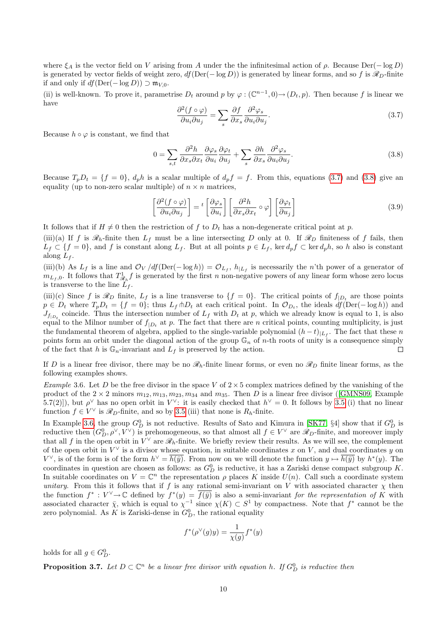where  $\xi_A$  is the vector field on V arising from A under the the infinitesimal action of  $\rho$ . Because Der( $-\log D$ ) is generated by vector fields of weight zero,  $df(\text{Der}(-\log D))$  is generated by linear forms, and so f is  $\mathscr{R}_D$ -finite if and only if  $df(Der(-log D)) \supset m_{V,0}$ .

(ii) is well-known. To prove it, parametrise  $D_t$  around p by  $\varphi : (\mathbb{C}^{n-1},0) \to (D_t, p)$ . Then because f is linear we have

<span id="page-9-1"></span>
$$
\frac{\partial^2 (f \circ \varphi)}{\partial u_i \partial u_j} = \sum_s \frac{\partial f}{\partial x_s} \frac{\partial^2 \varphi_s}{\partial u_i \partial u_j}.
$$
\n(3.7)

Because  $h \circ \varphi$  is constant, we find that

<span id="page-9-2"></span>
$$
0 = \sum_{s,t} \frac{\partial^2 h}{\partial x_s \partial x_t} \frac{\partial \varphi_s}{\partial u_i} \frac{\partial \varphi_t}{\partial u_j} + \sum_s \frac{\partial h}{\partial x_s} \frac{\partial^2 \varphi_s}{\partial u_i \partial u_j}.
$$
 (3.8)

Because  $T_pD_t = \{f = 0\}$ ,  $d_ph$  is a scalar multiple of  $d_pf = f$ . From this, equations [\(3.7\)](#page-9-1) and [\(3.8\)](#page-9-2) give an equality (up to non-zero scalar multiple) of  $n \times n$  matrices,

$$
\left[\frac{\partial^2 (f \circ \varphi)}{\partial u_i \partial u_j}\right] = {}^t \left[\frac{\partial \varphi_s}{\partial u_i}\right] \left[\frac{\partial^2 h}{\partial x_s \partial x_t} \circ \varphi\right] \left[\frac{\partial \varphi_t}{\partial u_j}\right]
$$
(3.9)

It follows that if  $H \neq 0$  then the restriction of f to  $D_t$  has a non-degenerate critical point at p.

(iii)(a) If f is  $\mathscr{R}_h$ -finite then  $L_f$  must be a line intersecting D only at 0. If  $\mathscr{R}_D$  finiteness of f fails, then  $L_f \subset \{f=0\}$ , and f is constant along  $L_f$ . But at all points  $p \in L_f$ , ker  $d_p f \subset \text{ker } d_p h$ , so h also is constant along  $L_f$ .

(iii)(b) As  $L_f$  is a line and  $\mathcal{O}_V/df(\text{Der}(-\log h)) = \mathcal{O}_{L_f}$ ,  $h_{|L_f}$  is necessarily the n'th power of a generator of  $m_{L_f,0}$ . It follows that  $T_{\mathscr{R}_h}^1 f$  is generated by the first n non-negative powers of any linear form whose zero locus is transverse to the line  $L_f$ .

(iii)(c) Since f is  $\mathscr{R}_D$  finite,  $L_f$  is a line transverse to  $\{f=0\}$ . The critical points of  $f_{|D_t}$  are those points  $p \in D_t$  where  $T_p D_t = \{f = 0\}$ ; thus  $L_f \dagger D_t$  at each critical point. In  $\mathcal{O}_{D_t}$ , the ideals  $df(\text{Der}(-\log h))$  and  $J_{f_{|D_t}}$  coincide. Thus the intersection number of  $L_f$  with  $D_t$  at p, which we already know is equal to 1, is also equal to the Milnor number of  $f_{|D_t}$  at p. The fact that there are n critical points, counting multiplicity, is just the fundamental theorem of algebra, applied to the single-variable polynomial  $(h-t)_{|L_f}$ . The fact that these n points form an orbit under the diagonal action of the group  $\mathbb{G}_n$  of n-th roots of unity is a consequence simply of the fact that h is  $\mathbb{G}_n$ -invariant and  $L_f$  is preserved by the action.  $\Box$ 

If D is a linear free divisor, there may be no  $\mathcal{R}_h$ -finite linear forms, or even no  $\mathcal{R}_D$  finite linear forms, as the following examples shows.

<span id="page-9-0"></span>Example 3.6. Let D be the free divisor in the space V of  $2 \times 5$  complex matrices defined by the vanishing of the productof the  $2 \times 2$  minors  $m_{12}, m_{13}, m_{23}, m_{34}$  and  $m_{35}$ . Then D is a linear free divisor ([\[GMNS09,](#page-35-5) Example 5.7(2)]), but  $\rho^{\vee}$  has no open orbit in  $V^{\vee}$ : it is easily checked that  $h^{\vee} = 0$ . It follows by [3.5](#page-8-0) (i) that no linear function  $f \in V^{\vee}$  is  $\mathscr{R}_D$ -finite, and so by [3.5](#page-8-0) (iii) that none is  $R_h$ -finite.

In Example [3.6,](#page-9-0) the group  $G_D^0$  is not reductive. Results of Sato and Kimura in [\[SK77,](#page-36-0) §4] show that if  $G_D^0$  is reductive then  $(G_D^0, \rho^\vee, V^\vee)$  is prehomogeneous, so that almost all  $f \in V^\vee$  are  $\mathscr{R}_D$ -finite, and moreover imply that all f in the open orbit in  $V^{\vee}$  are  $\mathscr{R}_h$ -finite. We briefly review their results. As we will see, the complement of the open orbit in  $V^{\vee}$  is a divisor whose equation, in suitable coordinates x on V, and dual coordinates y on  $V^{\vee}$ , is of the form is of the form  $h^{\vee} = \overline{h(\bar{y})}$ . From now on we will denote the function  $y \mapsto \overline{h(\bar{y})}$  by  $h^*(y)$ . The coordinates in question are chosen as follows: as  $G_D^0$  is reductive, it has a Zariski dense compact subgroup K. In suitable coordinates on  $V = \mathbb{C}^n$  the representation  $\rho$  places K inside  $U(n)$ . Call such a coordinate system unitary. From this it follows that if f is any rational semi-invariant on V with associated character  $\chi$  then the function  $f^*: V^{\vee} \to \mathbb{C}$  defined by  $f^*(y) = \overline{f(y)}$  is also a semi-invariant for the representation of K with associated character  $\bar{\chi}$ , which is equal to  $\chi^{-1}$  since  $\chi(K) \subset S^1$  by compactness. Note that  $f^*$  cannot be the zero polynomial. As K is Zariski-dense in  $G_D^0$ , the rational equality

$$
f^*(\rho^{\vee}(g)y) = \frac{1}{\chi(g)} f^*(y)
$$

holds for all  $g \in G_D^0$ .

<span id="page-9-3"></span>**Proposition 3.7.** Let  $D \subset \mathbb{C}^n$  be a linear free divisor with equation h. If  $G_D^0$  is reductive then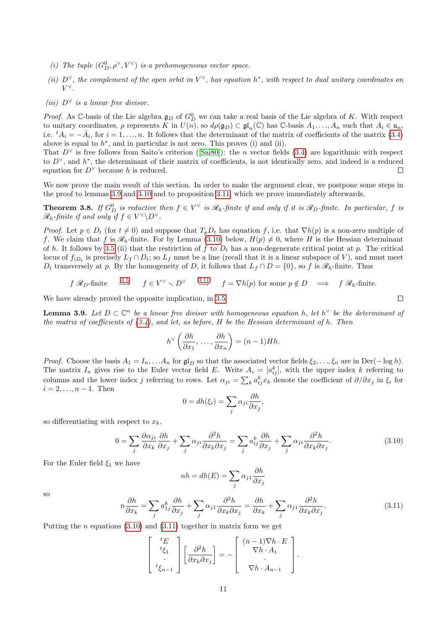- (i) The tuple  $(G_D^0, \rho^\vee, V^\vee)$  is a prehomogeneous vector space.
- (ii)  $D^{\vee}$ , the complement of the open orbit in  $V^{\vee}$ , has equation  $h^*$ , with respect to dual unitary coordinates on  $V^{\vee}.$
- (iii)  $D^{\vee}$  is a linear free divisor.

*Proof.* As C-basis of the Lie algebra  $\mathfrak{g}_D$  of  $G_D^0$  we can take a real basis of the Lie algebra of K. With respect to unitary coordinates,  $\rho$  represents K in  $U(n)$ , so  $d\rho(\mathfrak{g}_D) \subset \mathfrak{gl}_n(\mathbb{C})$  has C-basis  $A_1, \ldots, A_n$  such that  $A_i \in \mathfrak{u}_n$ , i.e.  ${}^tA_i = -\bar{A}_i$ , for  $i = 1, ..., n$ . It follows that the determinant of the matrix of coefficients of the matrix [\(3.4\)](#page-8-1) above is equal to  $h^*$ , and in particular is not zero. This proves (i) and (ii).

That $D^{\vee}$  is free follows from Saito's criterion ([\[Sai80\]](#page-36-2)): the *n* vector fields [\(3.4\)](#page-8-1) are logarithmic with respect to  $D^{\vee}$ , and  $h^*$ , the determinant of their matrix of coefficients, is not identically zero, and indeed is a reduced equation for  $D^{\vee}$  because h is reduced.  $\Box$ 

We now prove the main result of this section. In order to make the argument clear, we postpone some steps in the proof to lemmas [3.9](#page-10-0) and [3.10](#page-11-0) and to proposition [3.11,](#page-11-1) which we prove immediately afterwards.

**Theorem 3.8.** If  $G_D^0$  is reductive then  $f \in V^{\vee}$  is  $\mathscr{R}_h$ -finite if and only if it is  $\mathscr{R}_D$ -finite. In particular, f is  $\mathscr{R}_h$ -finite if and only if  $f \in V^{\vee} \backslash D^{\vee}$ .

*Proof.* Let  $p \in D_t$  (for  $t \neq 0$ ) and suppose that  $T_pD_t$  has equation f, i.e. that  $\nabla h(p)$  is a non-zero multiple of f. We claim that f is  $\mathscr{R}_h$ -finite. For by Lemma [\(3.10\)](#page-11-0) below,  $H(p) \neq 0$ , where H is the Hessian determinant of h. It follows by [3.5](#page-8-0) (ii) that the restriction of f to  $D_t$  has a non-degenerate critical point at p. The critical locus of  $f_{|D_t}$  is precisely  $L_f \cap D_t$ ; so  $L_f$  must be a line (recall that it is a linear subspace of V), and must meet  $D_t$  transversely at p. By the homogeneity of D, it follows that  $L_f \cap D = \{0\}$ , so f is  $\mathscr{R}_h$ -finite. Thus

$$
f \mathcal{R}_D
$$
-finite  $\stackrel{3.5}{\Longrightarrow}$   $f \in V^{\vee} \setminus D^{\vee}$   $\stackrel{3.11}{\Longrightarrow}$   $f = \nabla h(p)$  for some  $p \notin D$   $\implies$   $f \mathcal{R}_h$ -finite.

We have already proved the opposite implication, in [3.5.](#page-8-0)

<span id="page-10-0"></span>**Lemma 3.9.** Let  $D \subset \mathbb{C}^n$  be a linear free divisor with homogeneous equation h, let  $h^{\vee}$  be the determinant of the matrix of coefficients of  $(3.4)$ , and let, as before, H be the Hessian determinant of h. Then

$$
h^{\vee}\left(\frac{\partial h}{\partial x_1},\ldots,\frac{\partial h}{\partial x_n}\right)=(n-1)Hh.
$$

*Proof.* Choose the basis  $A_1 = I_n, \ldots, A_n$  for  $\mathfrak{gl}_D$  so that the associated vector fields  $\xi_2, \ldots, \xi_n$  are in Der(− log h). The matrix  $I_n$  gives rise to the Euler vector field E. Write  $A_i = [a_{ij}^k]$ , with the upper index k referring to columns and the lower index j referring to rows. Let  $\alpha_{ji} = \sum_k a_{ij}^k x_k$  denote the coefficient of  $\partial/\partial x_j$  in  $\xi_i$  for  $i = 2, \ldots, n - 1$ . Then

$$
0 = dh(\xi_i) = \sum_j \alpha_{ji} \frac{\partial h}{\partial x_j},
$$

so differentiating with respect to  $x_k$ ,

<span id="page-10-1"></span>
$$
0 = \sum_{j} \frac{\partial \alpha_{ji}}{\partial x_k} \frac{\partial h}{\partial x_j} + \sum_{j} \alpha_{ji} \frac{\partial^2 h}{\partial x_k \partial x_j} = \sum_{j} a_{ij}^k \frac{\partial h}{\partial x_j} + \sum_{j} \alpha_{ji} \frac{\partial^2 h}{\partial x_k \partial x_j}.
$$
 (3.10)

For the Euler field  $\xi_1$  we have

$$
nh = dh(E) = \sum_{j} \alpha_{j1} \frac{\partial h}{\partial x_j}
$$

so

<span id="page-10-2"></span>
$$
n\frac{\partial h}{\partial x_k} = \sum_j a_{1j}^k \frac{\partial h}{\partial x_j} + \sum_j \alpha_{j1} \frac{\partial^2 h}{\partial x_k \partial x_j} = \frac{\partial h}{\partial x_k} + \sum_j \alpha_{j1} \frac{\partial^2 h}{\partial x_k \partial x_j}.
$$
 (3.11)

Putting the *n* equations  $(3.10)$  and  $(3.11)$  together in matrix form we get

$$
\begin{bmatrix} {}^{t}E \\ {}^{t}\xi_{1} \\ \cdot \\ {}^{t}\xi_{n-1} \end{bmatrix} \begin{bmatrix} \frac{\partial^{2}h}{\partial x_{k}\partial x_{j}} \end{bmatrix} = - \begin{bmatrix} (n-1)\nabla h \cdot E \\ \nabla h \cdot A_{1} \\ \cdot \\ \nabla h \cdot A_{n-1} \end{bmatrix}.
$$

 $\Box$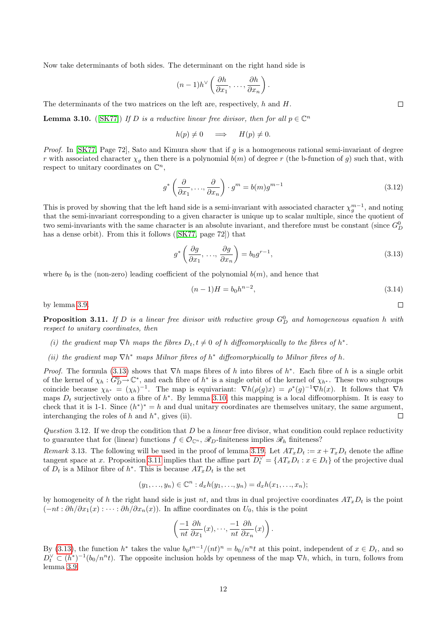Now take determinants of both sides. The determinant on the right hand side is

$$
(n-1)h^{\vee}\left(\frac{\partial h}{\partial x_1},\ldots,\frac{\partial h}{\partial x_n}\right).
$$

The determinants of the two matrices on the left are, respectively,  $h$  and  $H$ .

<span id="page-11-0"></span>**Lemma 3.10.** ([\[SK77\]](#page-36-0)) If D is a reductive linear free divisor, then for all  $p \in \mathbb{C}^n$ 

$$
h(p) \neq 0 \quad \implies \quad H(p) \neq 0.
$$

*Proof.* In [\[SK77,](#page-36-0) Page 72], Sato and Kimura show that if g is a homogeneous rational semi-invariant of degree r with associated character  $\chi_q$  then there is a polynomial  $b(m)$  of degree r (the b-function of g) such that, with respect to unitary coordinates on  $\mathbb{C}^n$ ,

$$
g^* \left( \frac{\partial}{\partial x_1}, \dots, \frac{\partial}{\partial x_n} \right) \cdot g^m = b(m) g^{m-1}
$$
\n(3.12)

This is proved by showing that the left hand side is a semi-invariant with associated character  $\chi_g^{m-1}$ , and noting that the semi-invariant corresponding to a given character is unique up to scalar multiple, since the quotient of two semi-invariants with the same character is an absolute invariant, and therefore must be constant (since  $G_D^0$ ) hasa dense orbit). From this it follows ([\[SK77,](#page-36-0) page 72]) that

<span id="page-11-2"></span>
$$
g^* \left( \frac{\partial g}{\partial x_1}, \dots, \frac{\partial g}{\partial x_n} \right) = b_0 g^{r-1}, \tag{3.13}
$$

where  $b_0$  is the (non-zero) leading coefficient of the polynomial  $b(m)$ , and hence that

$$
(n-1)H = b_0 h^{n-2},\tag{3.14}
$$

by lemma [3.9.](#page-10-0)

<span id="page-11-1"></span>**Proposition 3.11.** If D is a linear free divisor with reductive group  $G_D^0$  and homogeneous equation h with respect to unitary coordinates, then

- (i) the gradient map  $\nabla h$  maps the fibres  $D_t, t \neq 0$  of h diffeomorphically to the fibres of  $h^*$ .
- (ii) the gradient map  $\nabla h^*$  maps Milnor fibres of  $h^*$  diffeomorphically to Milnor fibres of h.

*Proof.* The formula [\(3.13\)](#page-11-2) shows that  $\nabla h$  maps fibres of h into fibres of  $h^*$ . Each fibre of h is a single orbit of the kernel of  $\chi_h: G_D^0 \to \mathbb{C}^*$ , and each fibre of  $h^*$  is a single orbit of the kernel of  $\chi_{h^*}$ . These two subgroups coincide because  $\chi_{h^*} = (\chi_h)^{-1}$ . The map is equivariant:  $\nabla h(\rho(g)x) = \rho^*(g)^{-1} \nabla h(x)$ . It follows that  $\nabla h$ maps  $D_t$  surjectively onto a fibre of  $h^*$ . By lemma [3.10,](#page-11-0) this mapping is a local diffeomorphism. It is easy to check that it is 1-1. Since  $(h^*)^* = h$  and dual unitary coordinates are themselves unitary, the same argument, interchanging the roles of  $h$  and  $h^*$ , gives (ii).  $\Box$ 

Question 3.12. If we drop the condition that  $D$  be a linear free divisor, what condition could replace reductivity to guarantee that for (linear) functions  $f \in \mathcal{O}_{\mathbb{C}^n}$ ,  $\mathscr{R}_D$ -finiteness implies  $\mathscr{R}_h$  finiteness?

<span id="page-11-3"></span>Remark 3.13. The following will be used in the proof of lemma [3.19.](#page-13-0) Let  $AT_xD_t := x + T_xD_t$  denote the affine tangent space at x. Proposition [3.11](#page-11-1) implies that the affine part  $D_t^{\vee} = \{AT_xD_t : x \in D_t\}$  of the projective dual of  $D_t$  is a Milnor fibre of  $h^*$ . This is because  $AT_xD_t$  is the set

$$
(y_1,\ldots,y_n)\in\mathbb{C}^n:d_xh(y_1,\ldots,y_n)=d_xh(x_1,\ldots,x_n);
$$

by homogeneity of h the right hand side is just nt, and thus in dual projective coordinates  $AT_xD_t$  is the point  $(-nt : \partial h/\partial x_1(x) : \cdots : \partial h/\partial x_n(x))$ . In affine coordinates on  $U_0$ , this is the point

$$
\left(\frac{-1}{nt}\frac{\partial h}{\partial x_1}(x),\cdot\cdot\cdot,\frac{-1}{nt}\frac{\partial h}{\partial x_n}(x)\right).
$$

By [\(3.13\)](#page-11-2), the function  $h^*$  takes the value  $b_0t^{n-1}/(nt)^n = b_0/n^nt$  at this point, independent of  $x \in D_t$ , and so  $D_t^{\vee} \subset (h^*)^{-1}(b_0/n^n t)$ . The opposite inclusion holds by openness of the map  $\nabla h$ , which, in turn, follows from lemma [3.9.](#page-10-0)

 $\Box$ 

 $\Box$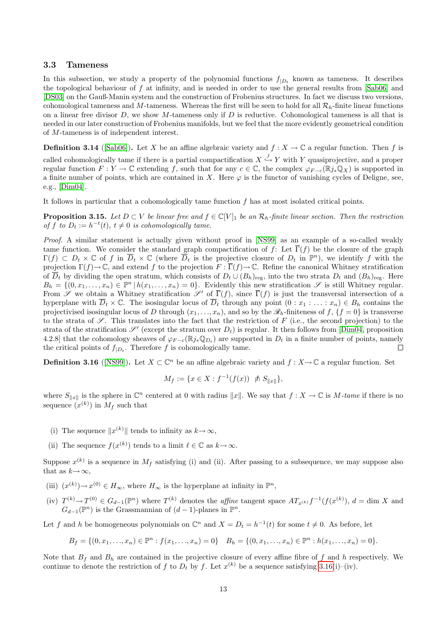#### <span id="page-12-0"></span>3.3 Tameness

In this subsection, we study a property of the polynomial functions  $f_{|D_t}$  known as tameness. It describes the topological behaviour of f at infinity, and is needed in order to use the general results from [\[Sab06\]](#page-35-9) and [\[DS03\]](#page-35-0) on the Gauß-Manin system and the construction of Frobenius structures. In fact we discuss two versions, cohomological tameness and M-tameness. Whereas the first will be seen to hold for all  $\mathcal{R}_h$ -finite linear functions on a linear free divisor  $D$ , we show M-tameness only if  $D$  is reductive. Cohomological tameness is all that is needed in our later construction of Frobenius manifolds, but we feel that the more evidently geometrical condition of M-tameness is of independent interest.

**Definition 3.14** ([\[Sab06\]](#page-35-9)). Let X be an affine algebraic variety and  $f : X \to \mathbb{C}$  a regular function. Then f is called cohomologically tame if there is a partial compactification  $X \stackrel{j}{\hookrightarrow} Y$  with Y quasiprojective, and a proper regular function  $F: Y \to \mathbb{C}$  extending f, such that for any  $c \in \mathbb{C}$ , the complex  $\varphi_{F-c}(\mathbb{R}j_*\mathbb{Q}_X)$  is supported in a finite number of points, which are contained in X. Here  $\varphi$  is the functor of vanishing cycles of Deligne, see, e.g., [\[Dim04\]](#page-34-5).

It follows in particular that a cohomologically tame function f has at most isolated critical points.

<span id="page-12-2"></span>**Proposition 3.15.** Let  $D \subset V$  be linear free and  $f \in \mathbb{C}[V]_1$  be an  $\mathcal{R}_h$ -finite linear section. Then the restriction of f to  $D_t := h^{-t}(t)$ ,  $t \neq 0$  is cohomologically tame.

Proof. A similar statement is actually given without proof in [\[NS99\]](#page-35-10) as an example of a so-called weakly tame function. We consider the standard graph compactification of f: Let  $\overline{\Gamma}(f)$  be the closure of the graph  $\Gamma(f) \subset D_t \times \mathbb{C}$  of f in  $\overline{D}_t \times \mathbb{C}$  (where  $\overline{D}_t$  is the projective closure of  $D_t$  in  $\mathbb{P}^n$ ), we identify f with the projection  $\Gamma(f) \to \mathbb{C}$ , and extend f to the projection  $F : \overline{\Gamma}(f) \to \mathbb{C}$ . Refine the canonical Whitney stratification of  $\overline{D}_t$  by dividing the open stratum, which consists of  $D_t \cup (B_h)_{\text{reg}}$ , into the two strata  $D_t$  and  $(B_h)_{\text{reg}}$ . Here  $B_h = \{(0, x_1, \ldots, x_n) \in \mathbb{P}^n \mid h(x_1, \ldots, x_n) = 0\}.$  Evidently this new stratification  $\mathscr{S}$  is still Whitney regular. From S we obtain a Whitney stratification S' of  $\overline{\Gamma}(f)$ , since  $\overline{\Gamma}(f)$  is just the transversal intersection of a hyperplane with  $\overline{D}_t \times \mathbb{C}$ . The isosingular locus of  $\overline{D}_t$  through any point  $(0 : x_1 : \ldots : x_n) \in B_h$  contains the projectivised isosingular locus of D through  $(x_1, \ldots, x_n)$ , and so by the  $\mathcal{R}_h$ -finiteness of  $f, \{f = 0\}$  is transverse to the strata of  $\mathscr S$ . This translates into the fact that the restriction of F (i.e., the second projection) to the strata of the stratification  $\mathscr{S}'$  (except the stratum over  $D_t$ ) is regular. It then follows from [\[Dim04,](#page-34-5) proposition 4.2.8] that the cohomology sheaves of  $\varphi_{F-c}(\mathbb{R}j_*\mathbb{Q}_{D_t})$  are supported in  $D_t$  in a finite number of points, namely the critical points of  $f_{|D_t}$ . Therefore f is cohomologically tame.  $\Box$ 

<span id="page-12-1"></span>**Definition 3.16** ([\[NS99\]](#page-35-10)). Let  $X \subset \mathbb{C}^n$  be an affine algebraic variety and  $f : X \to \mathbb{C}$  a regular function. Set

$$
M_f := \{ x \in X : f^{-1}(f(x)) \ \land S_{\|x\|} \},
$$

where  $S_{\|x\|}$  is the sphere in  $\mathbb{C}^n$  centered at 0 with radius  $\|x\|$ . We say that  $f : X \to \mathbb{C}$  is M-tame if there is no sequence  $(x^{(k)})$  in  $M_f$  such that

- (i) The sequence  $||x^{(k)}||$  tends to infinity as  $k \to \infty$ ,
- (ii) The sequence  $f(x^{(k)})$  tends to a limit  $\ell \in \mathbb{C}$  as  $k \to \infty$ .

Suppose  $x^{(k)}$  is a sequence in  $M_f$  satisfying (i) and (ii). After passing to a subsequence, we may suppose also that as  $k \rightarrow \infty$ ,

- (iii)  $(x^{(k)}) \to x^{(0)} \in H_\infty$ , where  $H_\infty$  is the hyperplane at infinity in  $\mathbb{P}^n$ ,
- (iv)  $T^{(k)} \to T^{(0)} \in G_{d-1}(\mathbb{P}^n)$  where  $T^{(k)}$  denotes the *affine* tangent space  $AT_{x^{(k)}}f^{-1}(f(x^{(k)}), d = \dim X$  and  $G_{d-1}(\mathbb{P}^n)$  is the Grassmannian of  $(d-1)$ -planes in  $\mathbb{P}^n$ .

Let f and h be homogeneous polynomials on  $\mathbb{C}^n$  and  $X = D_t = h^{-1}(t)$  for some  $t \neq 0$ . As before, let

$$
B_f = \{(0, x_1, \ldots, x_n) \in \mathbb{P}^n : f(x_1, \ldots, x_n) = 0\} \quad B_h = \{(0, x_1, \ldots, x_n) \in \mathbb{P}^n : h(x_1, \ldots, x_n) = 0\}.
$$

Note that  $B_f$  and  $B_h$  are contained in the projective closure of every affine fibre of f and h respectively. We continue to denote the restriction of f to  $D_t$  by f. Let  $x^{(k)}$  be a sequence satisfying [3.16\(](#page-12-1)i)–(iv).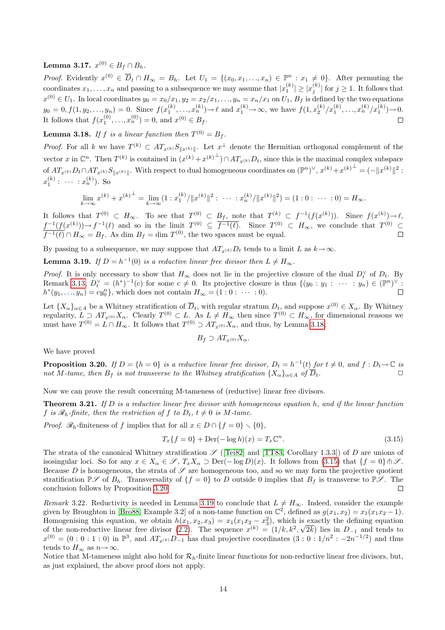${\bf Lemma \ 3.17.} \ \ x^{(0)}\in B_f\cap B_h.$ 

*Proof.* Evidently  $x^{(0)} \in \overline{D}_t \cap H_\infty = B_h$ . Let  $U_1 = \{(x_0, x_1, \ldots, x_n) \in \mathbb{P}^n : x_1 \neq 0\}$ . After permuting the coordinates  $x_1, \ldots, x_n$  and passing to a subsequence we may assume that  $|x_1^{(k)}| \ge |x_j^{(k)}|$  for  $j \ge 1$ . It follows that  $x^{(0)} \in U_1$ . In local coordinates  $y_0 = x_0/x_1, y_2 = x_2/x_1, \ldots, y_n = x_n/x_1$  on  $U_1$ ,  $B_f$  is defined by the two equations  $y_0 = 0, f(1, y_2, \ldots, y_n) = 0.$  Since  $f(x_1^{(k)}, \ldots, x_n^{(k)}) \to \ell$  and  $x_1^{(k)} \to \infty$ , we have  $f(1, x_2^{(k)}/x_1^{(k)}, \ldots, x_n^{(k)}/x_1^{(k)}) \to 0.$ It follows that  $f(x_1^{(0)},...,x_n^{(0)})=0$ , and  $x^{(0)} \in B_f$ .  $\Box$ 

<span id="page-13-1"></span>**Lemma 3.18.** If f is a linear function then  $T^{(0)} = B_f$ .

*Proof.* For all k we have  $T^{(k)} \subset AT_{x^{(k)}}S_{\Vert x^{(k)}\Vert}$ . Let  $x^{\perp}$  denote the Hermitian orthogonal complement of the vector x in  $\mathbb{C}^n$ . Then  $T^{(k)}$  is contained in  $(x^{(k)}+x^{(k)}^{\perp}) \cap AT_{x^{(k)}}D_t$ , since this is the maximal complex subspace of  $AT_{x^{(k)}}D_t \cap AT_{x^{(k)}}S_{\|x^{(k)}\|}$ . With respect to dual homogeneous coordinates on  $(\mathbb{P}^n)^{\vee}, x^{(k)} + x^{(k)}^{\perp} = (-\|x^{(k)}\|^2$ :  $x_1^{(k)}: \cdots : x_n^{(k)}$ ). So

$$
\lim_{k \to \infty} x^{(k)} + x^{(k)^{\perp}} = \lim_{k \to \infty} (1 : x_1^{(k)} / \|x^{(k)}\|^2 : \cdots : x_n^{(k)} / \|x^{(k)}\|^2) = (1 : 0 : \cdots : 0) = H_{\infty}.
$$

It follows that  $T^{(0)} \subset H_{\infty}$ . To see that  $T^{(0)} \subset B_f$ , note that  $T^{(k)} \subset f^{-1}(f(x^{(k)}))$ . Since  $f(x^{(k)}) \to \ell$ ,  $f^{-1}(f(x^{(k)})) \to f^{-1}(\ell)$  and so in the limit  $T^{(0)} \subseteq \overline{f^{-1}(\ell)}$ . Since  $T^{(0)} \subset H_{\infty}$ , we conclude that  $T^{(0)} \subset$  $\overline{f^{-1}(\ell)} \cap H_{\infty} = B_f$ . As dim  $B_f = \dim T^{(0)}$ , the two spaces must be equal.

By passing to a subsequence, we may suppose that  $AT_{x^{(k)}}D_t$  tends to a limit L as  $k \to \infty$ .

<span id="page-13-0"></span>**Lemma 3.19.** If  $D = h^{-1}(0)$  is a reductive linear free divisor then  $L \neq H_{\infty}$ .

*Proof.* It is only necessary to show that  $H_{\infty}$  does not lie in the projective closure of the dual  $D_t^{\vee}$  of  $D_t$ . By Remark [3.13,](#page-11-3)  $D_t^{\vee} = (h^*)^{-1}(c)$  for some  $c \neq 0$ . Its projective closure is thus  $\{(y_0 : y_1 : \cdots : y_n) \in (\mathbb{P}^n)^{\vee} :$  $h^*(y_1, ..., y_n) = cy_0^n$ , which does not contain  $H_{\infty} = (1:0: \cdots:0)$ .

Let  $\{X_\alpha\}_{\alpha\in A}$  be a Whitney stratification of  $\overline{D}_t$ , with regular stratum  $D_t$ , and suppose  $x^{(0)} \in X_\alpha$ . By Whitney regularity,  $L \supseteq AT_{x^{(0)}}X_{\alpha}$ . Clearly  $T^{(0)} \subset L$ . As  $L \neq H_{\infty}$  then since  $T^{(0)} \subset H_{\infty}$ , for dimensional reasons we must have  $T^{(0)} = L \cap H_{\infty}$ . It follows that  $T^{(0)} \supset AT_{x^{(0)}}X_{\alpha}$ , and thus, by Lemma [3.18,](#page-13-1)

$$
B_f \supset AT_{x^{(0)}}X_{\alpha}.
$$

We have proved

<span id="page-13-3"></span>**Proposition 3.20.** If  $D = \{h = 0\}$  is a reductive linear free divisor,  $D_t = h^{-1}(t)$  for  $t \neq 0$ , and  $f : D_t \to \mathbb{C}$  is not M-tame, then  $B_f$  is not transverse to the Whitney stratification  $\{X_\alpha\}_{\alpha \in A}$  of  $\overline{D}_t$ .

Now we can prove the result concerning M-tameness of (reductive) linear free divisors.

**Theorem 3.21.** If D is a reductive linear free divisor with homogeneous equation h, and if the linear function f is  $\mathcal{R}_h$ -finite, then the restriction of f to  $D_t$ ,  $t \neq 0$  is M-tame.

*Proof.*  $\mathcal{R}_h$ -finiteness of f implies that for all  $x \in D \cap \{f = 0\} \setminus \{0\},\$ 

<span id="page-13-2"></span>
$$
T_x\{f=0\} + \text{Der}(-\log h)(x) = T_x \mathbb{C}^n. \tag{3.15}
$$

The strata of the canonical Whitney stratification  $\mathscr{S}$  ([\[Tei82\]](#page-36-3) and [\[TT83,](#page-36-4) Corollary 1.3.3]) of D are unions of isosingular loci. So for any  $x \in X_\alpha \in \mathscr{S}$ ,  $T_x X_\alpha \supset \text{Der}(-\log D)(x)$ . It follows from  $(3.15)$  that  $\{f = 0\} \wedge \mathscr{S}$ . Because D is homogeneous, the strata of  $\mathscr S$  are homogeneous too, and so we may form the projective quotient stratification  $\mathbb{P} \mathscr{S}$  of  $B_h$ . Transversality of  $\{f = 0\}$  to D outside 0 implies that  $B_f$  is transverse to  $\mathbb{P} \mathscr{S}$ . The conclusion follows by Proposition [3.20.](#page-13-3)  $\Box$ 

Remark 3.22. Reductivity is needed in Lemma [3.19](#page-13-0) to conclude that  $L \neq H_{\infty}$ . Indeed, consider the example given by Broughton in [\[Bro88,](#page-34-6) Example 3.2] of a non-tame function on  $\mathbb{C}^2$ , defined as  $g(x_1, x_2) = x_1(x_1x_2 - 1)$ . Homogenising this equation, we obtain  $h(x_1, x_2, x_3) = x_1(x_1x_2 - x_3^2)$ , which is exactly the defining equation of the non-reductive linear free divisor [\(2.2\)](#page-2-3). The sequence  $x^{(k)} = (1/k, k^2, \sqrt{2k})$  lies in  $D_{-1}$  and tends to  $x^{(0)} = (0:0:1:0)$  in  $\mathbb{P}^3$ , and  $AT_{x^{(k)}}D_{-1}$  has dual projective coordinates  $(3:0:1/n^2:-2n^{-1/2})$  and thus tends to  $H_{\infty}$  as  $n \to \infty$ .

Notice that M-tameness might also hold for  $\mathcal{R}_h$ -finite linear functions for non-reductive linear free divisors, but, as just explained, the above proof does not apply.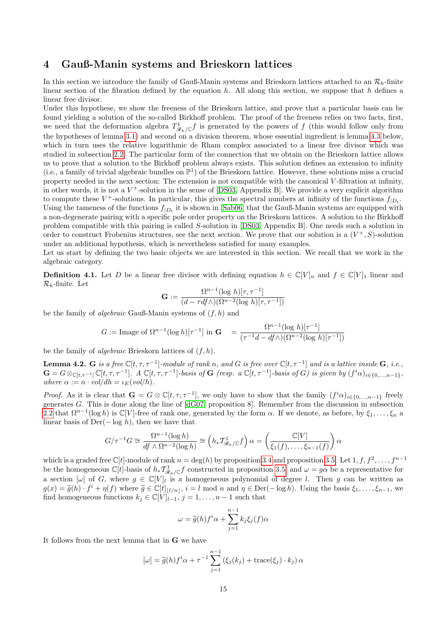# <span id="page-14-0"></span>4 Gauß-Manin systems and Brieskorn lattices

In this section we introduce the family of Gauß-Manin systems and Brieskorn lattices attached to an  $\mathcal{R}_b$ -finite linear section of the fibration defined by the equation  $h$ . All along this section, we suppose that  $h$  defines a linear free divisor.

Under this hypothese, we show the freeness of the Brieskorn lattice, and prove that a particular basis can be found yielding a solution of the so-called Birkhoff problem. The proof of the freeness relies on two facts, first, we need that the deformation algebra  $T_{\mathscr{R}_h/\mathbb{C}}^1 f$  is generated by the powers of f (this would follow only from the hypotheses of lemma [3.1\)](#page-6-3) and second on a division theorem, whose essential ingredient is lemma [4.3](#page-15-0) below, which in turn uses the relative logarithmic de Rham complex associated to a linear free divisor which was studied in subsection [2.2.](#page-3-0) The particular form of the connection that we obtain on the Brieskorn lattice allows us to prove that a solution to the Birkhoff problem always exists. This solution defines an extension to infinity (i.e., a family of trivial algebraic bundles on  $\mathbb{P}^1$ ) of the Brieskorn lattice. However, these solutions miss a crucial property needed in the next section: The extension is not compatible with the canonical V -filtration at infinity, in other words, it is not a  $V^+$ -solution in the sense of [\[DS03,](#page-35-0) Appendix B]. We provide a very explicit algorithm to compute these  $V^+$ -solutions. In particular, this gives the spectral numbers at infinity of the functions  $f_{|D_t}$ . Using the tameness of the functions  $f_{|D_t}$  it is shown in [\[Sab06\]](#page-35-9) that the Gauß-Manin systems are equipped with a non-degenerate pairing with a specific pole order property on the Brieskorn lattices. A solution to the Birkhoff problem compatible with this pairing is called S-solution in [\[DS03,](#page-35-0) Appendix B]. One needs such a solution in order to construct Frobenius structures, see the next section. We prove that our solution is a  $(V^+, S)$ -solution under an additional hypothesis, which is nevertheless satisfied for many examples.

Let us start by defining the two basic objects we are interested in this section. We recall that we work in the algebraic category.

**Definition 4.1.** Let D be a linear free divisor with defining equation  $h \in \mathbb{C}[V]_n$  and  $f \in \mathbb{C}[V]_1$  linear and  $\mathcal{R}_h$ -finite. Let

$$
\mathbf{G} := \frac{\Omega^{n-1}(\log h)[\tau, \tau^{-1}]}{(d - \tau df \wedge)(\Omega^{n-2}(\log h)[\tau, \tau^{-1}])}
$$

be the family of *algebraic* Gauß-Manin systems of  $(f, h)$  and

$$
G := \text{Image of } \Omega^{n-1}(\log h)[\tau^{-1}] \text{ in } \mathbf{G} = \frac{\Omega^{n-1}(\log h)[\tau^{-1}]}{(\tau^{-1}d - df \wedge)(\Omega^{n-2}(\log h)[\tau^{-1}])}
$$

be the family of *algebraic* Brieskorn lattices of  $(f, h)$ .

<span id="page-14-1"></span>**Lemma 4.2.** G is a free  $\mathbb{C}[t, \tau, \tau^{-1}]$ -module of rank n, and G is free over  $\mathbb{C}[t, \tau^{-1}]$  and is a lattice inside G, i.e.,  $\mathbf{G} = G \otimes_{\mathbb{C}[t,\tau^{-1}]} \mathbb{C}[t,\tau,\tau^{-1}].$  A  $\mathbb{C}[t,\tau,\tau^{-1}]$ -basis of  $\mathbf{G}$  (resp. a  $\mathbb{C}[t,\tau^{-1}]$ -basis of  $G$ ) is given by  $(f^i\alpha)_{i\in\{0,\ldots,n-1\}}$ , where  $\alpha := n \cdot vol/dh = \iota_F(vol/h)$ .

*Proof.* As it is clear that  $\mathbf{G} = G \otimes \mathbb{C}[t, \tau, \tau^{-1}]$ , we only have to show that the family  $(f^i \alpha)_{i \in \{0, ..., n-1\}}$  freely generates G. This is done along the line of [\[dG07,](#page-34-7) proposition 8]. Remember from the discussion in subsection [2.2](#page-3-0) that  $\Omega^{n-1}(\log h)$  is  $\mathbb{C}[V]$ -free of rank one, generated by the form  $\alpha$ . If we denote, as before, by  $\xi_1,\ldots,\xi_n$  a linear basis of  $Der(-log h)$ , then we have that

$$
G/\tau^{-1}G \cong \frac{\Omega^{n-1}(\log h)}{df \wedge \Omega^{n-2}(\log h)} \cong \left(h_*\mathcal{T}^1_{\mathscr{R}_h/\mathbb{C}}f\right)\alpha = \left(\frac{\mathbb{C}[V]}{\xi_1(f),\ldots,\xi_{n-1}(f)}\right)\alpha
$$

which is a graded free  $\mathbb{C}[t]$ -module of rank  $n = \deg(h)$  by proposition [3.4](#page-7-3) and proposition [3.5.](#page-8-0) Let  $1, f, f^2, \ldots, f^{n-1}$ be the homogeneous  $\mathbb{C}[t]$ -basis of  $h_* \mathcal{I}_{\mathscr{R}_h/\mathbb{C}}^1 f$  constructed in proposition [3.5,](#page-8-0) and  $\omega = g\alpha$  be a representative for a section  $[\omega]$  of G, where  $g \in \mathbb{C}[V]_l$  is a homogeneous polynomial of degree l. Then g can be written as  $g(x) = \tilde{g}(h) \cdot f^i + \eta(f)$  where  $\tilde{g} \in \mathbb{C}[t]_{\lfloor l/n \rfloor}, i = l \mod n$  and  $\eta \in \text{Der}(-\log h)$ . Using the basis  $\xi_1, \ldots, \xi_{n-1}$ , we find homogeneous functions  $k_i \in \mathbb{C}[V]_{\lfloor l+i}$ ,  $i = 1, \ldots, n-1$  such that find homogeneous functions  $k_j \in \mathbb{C}[V]_{l-1}, j = 1, \ldots, n-1$  such that

$$
\omega = \widetilde{g}(h)f^{i}\alpha + \sum_{j=1}^{n-1} k_{j}\xi_{j}(f)\alpha
$$

It follows from the next lemma that in G we have

$$
[\omega] = \tilde{g}(h)f^{i}\alpha + \tau^{-1} \sum_{j=1}^{n-1} (\xi_j(k_j) + \text{trace}(\xi_j) \cdot k_j) \alpha
$$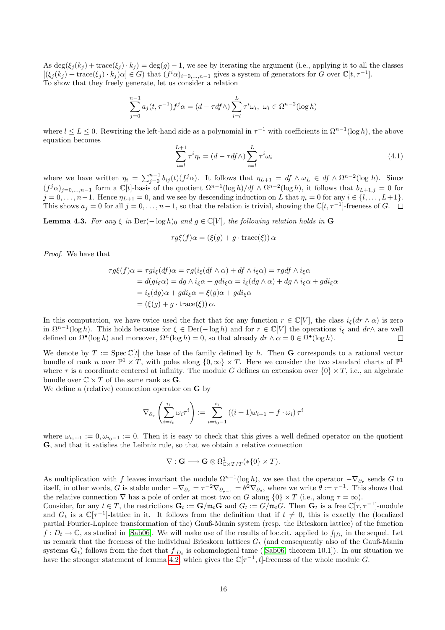As  $\deg(\xi_i(k_i) + \text{trace}(\xi_i) \cdot k_i) = \deg(g) - 1$ , we see by iterating the argument (i.e., applying it to all the classes  $[(\xi_j(k_j) + \text{trace}(\xi_j) \cdot k_j)\alpha] \in G$  that  $(f^i\alpha)_{i=0,\dots,n-1}$  gives a system of generators for G over  $\mathbb{C}[t, \tau^{-1}]$ . To show that they freely generate, let us consider a relation

$$
\sum_{j=0}^{n-1} a_j(t, \tau^{-1}) f^j \alpha = (d - \tau df \wedge) \sum_{i=l}^{L} \tau^i \omega_i, \ \omega_i \in \Omega^{n-2}(\log h)
$$

where  $l \leq L \leq 0$ . Rewriting the left-hand side as a polynomial in  $\tau^{-1}$  with coefficients in  $\Omega^{n-1}(\log h)$ , the above equation becomes

$$
\sum_{i=l}^{L+1} \tau^i \eta_i = (d - \tau df \wedge) \sum_{i=l}^{L} \tau^i \omega_i
$$
\n(4.1)

where we have written  $\eta_i = \sum_{j=0}^{n-1} b_{ij}(t) (f^j \alpha)$ . It follows that  $\eta_{L+1} = df \wedge \omega_L \in df \wedge \Omega^{n-2}(\log h)$ . Since  $(f^j \alpha)_{j=0,\dots,n-1}$  form a  $\mathbb{C}[t]$ -basis of the quotient  $\Omega^{n-1}(\log h)/df \wedge \Omega^{n-2}(\log h)$ , it follows that  $b_{L+1,j}=0$  for  $j = 0, \ldots, n-1$ . Hence  $\eta_{L+1} = 0$ , and we see by descending induction on L that  $\eta_i = 0$  for any  $i \in \{l, \ldots, L+1\}$ . This shows  $a_j = 0$  for all  $j = 0, \ldots, n-1$ , so that the relation is trivial, showing the  $\mathbb{C}[t, \tau^{-1}]$ -freeness of G.

<span id="page-15-0"></span>**Lemma 4.3.** For any  $\xi$  in Der( $-\log h$ )<sub>0</sub> and  $g \in \mathbb{C}[V]$ , the following relation holds in G

$$
\tau g\xi(f)\alpha = (\xi(g) + g \cdot \text{trace}(\xi))\alpha
$$

Proof. We have that

$$
\tau g\xi(f)\alpha = \tau gi_{\xi}(df)\alpha = \tau g(i_{\xi}(df \wedge \alpha) + df \wedge i_{\xi}\alpha) = \tau g df \wedge i_{\xi}\alpha
$$
  
=  $d(g i_{\xi}\alpha) = dg \wedge i_{\xi}\alpha + g di_{\xi}\alpha = i_{\xi}(dg \wedge \alpha) + dg \wedge i_{\xi}\alpha + g di_{\xi}\alpha$   
=  $i_{\xi}(dg)\alpha + g di_{\xi}\alpha = \xi(g)\alpha + g di_{\xi}\alpha$   
=  $(\xi(g) + g \cdot \text{trace}(\xi)) \alpha$ .

In this computation, we have twice used the fact that for any function  $r \in \mathbb{C}[V]$ , the class  $i_{\xi}(dr \wedge \alpha)$  is zero in  $\Omega^{n-1}(\log h)$ . This holds because for  $\xi \in \text{Der}(-\log h)$  and for  $r \in \mathbb{C}[V]$  the operations  $i_{\xi}$  and  $dr \wedge$  are well defined on  $\Omega^{\bullet}(\log h)$  and moreover,  $\Omega^{n}(\log h) = 0$ , so that already  $dr \wedge \alpha = 0 \in \Omega^{\bullet}(\log h)$ .  $\Box$ 

We denote by  $T := \text{Spec } \mathbb{C}[t]$  the base of the family defined by h. Then G corresponds to a rational vector bundle of rank n over  $\mathbb{P}^1 \times T$ , with poles along  $\{0,\infty\} \times T$ . Here we consider the two standard charts of  $\mathbb{P}^1$ where  $\tau$  is a coordinate centered at infinity. The module G defines an extension over  $\{0\} \times T$ , i.e., an algebraic bundle over  $\mathbb{C} \times T$  of the same rank as **G**.

We define a (relative) connection operator on G by

$$
\nabla_{\partial_{\tau}}\left(\sum_{i=i_0}^{i_1}\omega_i\tau^i\right) := \sum_{i=i_0-1}^{i_1}\left((i+1)\omega_{i+1} - f \cdot \omega_i\right)\tau^i
$$

where  $\omega_{i_1+1} := 0, \omega_{i_0-1} := 0$ . Then it is easy to check that this gives a well defined operator on the quotient G, and that it satisfies the Leibniz rule, so that we obtain a relative connection

$$
\nabla : \mathbf{G} \longrightarrow \mathbf{G} \otimes \Omega^1_{\mathbb{C} \times T/T} (* \{0\} \times T).
$$

As multiplication with f leaves invariant the module  $\Omega^{n-1}(\log h)$ , we see that the operator  $-\nabla_{\partial_{\tau}}$  sends G to itself, in other words, G is stable under  $-\nabla_{\partial_{\tau}} = \tau^{-2} \nabla_{\partial_{\tau^{-1}}} = \theta^2 \nabla_{\partial_{\theta}}$ , where we write  $\theta := \tau^{-1}$ . This shows that the relative connection  $\nabla$  has a pole of order at most two on G along  $\{0\} \times T$  (i.e., along  $\tau = \infty$ ).

Consider, for any  $t \in T$ , the restrictions  $\mathbf{G}_t := \mathbf{G}/\mathfrak{m}_t\mathbf{G}$  and  $G_t := G/\mathfrak{m}_tG$ . Then  $\mathbf{G}_t$  is a free  $\mathbb{C}[\tau, \tau^{-1}]$ -module and  $G_t$  is a  $\mathbb{C}[\tau^{-1}]$ -lattice in it. It follows from the definition that if  $t \neq 0$ , this is exactly the (localized partial Fourier-Laplace transformation of the) Gauß-Manin system (resp. the Brieskorn lattice) of the function  $f: D_t \to \mathbb{C}$ , as studied in [\[Sab06\]](#page-35-9). We will make use of the results of loc.cit. applied to  $f_{|D_t}$  in the sequel. Let us remark that the freeness of the individual Brieskorn lattices  $G_t$  (and consequently also of the Gauß-Manin systems $\mathbf{G}_t$ ) follows from the fact that  $f_{|D_t}$  is cohomological tame ([\[Sab06,](#page-35-9) theorem 10.1]). In our situation we have the stronger statement of lemma [4.2,](#page-14-1) which gives the  $\mathbb{C}[\tau^{-1}, t]$ -freeness of the whole module G.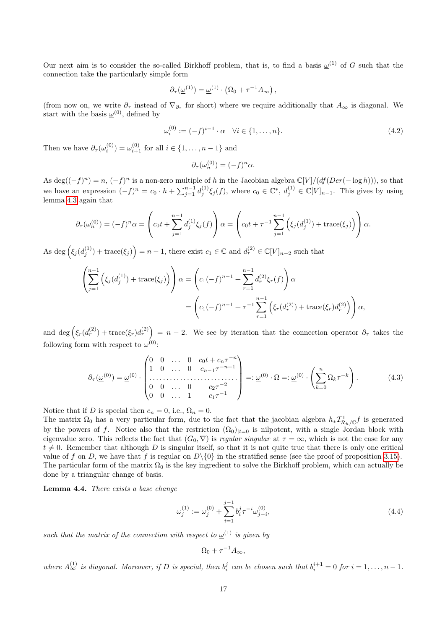Our next aim is to consider the so-called Birkhoff problem, that is, to find a basis  $\omega^{(1)}$  of G such that the connection take the particularly simple form

$$
\partial_{\tau}(\underline{\omega}^{(1)}) = \underline{\omega}^{(1)} \cdot (\Omega_0 + \tau^{-1} A_{\infty}),
$$

(from now on, we write  $\partial_{\tau}$  instead of  $\nabla_{\partial_{\tau}}$  for short) where we require additionally that  $A_{\infty}$  is diagonal. We start with the basis  $\underline{\omega}^{(0)}$ , defined by

$$
\omega_i^{(0)} := (-f)^{i-1} \cdot \alpha \quad \forall i \in \{1, \dots, n\}.
$$
\n
$$
(4.2)
$$

Then we have  $\partial_{\tau}(\omega_i^{(0)}) = \omega_{i+1}^{(0)}$  for all  $i \in \{1, ..., n-1\}$  and

$$
\partial_{\tau}(\omega_n^{(0)}) = (-f)^n \alpha.
$$

As deg( $(-f)^n$ ) = n,  $(-f)^n$  is a non-zero multiple of h in the Jacobian algebra  $\mathbb{C}[V]/(df(Der(-\log h)))$ , so that we have an expression  $(-f)^n = c_0 \cdot h + \sum_{j=1}^{n-1} d_j^{(1)} \xi_j(f)$ , where  $c_0 \in \mathbb{C}^*$ ,  $d_j^{(1)} \in \mathbb{C}[V]_{n-1}$ . This gives by using lemma [4.3](#page-15-0) again that

$$
\partial_{\tau}(\omega_n^{(0)}) = (-f)^n \alpha = \left( c_0 t + \sum_{j=1}^{n-1} d_j^{(1)} \xi_j(f) \right) \alpha = \left( c_0 t + \tau^{-1} \sum_{j=1}^{n-1} \left( \xi_j(d_j^{(1)}) + \text{trace}(\xi_j) \right) \right) \alpha.
$$

As  $\deg \left( \xi_j(d_j^{(1)}) + \text{trace}(\xi_j) \right) = n - 1$ , there exist  $c_1 \in \mathbb{C}$  and  $d_r^{(2)} \in \mathbb{C}[V]_{n-2}$  such that

$$
\left(\sum_{j=1}^{n-1} \left(\xi_j(d_j^{(1)}) + \text{trace}(\xi_j)\right)\right) \alpha = \left(c_1(-f)^{n-1} + \sum_{r=1}^{n-1} d_r^{(2)} \xi_r(f)\right) \alpha
$$

$$
= \left(c_1(-f)^{n-1} + \tau^{-1} \sum_{r=1}^{n-1} \left(\xi_r(d_r^{(2)}) + \text{trace}(\xi_r)d_r^{(2)}\right)\right) \alpha,
$$

and deg  $(\xi_r(d_r^{(2)}) + \text{trace}(\xi_r)d_r^{(2)}) = n-2$ . We see by iteration that the connection operator  $\partial_{\tau}$  takes the following form with respect to  $\underline{\omega}^{(0)}$ :

$$
\partial_{\tau}(\underline{\omega}^{(0)}) = \underline{\omega}^{(0)} \cdot \begin{pmatrix} 0 & 0 & \dots & 0 & c_0 t + c_n \tau^{-n} \\ 1 & 0 & \dots & 0 & c_{n-1} \tau^{-n+1} \\ \vdots & \vdots & \vdots & \vdots \\ 0 & 0 & \dots & 0 & c_2 \tau^{-2} \\ 0 & 0 & \dots & 1 & c_1 \tau^{-1} \end{pmatrix} =: \underline{\omega}^{(0)} \cdot \Omega =: \underline{\omega}^{(0)} \cdot \left( \sum_{k=0}^n \Omega_k \tau^{-k} \right). \tag{4.3}
$$

Notice that if D is special then  $c_n = 0$ , i.e.,  $\Omega_n = 0$ .

The matrix  $\Omega_0$  has a very particular form, due to the fact that the jacobian algebra  $h_*\mathcal{T}^1_{\mathcal{R}_h/\mathbb{C}}f$  is generated by the powers of f. Notice also that the restriction  $(\Omega_0)|_{t=0}$  is nilpotent, with a single Jordan block with eigenvalue zero. This reflects the fact that  $(G_0, \nabla)$  is *regular singular* at  $\tau = \infty$ , which is not the case for any  $t \neq 0$ . Remember that although D is singular itself, so that it is not quite true that there is only one critical value of f on D, we have that f is regular on  $D\setminus\{0\}$  in the stratified sense (see the proof of proposition [3.15\)](#page-12-2). The particular form of the matrix  $\Omega_0$  is the key ingredient to solve the Birkhoff problem, which can actually be done by a triangular change of basis.

<span id="page-16-0"></span>Lemma 4.4. There exists a base change

<span id="page-16-1"></span>
$$
\omega_j^{(1)} := \omega_j^{(0)} + \sum_{i=1}^{j-1} b_i^j \tau^{-i} \omega_{j-i}^{(0)}, \tag{4.4}
$$

such that the matrix of the connection with respect to  $\underline{\omega}^{(1)}$  is given by

$$
\Omega_0 + \tau^{-1} A_\infty,
$$

where  $A_{\infty}^{(1)}$  is diagonal. Moreover, if D is special, then  $b_i^j$  can be chosen such that  $b_i^{i+1} = 0$  for  $i = 1, \ldots, n-1$ .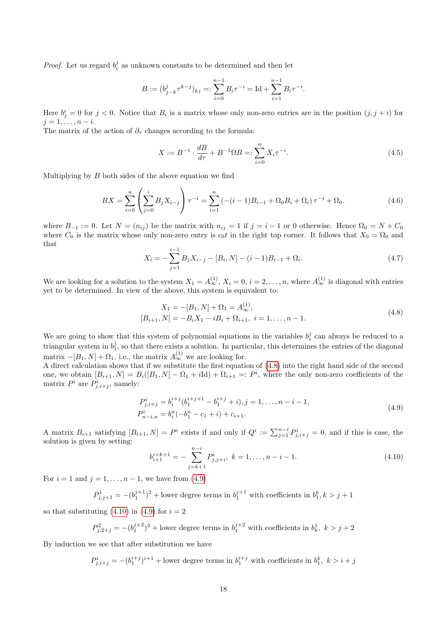*Proof.* Let us regard  $b_i^j$  as unknown constants to be determined and then let

$$
B := (b_{j-k}^j \tau^{k-j})_{kj} =: \sum_{i=0}^{n-1} B_i \tau^{-i} = \text{Id} + \sum_{i=1}^{n-1} B_i \tau^{-i}.
$$

Here  $b_j^i = 0$  for  $j < 0$ . Notice that  $B_i$  is a matrix whose only non-zero entries are in the position  $(j, j + i)$  for  $j = 1, \ldots, n - i.$ 

The matrix of the action of  $\partial_{\tau}$  changes according to the formula:

$$
X := B^{-1} \cdot \frac{dB}{d\tau} + B^{-1} \Omega B =: \sum_{i=0}^{n} X_i \tau^{-i}.
$$
\n(4.5)

Multiplying by  $B$  both sides of the above equation we find

$$
BX = \sum_{i=0}^{n} \left( \sum_{j=0}^{i} B_j X_{i-j} \right) \tau^{-i} = \sum_{i=1}^{n} \left( -(i-1)B_{i-1} + \Omega_0 B_i + \Omega_i \right) \tau^{-i} + \Omega_0.
$$
 (4.6)

where  $B_{-1} := 0$ . Let  $N = (n_{ij})$  be the matrix with  $n_{ij} = 1$  if  $j = i - 1$  or 0 otherwise. Hence  $\Omega_0 = N + C_0$ where  $C_0$  is the matrix whose only non-zero entry is  $c_0t$  in the right top corner. It follows that  $X_0 = \Omega_0$  and that

$$
X_i = -\sum_{j=1}^{i-1} B_j X_{i-j} - [B_i, N] - (i-1)B_{i-1} + \Omega_i.
$$
\n(4.7)

We are looking for a solution to the system  $X_1 = A_{\infty}^{(1)}$ ,  $X_i = 0$ ,  $i = 2, \ldots, n$ , where  $A_{\infty}^{(1)}$  is diagonal with entries yet to be determined. In view of the above, this system is equivalent to:

<span id="page-17-0"></span>
$$
X_1 = -[B_1, N] + \Omega_1 = A_{\infty}^{(1)},
$$
  
\n
$$
[B_{i+1}, N] = -B_i X_1 - iB_i + \Omega_{i+1}, \ i = 1, ..., n-1.
$$
\n(4.8)

We are going to show that this system of polynomial equations in the variables  $b_i^j$  can always be reduced to a triangular system in  $b_1^j$ , so that there exists a solution. In particular, this determines the entries of the diagonal matrix  $-[B_1, N] + \Omega_1$ , i.e., the matrix  $A_\infty^{(1)}$  we are looking for.

A direct calculation shows that if we substitute the first equation of [\(4.8\)](#page-17-0) into the right hand side of the second one, we obtain  $[B_{i+1}, N] = B_i([B_1, N] - \Omega_1 + i\text{Id}) + \Omega_{i+1} =: P^i$ , where the only non-zero coefficients of the matrix  $P^i$  are  $P^i_{j,i+j}$ , namely:

$$
P_{j,i+j}^{i} = b_{i}^{i+j} (b_{1}^{i+j+1} - b_{1}^{i+j} + i), j = 1, ..., n-i-1,
$$
  
\n
$$
P_{n-i,n}^{i} = b_{i}^{n} (-b_{1}^{n} - c_{1} + i) + c_{i+1}.
$$
\n(4.9)

A matrix  $B_{i+1}$  satisfying  $[B_{i+1}, N] = P^i$  exists if and only if  $Q^i := \sum_{j=1}^{n-i} P^i_{j,i+j} = 0$ , and if this is case, the solution is given by setting:

<span id="page-17-2"></span><span id="page-17-1"></span>
$$
b_{i+1}^{i+k+1} = -\sum_{j=k+1}^{n-i} P_{j,j+i}^i, \ k = 1, \dots, n-i-1.
$$
 (4.10)

For  $i = 1$  and  $j = 1, ..., n - 1$ , we have from [\(4.9\)](#page-17-1)

$$
P^1_{j,j+1} = - (b_1^{j+1})^2
$$
 + lower degree terms in  $b_1^{j+1}$  with coefficients in  $b_1^k, k > j+1$ 

so that substituting  $(4.10)$  in  $(4.9)$  for  $i = 2$ 

$$
P^2_{j,2+j} = - (b_1^{j+2})^3
$$
 + lower degree terms in  $b_1^{j+2}$  with coefficients in  $b_k^1$ ,  $k > j+2$ 

By induction we see that after substitution we have

$$
P_{j,i+j}^{i} = -(b_1^{i+j})^{i+1} +
$$
lower degree terms in  $b_1^{i+j}$  with coefficients in  $b_1^k$ ,  $k > i + j$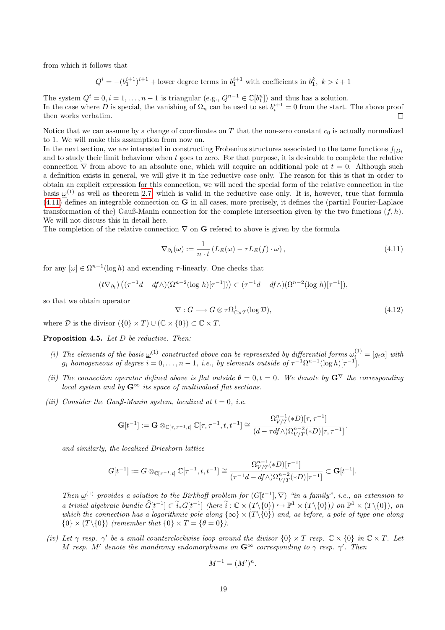from which it follows that

$$
Q^{i} = -(b_1^{i+1})^{i+1}
$$
 + lower degree terms in  $b_1^{i+1}$  with coefficients in  $b_1^k$ ,  $k > i+1$ 

The system  $Q^i = 0, i = 1, \ldots, n - 1$  is triangular  $(e.g., Q^{n-1} \in \mathbb{C}[b_1^n])$  and thus has a solution. In the case where D is special, the vanishing of  $\Omega_n$  can be used to set  $b_i^{i+1} = 0$  from the start. The above proof then works verbatim.

Notice that we can assume by a change of coordinates on  $T$  that the non-zero constant  $c_0$  is actually normalized to 1. We will make this assumption from now on.

In the next section, we are interested in constructing Frobenius structures associated to the tame functions  $f_{|D_t}$ and to study their limit behaviour when t goes to zero. For that purpose, it is desirable to complete the relative connection  $\nabla$  from above to an absolute one, which will acquire an additional pole at  $t = 0$ . Although such a definition exists in general, we will give it in the reductive case only. The reason for this is that in order to obtain an explicit expression for this connection, we will need the special form of the relative connection in the basis  $\underline{\omega}^{(1)}$  as well as theorem [2.7,](#page-5-0) which is valid in the reductive case only. It is, however, true that formula  $(4.11)$  defines an integrable connection on **G** in all cases, more precisely, it defines the (partial Fourier-Laplace transformation of the) Gauß-Manin connection for the complete intersection given by the two functions  $(f, h)$ . We will not discuss this in detail here.

The completion of the relative connection  $\nabla$  on **G** refered to above is given by the formula

<span id="page-18-0"></span>
$$
\nabla_{\partial_t}(\omega) := \frac{1}{n \cdot t} \left( L_E(\omega) - \tau L_E(f) \cdot \omega \right),\tag{4.11}
$$

for any  $[\omega] \in \Omega^{n-1}(\log h)$  and extending  $\tau$ -linearly. One checks that

$$
(t\nabla_{\partial_t})\left((\tau^{-1}d - df \wedge)(\Omega^{n-2}(\log h)[\tau^{-1}])\right) \subset (\tau^{-1}d - df \wedge)(\Omega^{n-2}(\log h)[\tau^{-1}]),
$$

so that we obtain operator

<span id="page-18-1"></span>
$$
\nabla: G \longrightarrow G \otimes \tau \Omega^1_{\mathbb{C} \times T}(\log \mathcal{D}),\tag{4.12}
$$

where  $\mathcal D$  is the divisor  $({0} \times T) \cup (\mathbb C \times {0}) \subset \mathbb C \times T$ .

<span id="page-18-2"></span>Proposition 4.5. Let D be reductive. Then:

- (i) The elements of the basis  $\underline{\omega}^{(1)}$  constructed above can be represented by differential forms  $\omega_i^{(1)} = [g_i \alpha]$  with  $g_i$  homogeneous of degree  $i = 0, \ldots, n - 1$ , i.e., by elements outside of  $\tau^{-1} \Omega^{n-1} (\log h)[\tau^{-1}]$ .
- (ii) The connection operator defined above is flat outside  $\theta = 0, t = 0$ . We denote by  $G^{\nabla}$  the corresponding local system and by  $G^{\infty}$  its space of multivalued flat sections.
- (iii) Consider the Gauß-Manin system, localized at  $t = 0$ , i.e.

$$
\mathbf{G}[t^{-1}]:=\mathbf{G}\otimes_{\mathbb{C}[\tau,\tau^{-1},t]}\mathbb{C}[\tau,\tau^{-1},t,t^{-1}]\cong\frac{\Omega_{V/T}^{n-1}(*D)[\tau,\tau^{-1}]}{(d-\tau df\wedge)\Omega_{V/T}^{n-2}(*D)[\tau,\tau^{-1}]}.
$$

and similarly, the localized Brieskorn lattice

$$
G[t^{-1}]:=G\otimes_{\mathbb{C}[\tau^{-1},t]}\mathbb{C}[\tau^{-1},t,t^{-1}]\cong \frac{\Omega_{V/T}^{n-1}(*D)[\tau^{-1}]}{(\tau^{-1}d-df\wedge)\Omega_{V/T}^{n-2}(*D)[\tau^{-1}]}\subset \mathbf{G}[t^{-1}].
$$

Then  $\underline{\omega}^{(1)}$  provides a solution to the Birkhoff problem for  $(G[t^{-1}], \nabla)$  "in a family", i.e., an extension to a trivial algebraic bundle  $\widehat{G}[t^{-1}] \subset \widetilde{i}_* G[t^{-1}]$  (here  $\widetilde{i}: \mathbb{C} \times (T \setminus \{0\}) \to \mathbb{P}^1 \times (T \setminus \{0\})$ ) on  $\mathbb{P}^1 \times (T \setminus \{0\})$ , on which the connection has a logarithmic pole along  $\{\infty\} \times (T\backslash \{0\})$  and, as before, a pole of type one along  $\{0\} \times (T \setminus \{0\})$  (remember that  $\{0\} \times T = \{\theta = 0\}$ ).

(iv) Let  $\gamma$  resp.  $\gamma'$  be a small counterclockwise loop around the divisor  $\{0\} \times T$  resp.  $\mathbb{C} \times \{0\}$  in  $\mathbb{C} \times T$ . Let M resp. M' denote the mondromy endomorphisms on  $\mathbf{G}^{\infty}$  corresponding to  $\gamma$  resp.  $\gamma'$ . Then

$$
M^{-1} = (M')^n.
$$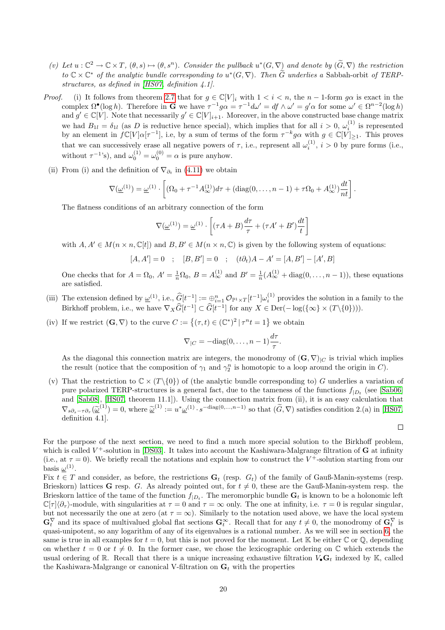- (v) Let  $u : \mathbb{C}^2 \to \mathbb{C} \times T$ ,  $(\theta, s) \mapsto (\theta, s^n)$ . Consider the pullback  $u^*(G, \nabla)$  and denote by  $(\widetilde{G}, \nabla)$  the restriction to  $\mathbb{C} \times \mathbb{C}^*$  of the analytic bundle corresponding to  $u^*(G, \nabla)$ . Then  $\widetilde{G}$  underlies a Sabbah-orbit of TERPstructures, as defined in [\[HS07,](#page-35-11) definition 4.1].
- *Proof.* (i) It follows from theorem [2.7](#page-5-0) that for  $g \in \mathbb{C}[V]_i$  with  $1 < i < n$ , the  $n-1$ -form  $g\alpha$  is exact in the complex  $\Omega^{\bullet}(\log h)$ . Therefore in **G** we have  $\tau^{-1}g\alpha = \tau^{-1}d\omega' = df \wedge \omega' = g'\alpha$  for some  $\omega' \in \Omega^{n-2}(\log h)$ and  $g' \in \mathbb{C}[V]$ . Note that necessarily  $g' \in \mathbb{C}[V]_{i+1}$ . Moreover, in the above constructed base change matrix we had  $B_{1l} = \delta_{1l}$  (as D is reductive hence special), which implies that for all  $i > 0$ ,  $\omega_i^{(1)}$  is represented we had  $D_1 l = o_1 l$  (as *D* is reductive hence special), which implies that for all  $l > 0$ ,  $\omega_i$  is represented<br>by an element in  $fC[V]\alpha[\tau^{-1}]$ , i.e, by a sum of terms of the form  $\tau^{-k}g\alpha$  with  $g \in C[V]_{\geq 1}$ . This prove that we can successively erase all negative powers of  $\tau$ , i.e., represent all  $\omega_i^{(1)}$ ,  $i > 0$  by pure forms (i.e., without  $\tau^{-1}$ 's), and  $\omega_0^{(1)} = \omega_0^{(0)} = \alpha$  is pure anyhow.
	- (ii) From (i) and the definition of  $\nabla_{\partial_t}$  in [\(4.11\)](#page-18-0) we obtain

$$
\nabla(\underline{\omega}^{(1)}) = \underline{\omega}^{(1)} \cdot \left[ (\Omega_0 + \tau^{-1} A_{\infty}^{(1)}) d\tau + (\text{diag}(0, \ldots, n-1) + \tau \Omega_0 + A_{\infty}^{(1)}) \frac{dt}{nt} \right].
$$

The flatness conditions of an arbitrary connection of the form

$$
\nabla(\underline{\omega}^{(1)}) = \underline{\omega}^{(1)} \cdot \left[ (\tau A + B) \frac{d\tau}{\tau} + (\tau A' + B') \frac{dt}{t} \right]
$$

with  $A, A' \in M(n \times n, \mathbb{C}[t])$  and  $B, B' \in M(n \times n, \mathbb{C})$  is given by the following system of equations:

$$
[A,A']=0\quad;\quad [B,B']=0\quad;\quad (t\partial_t)A-A'=[A,B']-[A',B]
$$

One checks that for  $A = \Omega_0$ ,  $A' = \frac{1}{n}\Omega_0$ ,  $B = A_{\infty}^{(1)}$  and  $B' = \frac{1}{n}(A_{\infty}^{(1)} + \text{diag}(0, \ldots, n-1))$ , these equations are satisfied.

- (iii) The extension defined by  $\underline{\omega}^{(1)}$ , i.e.,  $\widehat{G}[t^{-1}] := \bigoplus_{i=1}^n \mathcal{O}_{\mathbb{P}^1 \times T}[t^{-1}]\omega_i^{(1)}$  provides the solution in a family to the Birkhoff problem, i.e., we have  $\nabla_X \widehat{G}[t^{-1}] \subset \widehat{G}[t^{-1}]$  for any  $X \in \text{Der}(-\log(\{\infty\} \times (T \setminus \{0\})))$ .
- (iv) If we restrict  $(G, \nabla)$  to the curve  $C := \{ (\tau, t) \in (\mathbb{C}^*)^2 \mid \tau^n t = 1 \}$  we obtain

$$
\nabla_{|C} = -\text{diag}(0,\ldots,n-1)\frac{d\tau}{\tau}.
$$

As the diagonal this connection matrix are integers, the monodromy of  $(G, \nabla)_{C}$  is trivial which implies the result (notice that the composition of  $\gamma_1$  and  $\gamma_2^n$  is homotopic to a loop around the origin in C).

(v) That the restriction to  $\mathbb{C} \times (T \setminus \{0\})$  of (the analytic bundle corresponding to) G underlies a variation of pure polarized TERP-structures is a general fact, due to the tameness of the functions  $f_{|D_t}$  (see [\[Sab06\]](#page-35-9) and [\[Sab08\]](#page-36-5), [\[HS07,](#page-35-11) theorem 11.1]). Using the connection matrix from (ii), it is an easy calculation that  $\nabla_{s\partial_s - \tau \partial_\tau}(\tilde{\omega}^{(1)}) = 0$ , where  $\tilde{\omega}^{(1)} := u^* \omega^{(1)} \cdot s^{-\text{diag}(0,\dots,n-1)}$  so that  $(\tilde{G}, \nabla)$  satisfies condition 2.(a) in [\[HS07,](#page-35-11) definition 4.1].

For the purpose of the next section, we need to find a much more special solution to the Birkhoff problem, which is called  $V^+$ -solution in [\[DS03\]](#page-35-0). It takes into account the Kashiwara-Malgrange filtration of **G** at infinity (i.e., at  $\tau = 0$ ). We briefly recall the notations and explain how to construct the  $V^+$ -solution starting from our basis  $\underline{\omega}^{(1)}$ .

Fix  $t \in T$  and consider, as before, the restrictions  $G_t$  (resp.  $G_t$ ) of the family of Gauß-Manin-systems (resp. Brieskorn) lattices G resp. G. As already pointed out, for  $t \neq 0$ , these are the Gauß-Manin-system resp. the Brieskorn lattice of the tame of the function  $f_{|D_t}$ . The meromorphic bundle  $\mathbf{G}_t$  is known to be a holonomic left  $\mathbb{C}[\tau]\langle\partial_{\tau}\rangle$ -module, with singularities at  $\tau = 0$  and  $\tau = \infty$  only. The one at infinity, i.e.  $\tau = 0$  is regular singular, but not necessarily the one at zero (at  $\tau = \infty$ ). Similarly to the notation used above, we have the local system  $\mathbf{G}_t^{\nabla}$  and its space of multivalued global flat sections  $\mathbf{G}_t^{\infty}$ . Recall that for any  $t \neq 0$ , the monodromy of  $\mathbf{G}_t^{\nabla}$  is quasi-unipotent, so any logarithm of any of its eigenvalues is a rational number. As we will see in section [6,](#page-31-0) the same is true in all examples for  $t = 0$ , but this is not proved for the moment. Let K be either  $\mathbb C$  or  $\mathbb Q$ , depending on whether  $t = 0$  or  $t \neq 0$ . In the former case, we chose the lexicographic ordering on C which extends the usual ordering of R. Recall that there is a unique increasing exhaustive filtration  $V_{\bullet}G_t$  indexed by K, called the Kashiwara-Malgrange or canonical V-filtration on  $\mathbf{G}_t$  with the properties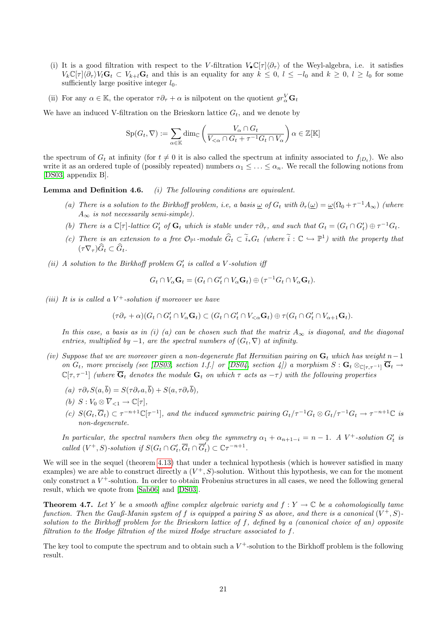- (i) It is a good filtration with respect to the V-filtration  $V_{\bullet} \mathbb{C}[\tau] \langle \partial_{\tau} \rangle$  of the Weyl-algebra, i.e. it satisfies  $V_k\mathbb{C}[\tau]\langle\partial_\tau V_k\mathbf{G}_t \subset V_{k+l}\mathbf{G}_t$  and this is an equality for any  $k \leq 0, l \leq -l_0$  and  $k \geq 0, l \geq l_0$  for some sufficiently large positive integer  $l_0$ .
- (ii) For any  $\alpha \in \mathbb{K}$ , the operator  $\tau \partial_{\tau} + \alpha$  is nilpotent on the quotient  $gr^V_{\alpha} \mathbf{G}_t$

We have an induced V-filtration on the Brieskorn lattice  $G_t$ , and we denote by

$$
\operatorname{Sp}(G_t, \nabla) := \sum_{\alpha \in \mathbb{K}} \dim_{\mathbb{C}} \left( \frac{V_{\alpha} \cap G_t}{V_{<\alpha} \cap G_t + \tau^{-1} G_t \cap V_{\alpha}} \right) \alpha \in \mathbb{Z}[\mathbb{K}]
$$

the spectrum of  $G_t$  at infinity (for  $t \neq 0$  it is also called the spectrum at infinity associated to  $f_{|D_t}$ ). We also write it as an ordered tuple of (possibly repeated) numbers  $\alpha_1 \leq \ldots \leq \alpha_n$ . We recall the following notions from [\[DS03,](#page-35-0) appendix B].

<span id="page-20-0"></span>**Lemma and Definition 4.6.** (i) The following conditions are equivalent.

- (a) There is a solution to the Birkhoff problem, i.e, a basis  $\omega$  of  $G_t$  with  $\partial_{\tau}(\omega) = \omega(\Omega_0 + \tau^{-1}A_{\infty})$  (where  $A_{\infty}$  is not necessarily semi-simple).
- (b) There is a  $\mathbb{C}[\tau]$ -lattice  $G'_t$  of  $\mathbf{G}_t$  which is stable under  $\tau \partial_{\tau}$ , and such that  $G_t = (G_t \cap G'_t) \oplus \tau^{-1} G_t$ .
- (c) There is an extension to a free  $\mathcal{O}_{\mathbb{P}^1}$ -module  $\widehat{G}_t \subset \widetilde{i}_*G_t$  (where  $\widetilde{i}: \mathbb{C} \hookrightarrow \mathbb{P}^1$ ) with the property that  $(\tau \nabla_{\tau}) \ddot{G_t} \subset \ddot{G_t}.$
- (ii) A solution to the Birkhoff problem  $G'_{t}$  is called a V-solution if

$$
G_t \cap V_{\alpha} \mathbf{G}_t = (G_t \cap G'_t \cap V_{\alpha} \mathbf{G}_t) \oplus (\tau^{-1} G_t \cap V_{\alpha} \mathbf{G}_t).
$$

(iii) It is is called a  $V^+$ -solution if moreover we have

$$
(\tau\partial_{\tau}+\alpha)(G_t\cap G'_t\cap V_{\alpha}\mathbf{G}_t)\subset (G_t\cap G'_t\cap V_{<\alpha}\mathbf{G}_t)\oplus \tau(G_t\cap G'_t\cap V_{\alpha+1}\mathbf{G}_t).
$$

In this case, a basis as in (i) (a) can be chosen such that the matrix  $A_{\infty}$  is diagonal, and the diagonal entries, multiplied by  $-1$ , are the spectral numbers of  $(G_t, \nabla)$  at infinity.

- (iv) Suppose that we are moreover given a non-degenerate flat Hermitian pairing on  $\mathbf{G}_t$  which has weight n−1 on  $G_t$ , more precisely (see [\[DS03,](#page-35-0) section 1.f.] or [\[DS04,](#page-35-4) section 4]) a morphism  $S: G_t \otimes_{\mathbb{C}[\tau,\tau^{-1}]} \overline{G}_t \to$  $\mathbb{C}[\tau,\tau^{-1}]$  (where  $\overline{\mathbf{G}}_t$  denotes the module  $\mathbf{G}_t$  on which  $\tau$  acts as  $-\tau$ ) with the following properties
	- (a)  $\tau \partial_{\tau} S(a, \overline{b}) = S(\tau \partial_{\tau} a, \overline{b}) + S(a, \tau \partial_{\tau} \overline{b}).$
	- (b)  $S: V_0 \otimes \overline{V}_{\leq 1} \to \mathbb{C}[\tau],$
	- (c)  $S(G_t, \overline{G}_t) \subset \tau^{-n+1} \mathbb{C}[\tau^{-1}]$ , and the induced symmetric pairing  $G_t/\tau^{-1}G_t \otimes G_t/\tau^{-1}G_t \to \tau^{-n+1} \mathbb{C}$  is non-degenerate.

In particular, the spectral numbers then obey the symmetry  $\alpha_1 + \alpha_{n+1-i} = n-1$ . A V<sup>+</sup>-solution  $G'_t$  is called  $(V^+, S)$ -solution if  $S(G_t \cap G'_t, \overline{G}_t \cap \overline{G}'_t)$  $t'$ )  $\subset$   $\mathbb{C}\tau^{-n+1}$ .

We will see in the sequel (theorem [4.13\)](#page-23-0) that under a technical hypothesis (which is however satisfied in many examples) we are able to construct directly a  $(V^+, S)$ -solution. Without this hypothesis, we can for the moment only construct a  $V^+$ -solution. In order to obtain Frobenius structures in all cases, we need the following general result, which we quote from [\[Sab06\]](#page-35-9) and [\[DS03\]](#page-35-0).

<span id="page-20-2"></span>**Theorem 4.7.** Let Y be a smooth affine complex algebraic variety and  $f: Y \to \mathbb{C}$  be a cohomologically tame function. Then the Gauß-Manin system of f is equipped a pairing S as above, and there is a canonical  $(V^+, S)$ . solution to the Birkhoff problem for the Brieskorn lattice of f, defined by a (canonical choice of an) opposite filtration to the Hodge filtration of the mixed Hodge structure associated to f.

<span id="page-20-1"></span>The key tool to compute the spectrum and to obtain such a  $V^+$ -solution to the Birkhoff problem is the following result.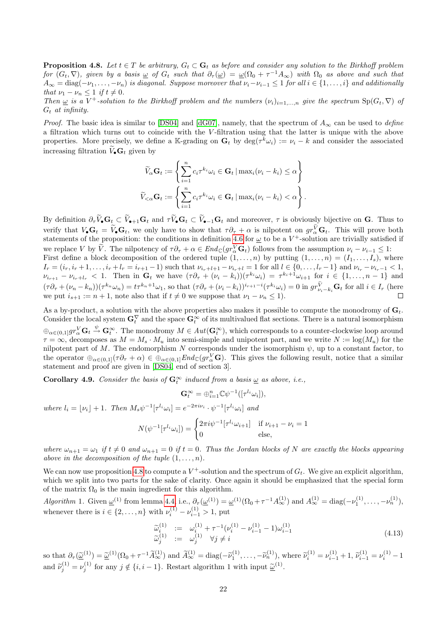**Proposition 4.8.** Let  $t \in T$  be arbitrary,  $G_t \subset \mathbf{G}_t$  as before and consider any solution to the Birkhoff problem for  $(G_t, \nabla)$ , given by a basis  $\omega$  of  $G_t$  such that  $\partial_{\tau}(\omega) = \omega(\Omega_0 + \tau^{-1}A_{\infty})$  with  $\Omega_0$  as above and such that  $A_\infty=\mathrm{diag}(-\nu_1,\ldots,-\nu_n)$  is diagonal. Suppose moreover that  $\nu_i-\nu_{i-1}\leq 1$  for all  $i\in\{1,\ldots,i\}$  and additionally that  $\nu_1 - \nu_n \leq 1$  if  $t \neq 0$ .

Then  $\underline{\omega}$  is a V<sup>+</sup>-solution to the Birkhoff problem and the numbers  $(\nu_i)_{i=1,\dots,n}$  give the spectrum  $Sp(G_t, \nabla)$  of  $G_t$  at infinity.

*Proof.* The basic idea is similar to [\[DS04\]](#page-35-4) and [\[dG07\]](#page-34-7), namely, that the spectrum of  $A_{\infty}$  can be used to define a filtration which turns out to coincide with the V-filtration using that the latter is unique with the above properties. More precisely, we define a K-grading on  $\mathbf{G}_t$  by  $\text{deg}(\tau^{\overline{k}}\omega_i) := \nu_i - k$  and consider the associated increasing filtration  $\widetilde{V}_\bullet\mathbf{G}_t$  given by

$$
\widetilde{V}_{\alpha} \mathbf{G}_{t} := \left\{ \sum_{i=1}^{n} c_{i} \tau^{k_{i}} \omega_{i} \in \mathbf{G}_{t} \mid \max_{i} (\nu_{i} - k_{i}) \leq \alpha \right\}
$$
\n
$$
\widetilde{V}_{<\alpha} \mathbf{G}_{t} := \left\{ \sum_{i=1}^{n} c_{i} \tau^{k_{i}} \omega_{i} \in \mathbf{G}_{t} \mid \max_{i} (\nu_{i} - k_{i}) < \alpha \right\}.
$$

By definition  $\partial_{\tau} \widetilde{V}_{\bullet} \mathbf{G}_t \subset \widetilde{V}_{\bullet+1} \mathbf{G}_t$  and  $\tau \widetilde{V}_{\bullet} \mathbf{G}_t \subset \widetilde{V}_{\bullet-1} \mathbf{G}_t$  and moreover,  $\tau$  is obviously bijective on **G**. Thus to verify that  $V_{\bullet}G_t = \tilde{V}_{\bullet}G_t$ , we only have to show that  $\tau \partial_{\tau} + \alpha$  is nilpotent on  $gr^V_{\alpha}G_t$ . This will prove both statements of the proposition: the conditions in definition [4.6](#page-20-0) for  $\omega$  to be a V<sup>+</sup>-solution are trivially satisfied if we replace V by  $\tilde{V}$ . The nilpotency of  $\tau \partial_{\tau} + \alpha \in End_{\mathbb{C}}(gr_{\alpha}^V \mathbf{G}_t)$  follows from the assumption  $\nu_i - \nu_{i-1} \leq 1$ : First define a block decomposition of the ordered tuple  $(1, \ldots, n)$  by putting  $(1, \ldots, n) = (I_1, \ldots, I_s)$ , where  $I_r = (i_r, i_r + 1, \ldots, i_r + l_r = i_{r+1} - 1)$  such that  $\nu_{i_r+l+1} - \nu_{i_r+l} = 1$  for all  $l \in \{0, \ldots, l_r - 1\}$  and  $\nu_{i_r} - \nu_{i_r-1} < 1$ ,  $\nu_{i_{r+1}} - \nu_{i_r+l_r} < 1$ . Then in  $\mathbf{G}_t$  we have  $(\tau \partial_\tau + (\nu_i - k_i))(\tau^{k_i} \omega_i) = \tau^{k_i+1} \omega_{i+1}$  for  $i \in \{1, ..., n-1\}$  and  $(\tau \partial_\tau + (\nu_n - k_n))(\tau^{k_n} \omega_n) = t \tau^{k_n+1} \omega_1$ , so that  $(\tau \partial_\tau + (\nu_i - k_i))^{i_{r+1}-i} (\tau^{k_i} \omega_i) = 0$  in  $gr_{\nu_i - k_i}^V \mathbf{G}_t$  for all  $i \in I_r$  (here we put  $i_{s+1} := n + 1$ , note also that if  $t \neq 0$  we suppose that  $\nu_1 - \nu_n \leq 1$ .

As a by-product, a solution with the above properties also makes it possible to compute the monodromy of  $G_t$ . Consider the local system  $G_t^{\nabla}$  and the space  $G_t^{\infty}$  of its multivalued flat sections. There is a natural isomorphism  $\oplus_{\alpha\in(0,1]}gr^V_\alpha\mathbf{G}_t\stackrel{\psi}{\rightarrow}\mathbf{G}_t^\infty.$  The monodromy  $M\in Aut(\mathbf{G}_t^\infty),$  which corresponds to a counter-clockwise loop around  $\tau = \infty$ , decomposes as  $M = M_s \cdot M_u$  into semi-simple and unipotent part, and we write  $N := \log(M_u)$  for the nilpotent part of M. The endomorphism N corresponds under the isomorphism  $\psi$ , up to a constant factor, to the operator  $\bigoplus_{\alpha\in(0,1]}(\tau\partial_\tau+\alpha)\in\bigoplus_{\alpha\in(0,1]}End_{\mathbb{C}}(gr_{\alpha}^V\mathbf{G})$ . This gives the following result, notice that a similar statement and proof are given in [\[DS04,](#page-35-4) end of section 3].

<span id="page-21-1"></span>**Corollary 4.9.** Consider the basis of  $\mathbf{G}_t^{\infty}$  induced from a basis  $\underline{\omega}$  as above, i.e.,

$$
\mathbf{G}_t^{\infty} = \bigoplus_{i=1}^n \mathbb{C} \psi^{-1}([\tau^{l_i} \omega_i]),
$$

where  $l_i = \lfloor \nu_i \rfloor + 1$ . Then  $M_s \psi^{-1} [\tau^{l_i} \omega_i] = e^{-2\pi i \nu_i} \cdot \psi^{-1} [\tau^{l_i} \omega_i]$  and

$$
N(\psi^{-1}[\tau^{l_i}\omega_i]) = \begin{cases} 2\pi i\psi^{-1}[\tau^{l_i}\omega_{i+1}] & \text{if } \nu_{i+1} - \nu_i = 1\\ 0 & \text{else,} \end{cases}
$$

where  $\omega_{n+1} = \omega_1$  if  $t \neq 0$  and  $\omega_{n+1} = 0$  if  $t = 0$ . Thus the Jordan blocks of N are exactly the blocks appearing above in the decomposition of the tuple  $(1, \ldots, n)$ .

We can now use proposition [4.8](#page-20-1) to compute a  $V^+$ -solution and the spectrum of  $G_t$ . We give an explicit algorithm, which we split into two parts for the sake of clarity. Once again it should be emphasized that the special form of the matrix  $\Omega_0$  is the main ingredient for this algorithm.

Algorithm 1. Given  $\underline{\omega}^{(1)}$  from lemma [4.4,](#page-16-0) i.e.,  $\partial_{\tau}(\underline{\omega}^{(1)}) = \underline{\omega}^{(1)}(\Omega_0 + \tau^{-1}A_{\infty}^{(1)})$  and  $A_{\infty}^{(1)} = \text{diag}(-\nu_1^{(1)}, \dots, -\nu_n^{(1)}),$ whenever there is  $i \in \{2, ..., n\}$  with  $\nu_i^{(1)} - \nu_{i-1}^{(1)} > 1$ , put

<span id="page-21-0"></span>
$$
\widetilde{\omega}_{i}^{(1)} := \omega_{i}^{(1)} + \tau^{-1}(\nu_{i}^{(1)} - \nu_{i-1}^{(1)} - 1)\omega_{i-1}^{(1)} \n\widetilde{\omega}_{j}^{(1)} := \omega_{j}^{(1)} \quad \forall j \neq i
$$
\n(4.13)

so that  $\partial_{\tau}(\underline{\tilde{\omega}}^{(1)}) = \underline{\tilde{\omega}}^{(1)}(\Omega_0 + \tau^{-1}\tilde{A}_{\infty}^{(1)})$  and  $\tilde{A}_{\infty}^{(1)} = \text{diag}(-\tilde{\nu}_1^{(1)}, \ldots, -\tilde{\nu}_n^{(1)})$ , where  $\tilde{\nu}_i^{(1)} = \nu_{i-1}^{(1)} + 1$ ,  $\tilde{\nu}_{i-1}^{(1)} = \nu_i^{(1)} - 1$ and  $\widetilde{\nu}_j^{(1)} = \nu_j^{(1)}$  for any  $j \notin \{i, i-1\}$ . Restart algorithm 1 with input  $\underline{\widetilde{\omega}}^{(1)}$ .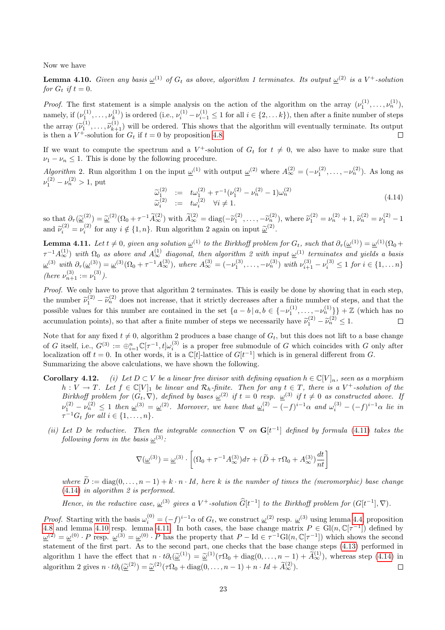<span id="page-22-1"></span>Now we have

**Lemma 4.10.** Given any basis  $\underline{\omega}^{(1)}$  of  $G_t$  as above, algorithm 1 terminates. Its output  $\underline{\omega}^{(2)}$  is a V<sup>+</sup>-solution for  $G_t$  if  $t = 0$ .

*Proof.* The first statement is a simple analysis on the action of the algorithm on the array  $(\nu_1^{(1)}, \ldots, \nu_n^{(1)})$ , namely, if  $(\nu_1^{(1)}, \ldots, \nu_k^{(1)})$  $(k)$  is ordered (i.e.,  $\nu_i^{(1)} - \nu_{i-1}^{(1)} \leq 1$  for all  $i \in \{2, \ldots k\}$ ), then after a finite number of steps the array  $(\tilde{\nu}_1^{(1)}, \ldots, \tilde{\nu}_{k+1}^{(1)})$  will be ordered. This shows that the algorithm will eventually terminate. Its output is then a  $V^{\dagger}$  solution for  $C_k$  if  $t = 0$  by proposition 4.8 is then a  $V^+$ -solution for  $G_t$  if  $t = 0$  by proposition [4.8.](#page-20-1)

If we want to compute the spectrum and a  $V^+$ -solution of  $G_t$  for  $t \neq 0$ , we also have to make sure that  $\nu_1 - \nu_n \leq 1$ . This is done by the following procedure.

Algorithm 2. Run algorithm 1 on the input  $\underline{\omega}^{(1)}$  with output  $\underline{\omega}^{(2)}$  where  $A_{\infty}^{(2)} = (-\nu_1^{(2)}, \ldots, -\nu_n^{(2)})$ . As long as  $\nu_1^{(2)} - \nu_n^{(2)} > 1$ , put

<span id="page-22-0"></span>
$$
\widetilde{\omega}_1^{(2)} := t\omega_1^{(2)} + \tau^{-1}(\nu_1^{(2)} - \nu_n^{(2)} - 1)\omega_n^{(2)} \n\widetilde{\omega}_i^{(2)} := t\omega_i^{(2)} \quad \forall i \neq 1.
$$
\n(4.14)

so that  $\partial_{\tau}(\underline{\tilde{\omega}}^{(2)}) = \underline{\tilde{\omega}}^{(2)}(\Omega_0 + \tau^{-1}\tilde{A}_{\infty}^{(2)})$  with  $\tilde{A}_{\infty}^{(2)} = \text{diag}(-\tilde{\nu}_1^{(2)}, \ldots, -\tilde{\nu}_n^{(2)}),$  where  $\tilde{\nu}_1^{(2)} = \nu_n^{(2)} + 1$ ,  $\tilde{\nu}_n^{(2)} = \nu_1^{(2)} - 1$ and  $\widetilde{\nu}_i^{(2)} = \nu_i^{(2)}$  for any  $i \notin \{1, n\}$ . Run algorithm 2 again on input  $\underline{\widetilde{\omega}}^{(2)}$ .

<span id="page-22-2"></span>**Lemma 4.11.** Let  $t \neq 0$ , given any solution  $\underline{\omega}^{(1)}$  to the Birkhoff problem for  $G_t$ , such that  $\partial_{\tau}(\underline{\omega}^{(1)}) = \underline{\omega}^{(1)}(\Omega_0 +$  $\tau^{-1}A_\infty^{(1)}$ ) with  $\Omega_0$  as above and  $A_\infty^{(1)}$  diagonal, then algorithm 2 with input  $\underline{\omega}^{(1)}$  terminates and yields a basis  $\underline{\omega}^{(3)}$  with  $\partial_{\tau}(\underline{\omega}^{(3)}) = \underline{\omega}^{(3)}(\Omega_0 + \tau^{-1}A_{\infty}^{(3)})$ , where  $A_{\infty}^{(3)} = (-\nu_1^{(3)}, \ldots, -\nu_n^{(3)})$  with  $\nu_{i+1}^{(3)} - \nu_i^{(3)} \leq 1$  for  $i \in \{1, \ldots n\}$ (here  $\nu_{n+1}^{(3)} := \nu_1^{(3)}$ ).

Proof. We only have to prove that algorithm 2 terminates. This is easily be done by showing that in each step, the number  $\tilde{\nu}_1^{(2)} - \tilde{\nu}_n^{(2)}$  does not increase, that it strictly decreases after a finite number of steps, and that the possible values for this number are contained in the set  $\{a - b \mid a, b \in \{-\nu_1^{(1)}, \ldots, -\nu_n^{(1)}\$  $\tilde{\nu}_n^{(2)} - \tilde{\nu}_n^{(2)}$  does not increase, that it strictly decreases after a finite number of steps, and that the accumulation points), so that after a finite number of steps we necessarily have  $\tilde{\nu}_1^{(2)} - \tilde{\nu}_n^{(2)} \le 1$ .

Note that for any fixed  $t \neq 0$ , algorithm 2 produces a base change of  $G_t$ , but this does not lift to a base change of G itself, i.e.,  $G^{(3)} := \bigoplus_{i=1}^{n} \mathbb{C}[\tau^{-1}, t] \omega_i^{(3)}$  is a proper free submodule of G which coincides with G only after localization off  $t = 0$ . In other words, it is a  $\mathbb{C}[t]$ -lattice of  $G[t^{-1}]$  which is in general different from G. Summarizing the above calculations, we have shown the following.

- <span id="page-22-3"></span>**Corollary 4.12.** (i) Let  $D \subset V$  be a linear free divisor with defining equation  $h \in \mathbb{C}[V]_n$ , seen as a morphism  $h: V \to T$ . Let  $f \in \mathbb{C}[V]_1$  be linear and  $\mathcal{R}_h$ -finite. Then for any  $t \in T$ , there is a  $V^+$ -solution of the Birkhoff problem for  $(G_t, \nabla)$ , defined by bases  $\underline{\omega}^{(2)}$  if  $t = 0$  resp.  $\underline{\omega}^{(3)}$  if  $t \neq 0$  as constructed above. If  $\nu_1^{(2)} - \nu_n^{(2)} \leq 1$  then  $\underline{\omega}^{(3)} = \underline{\omega}^{(2)}$ . Moreover, we have that  $\underline{\omega}_i^{(2)} - (-f)^{i-1}\alpha$  and  $\omega_i^{(3)} - (-f)^{i-1}\alpha$  lie in  $\tau^{-1}G_t$  for all  $i \in \{1, \ldots, n\}.$
- (ii) Let D be reductive. Then the integrable connection  $\nabla$  on  $\mathbf{G}[t^{-1}]$  defined by formula [\(4.11\)](#page-18-0) takes the following form in the basis  $\underline{\omega}^{(3)}$ :

$$
\nabla(\underline{\omega}^{(3)}) = \underline{\omega}^{(3)} \cdot \left[ (\Omega_0 + \tau^{-1} A_{\infty}^{(3)}) d\tau + (\widetilde{D} + \tau \Omega_0 + A_{\infty}^{(3)}) \frac{dt}{nt} \right]
$$

where  $\hat{D} := \text{diag}(0, \ldots, n-1) + k \cdot n \cdot Id$ , here k is the number of times the (meromorphic) base change [\(4.14\)](#page-22-0) in algorithm 2 is performed.

Hence, in the reductive case,  $\underline{\omega}^{(3)}$  gives a V<sup>+</sup>-solution  $\widehat{G}[t^{-1}]$  to the Birkhoff problem for  $(G[t^{-1}], \nabla)$ .

*Proof.* Starting with the basis  $\omega_i^{(0)} = (-f)^{i-1}\alpha$  of  $G_t$ , we construct  $\underline{\omega}^{(2)}$  resp.  $\underline{\omega}^{(3)}$  using lemma [4.4,](#page-16-0) proposition [4.8](#page-20-1) and lemma [4.10](#page-22-1) resp. lemma [4.11.](#page-22-2) In both cases, the base change matrix  $P \in Gl(n, \mathbb{C}[\tau^{-1}])$  defined by  $\underline{\omega}^{(2)} = \underline{\omega}^{(0)} \cdot P$  resp.  $\underline{\omega}^{(3)} = \underline{\omega}^{(0)} \cdot P$  has the property that  $P - \text{Id} \in \tau^{-1} \text{Gl}(n, \mathbb{C}[\tau^{-1}])$  which shows the second statement of the first part. As to the second part, one checks that the base change steps [\(4.13\)](#page-21-0) performed in algorithm 1 have the effect that  $n \cdot t\partial_t(\underline{\tilde{\omega}}^{(1)}) = \underline{\tilde{\omega}}^{(1)}(\tau\Omega_0 + \text{diag}(0,\ldots,n-1) + \tilde{A}_{\infty}^{(1)})$ , whereas step [\(4.14\)](#page-22-0) in algorithm 2 gives  $n \cdot t \partial_t(\underline{\tilde{\omega}}^{(2)}) = \underline{\tilde{\omega}}^{(2)}(\tau \Omega_0 + \text{diag}(0, \ldots, n-1) + n \cdot Id + \tilde{A}_{\infty}^{(2)}).$  $\Box$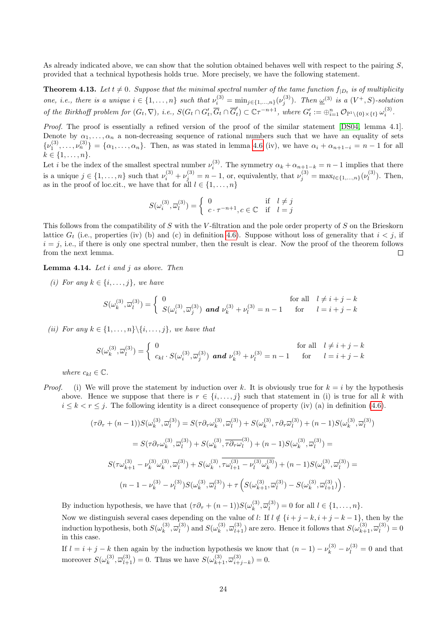As already indicated above, we can show that the solution obtained behaves well with respect to the pairing S, provided that a technical hypothesis holds true. More precisely, we have the following statement.

<span id="page-23-0"></span>**Theorem 4.13.** Let  $t \neq 0$ . Suppose that the minimal spectral number of the tame function  $f_{|D_t}$  is of multiplicity one, i.e., there is a unique  $i \in \{1, \ldots, n\}$  such that  $\nu_i^{(3)} = \min_{j \in \{1, \ldots, n\}} (\nu_j^{(3)})$ . Then  $\underline{\omega}^{(3)}$  is a  $(V^+, S)$ -solution of the Birkhoff problem for  $(G_t, \nabla), i.e., S(G_t \cap G'_t, \overline{G}_t \cap \overline{G}'_t)$  $t_{t}'$ )  $\subset \mathbb{C} \tau^{-n+1}$ , where  $G_{t}' := \bigoplus_{i=1}^{n} \mathcal{O}_{\mathbb{P}^1 \setminus \{0\} \times \{t\}} \omega_i^{(3)}$ .

Proof. The proof is essentially a refined version of the proof of the similar statement [\[DS04,](#page-35-4) lemma 4.1]. Denote by  $\alpha_1, \ldots, \alpha_n$  a non-decreasing sequence of rational numbers such that we have an equality of sets  $\{\nu_1^{(3)}, \ldots, \nu_n^{(3)}\} = \{\alpha_1, \ldots, \alpha_n\}.$  Then, as was stated in lemma [4.6](#page-20-0) (iv), we have  $\alpha_i + \alpha_{n+1-i} = n-1$  for all  $k \in \{1, \ldots, n\}.$ 

Let *i* be the index of the smallest spectral number  $\nu_i^{(3)}$ . The symmetry  $\alpha_k + \alpha_{n+1-k} = n-1$  implies that there is a unique  $j \in \{1, \ldots, n\}$  such that  $\nu_i^{(3)} + \nu_j^{(3)} = n - 1$ , or, equivalently, that  $\nu_j^{(3)} = \max_{l \in \{1, \ldots, n\}} (\nu_l^{(3)})$  $l_l^{(3)}$ ). Then, as in the proof of loc.cit., we have that for all  $l \in \{1, \ldots, n\}$ 

$$
S(\omega_i^{(3)}, \overline{\omega}_l^{(3)}) = \begin{cases} 0 & \text{if } l \neq j \\ c \cdot \tau^{-n+1}, c \in \mathbb{C} & \text{if } l = j \end{cases}
$$

This follows from the compatibility of S with the V-filtration and the pole order property of S on the Brieskorn lattice  $G_t$  (i.e., properties (iv) (b) and (c) in definition [4.6\)](#page-20-0). Suppose without loss of generality that  $i < j$ , if  $i = j$ , i.e., if there is only one spectral number, then the result is clear. Now the proof of the theorem follows from the next lemma.  $\Box$ 

<span id="page-23-1"></span>**Lemma 4.14.** Let  $i$  and  $j$  as above. Then

(i) For any  $k \in \{i, \ldots, j\}$ , we have

$$
S(\omega_k^{(3)}, \overline{\omega}_l^{(3)}) = \begin{cases} 0 & \text{for all} \quad l \neq i+j-k \\ S(\omega_i^{(3)}, \overline{\omega}_j^{(3)}) & \text{and } \nu_k^{(3)} + \nu_l^{(3)} = n-1 & \text{for} \quad l = i+j-k \end{cases}
$$

(ii) For any  $k \in \{1, \ldots, n\} \backslash \{i, \ldots, j\}$ , we have that

$$
S(\omega_k^{(3)}, \overline{\omega}_l^{(3)}) = \begin{cases} 0 & \text{for all } l \neq i+j-k \\ c_{kl} \cdot S(\omega_i^{(3)}, \overline{\omega}_j^{(3)}) & \text{and } \nu_k^{(3)} + \nu_l^{(3)} = n-1 & \text{for } l = i+j-k \end{cases}
$$

where  $c_{kl} \in \mathbb{C}$ .

*Proof.* (i) We will prove the statement by induction over k. It is obviously true for  $k = i$  by the hypothesis above. Hence we suppose that there is  $r \in \{i, \ldots, j\}$  such that statement in (i) is true for all k with  $i \leq k \leq r \leq j$ . The following identity is a direct consequence of property (iv) (a) in definition [\(4.6\)](#page-20-0).

$$
(\tau \partial_{\tau} + (n-1))S(\omega_k^{(3)}, \overline{\omega}_l^{(3)}) = S(\tau \partial_{\tau} \omega_k^{(3)}, \overline{\omega}_l^{(3)}) + S(\omega_k^{(3)}, \tau \partial_{\tau} \overline{\omega}_l^{(3)}) + (n-1)S(\omega_k^{(3)}, \overline{\omega}_l^{(3)})
$$
  

$$
= S(\tau \partial_{\tau} \omega_k^{(3)}, \overline{\omega}_l^{(3)}) + S(\omega_k^{(3)}, \overline{\tau \partial_{\tau} \omega}_l^{(3)}) + (n-1)S(\omega_k^{(3)}, \overline{\omega}_l^{(3)}) =
$$
  

$$
S(\tau \omega_{k+1}^{(3)} - \nu_k^{(3)} \omega_k^{(3)}, \overline{\omega}_l^{(3)}) + S(\omega_k^{(3)}, \overline{\tau \omega_{l+1}^{(3)} - \nu_l^{(3)} \omega_k^{(3)}}) + (n-1)S(\omega_k^{(3)}, \overline{\omega}_l^{(3)}) =
$$
  

$$
(n-1-\nu_k^{(3)} - \nu_l^{(3)})S(\omega_k^{(3)}, \overline{\omega}_l^{(3)}) + \tau \left(S(\omega_{k+1}^{(3)}, \overline{\omega}_l^{(3)}) - S(\omega_k^{(3)}, \overline{\omega}_{l+1}^{(3)})\right).
$$

By induction hypothesis, we have that  $(\tau \partial_{\tau} + (n-1))S(\omega_k^{(3)})$  $\bar{w}_k^{(3)}, \overline{\omega}_l^{(3)}$  $l_l^{(3)}$  = 0 for all  $l \in \{1, ..., n\}$ .

Now we distinguish several cases depending on the value of l: If  $l \notin \{i + j - k, i + j - k - 1\}$ , then by the induction hypothesis, both  $S(\omega_k^{(3)})$  $\bar{\omega}_k^{(3)}, \overline{\omega}_l^{(3)}$  $l_0^{(3)}$  and  $S(\omega_k^{(3)})$  $(k, \overline{\omega}_{l+1}^{(3)})$  are zero. Hence it follows that  $S(\omega_{k+1}^{(3)}, \overline{\omega}_{l}^{(3)})$  $i_l^{(3)} = 0$ in this case.

If  $l = i + j - k$  then again by the induction hypothesis we know that  $(n - 1) - \nu_k^{(3)} - \nu_l^{(3)} = 0$  and that moreover  $S(\omega_k^{(3)}$  $(k^{(3)}, \overline{\omega}_{l+1}^{(3)}) = 0$ . Thus we have  $S(\omega_{k+1}^{(3)}, \overline{\omega}_{i+1}^{(3)})$  $i_{j+k}^{(0)}(i_{j-k})=0.$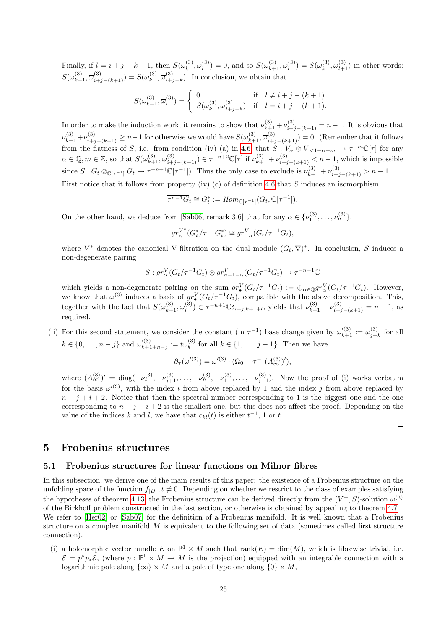Finally, if  $l = i + j - k - 1$ , then  $S(\omega_k^{(3)})$  $\bar{w}_k^{(3)}, \overline{\omega}_l^{(3)}$  $l_1^{(3)}$ ) = 0, and so  $S(\omega_{k+1}^{(3)}, \overline{\omega}_l^{(3)})$  $l_1^{(3)}$ ) =  $S(\omega_k^{(3)})$  $(\mathbf{k}^{(3)}, \overline{\omega}_{l+1}^{(3)})$  in other words:  $S(\omega_{k+1}^{(3)}, \overline{\omega}_{i+j-(k+1)}^{(3)}) = S(\omega_k^{(3)})$  $\bar{\omega}^{(3)}_{k}, \overline{\omega}^{(3)}_{i+1}$  $\binom{5}{i+j-k}$ . In conclusion, we obtain that

$$
S(\omega_{k+1}^{(3)}, \overline{\omega}_l^{(3)}) = \begin{cases} 0 & \text{if } l \neq i+j-(k+1) \\ S(\omega_k^{(3)}, \overline{\omega}_{i+j-k}^{(3)}) & \text{if } l = i+j-(k+1). \end{cases}
$$

In order to make the induction work, it remains to show that  $\nu_{k+1}^{(3)} + \nu_{i+j-(k+1)}^{(3)} = n-1$ . It is obvious that  $\nu_{k+1}^{(3)} + \nu_{i+j-(k+1)}^{(3)} \ge n-1$  for otherwise we would have  $S(\omega_{k+1}^{(3)}, \overline{\omega}_{i+j-(k+1)}^{(3)}) = 0$ . (Remember that it follows from the flatness of S, i.e. from condition (iv) (a) in [4.6,](#page-20-0) that  $S: V_{\alpha} \otimes \overline{V}_{\leq 1-\alpha+m} \to \tau^{-m}\mathbb{C}[\tau]$  for any  $\alpha \in \mathbb{Q}, m \in \mathbb{Z}$ , so that  $S(\omega_{k+1}^{(3)}, \overline{\omega}_{i+j-(k+1)}^{(3)}) \in \tau^{-n+2}\mathbb{C}[\tau]$  if  $\nu_{k+1}^{(3)} + \nu_{i+j-(k+1)}^{(3)} < n-1$ , which is impossible since  $S: G_t \otimes_{\mathbb{C}[\tau^{-1}]} \overline{G}_t \to \tau^{-n+1}\mathbb{C}[\tau^{-1}].$  Thus the only case to exclude is  $\nu_{k+1}^{(3)} + \nu_{i+j-(k+1)}^{(3)} > n-1$ . First notice that it follows from property (iv) (c) of definition [4.6](#page-20-0) that  $S$  induces an isomorphism

$$
\overline{\tau^{n-1}G}_t \cong G_t^* := Hom_{\mathbb{C}[\tau^{-1}]}(G_t, \mathbb{C}[\tau^{-1}]).
$$

On the other hand, we deduce from [\[Sab06,](#page-35-9) remark 3.6] that for any  $\alpha \in {\{\nu_1^{(3)}, \dots, \nu_n^{(3)}\}}$ ,

$$
gr_{\alpha}^{V^*}(G_t^*/\tau^{-1}G_t^*) \cong gr_{-\alpha}^V(G_t/\tau^{-1}G_t),
$$

where  $V^*$  denotes the canonical V-filtration on the dual module  $(G_t, \nabla)^*$ . In conclusion, S induces a non-degenerate pairing

$$
S: gr^V_{\alpha}(G_t/\tau^{-1}G_t) \otimes gr^V_{n-1-\alpha}(G_t/\tau^{-1}G_t) \to \tau^{-n+1}\mathbb{C}
$$

which yields a non-degenerate pairing on the sum  $gr^V_{\bullet}(G_t/\tau^{-1}G_t) := \bigoplus_{\alpha \in \mathbb{Q}} gr^V_{\alpha}(G_t/\tau^{-1}G_t)$ . However, we know that  $\underline{\omega}^{(3)}$  induces a basis of  $gr^V_{\bullet}(G_t/\tau^{-1}G_t)$ , compatible with the above decomposition. This, together with the fact that  $S(\omega_{k+1}^{(3)}, \overline{\omega}_l^{(3)})$ (3) ∈  $\tau^{-n+1}$ C $\delta_{i+j,k+1+l}$ , yields that  $\nu_{k+1}^{(3)} + \nu_{i+j-(k+1)}^{(3)} = n-1$ , as required.

(ii) For this second statement, we consider the constant (in  $\tau^{-1}$ ) base change given by  $\omega'^{(3)}_{k+1} := \omega^{(3)}_{j+1}$  $j+k$  for all  $k \in \{0, \ldots, n-j\}$  and  $\omega'^{(3)}_{k+1}$  $\iota_{k+1+n-j}^{(3)} := t\omega_k^{(3)}$  for all  $k \in \{1, ..., j-1\}$ . Then we have

$$
\partial_{\tau}(\underline{\omega}'^{(3)}) = \underline{\omega}'^{(3)} \cdot (\Omega_0 + \tau^{-1}(A_{\infty}^{(3)})'),
$$

where  $(A_{\infty}^{(3)})' = \text{diag}(-\nu_j^{(3)}, -\nu_{j+1}^{(3)}, \ldots, -\nu_n^{(3)}, -\nu_1^{(3)}, \ldots, -\nu_{j-1}^{(3)}).$  Now the proof of (i) works verbatim for the basis  $\omega^{(3)}$ , with the index i from above replaced by 1 and the index j from above replaced by  $n - j + i + 2$ . Notice that then the spectral number corresponding to 1 is the biggest one and the one corresponding to  $n - j + i + 2$  is the smallest one, but this does not affect the proof. Depending on the value of the indices k and l, we have that  $c_{kl}(t)$  is either  $t^{-1}$ , 1 or t.

 $\Box$ 

# <span id="page-24-0"></span>5 Frobenius structures

#### <span id="page-24-1"></span>5.1 Frobenius structures for linear functions on Milnor fibres

In this subsection, we derive one of the main results of this paper: the existence of a Frobenius structure on the unfolding space of the function  $f_{|D_t}, t \neq 0$ . Depending on whether we restrict to the class of examples satisfying the hypotheses of theorem [4.13,](#page-23-0) the Frobenius structure can be derived directly from the  $(V^+, S)$ -solution  $\underline{\omega}^{(3)}$ of the Birkhoff problem constructed in the last section, or otherwise is obtained by appealing to theorem [4.7.](#page-20-2) We refer to [\[Her02\]](#page-35-12) or [\[Sab07\]](#page-36-6) for the definition of a Frobenius manifold. It is well known that a Frobenius structure on a complex manifold  $M$  is equivalent to the following set of data (sometimes called first structure connection).

(i) a holomorphic vector bundle E on  $\mathbb{P}^1 \times M$  such that rank $(E) = \dim(M)$ , which is fibrewise trivial, i.e.  $\mathcal{E} = p^*p_*\mathcal{E}$ , (where  $p : \mathbb{P}^1 \times M \to M$  is the projection) equipped with an integrable connection with a logarithmic pole along  $\{\infty\} \times M$  and a pole of type one along  $\{0\} \times M$ ,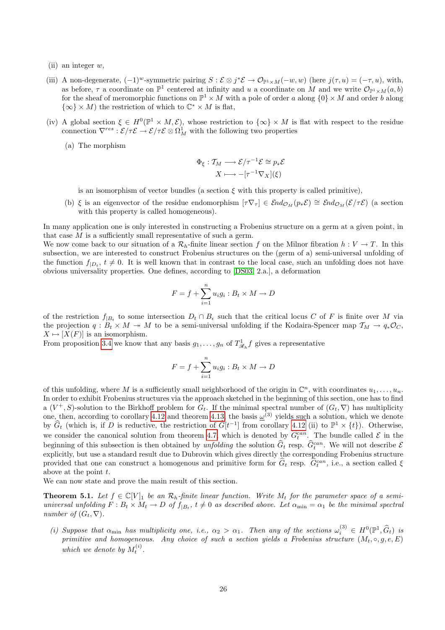- (ii) an integer  $w$ ,
- (iii) A non-degenerate,  $(-1)^w$ -symmetric pairing  $S : \mathcal{E} \otimes j^* \mathcal{E} \to \mathcal{O}_{\mathbb{P}^1 \times M}(-w, w)$  (here  $j(\tau, u) = (-\tau, u)$ , with, as before,  $\tau$  a coordinate on  $\mathbb{P}^1$  centered at infinity and u a coordinate on M and we write  $\mathcal{O}_{\mathbb{P}^1\times M}(a, b)$ for the sheaf of meromorphic functions on  $\mathbb{P}^1 \times M$  with a pole of order a along  $\{0\} \times M$  and order b along  $\{\infty\} \times M$ ) the restriction of which to  $\mathbb{C}^* \times M$  is flat,
- (iv) A global section  $\xi \in H^0(\mathbb{P}^1 \times M, \mathcal{E})$ , whose restriction to  $\{\infty\} \times M$  is flat with respect to the residue connection  $\nabla^{res}: \mathcal{E}/\tau \mathcal{E} \to \mathcal{E}/\tau \mathcal{E} \otimes \Omega^1_M$  with the following two properties
	- (a) The morphism

$$
\Phi_{\xi}: \mathcal{T}_M \longrightarrow \mathcal{E}/\tau^{-1} \mathcal{E} \cong p_* \mathcal{E}
$$

$$
X \longmapsto -[\tau^{-1} \nabla_X](\xi)
$$

is an isomorphism of vector bundles (a section  $\xi$  with this property is called primitive),

(b)  $\xi$  is an eigenvector of the residue endomorphism  $[\tau \nabla_{\tau}] \in \mathcal{E}nd_{\mathcal{O}_M}(p_*\mathcal{E}) \cong \mathcal{E}nd_{\mathcal{O}_M}(\mathcal{E}/\tau \mathcal{E})$  (a section with this property is called homogeneous).

In many application one is only interested in constructing a Frobenius structure on a germ at a given point, in that case  $M$  is a sufficiently small representative of such a germ.

We now come back to our situation of a  $\mathcal{R}_h$ -finite linear section f on the Milnor fibration  $h: V \to T$ . In this subsection, we are interested to construct Frobenius structures on the (germ of a) semi-universal unfolding of the function  $f_{|D_t}, t \neq 0$ . It is well known that in contrast to the local case, such an unfolding does not have obvious universality properties. One defines, according to [\[DS03,](#page-35-0) 2.a.], a deformation

$$
F = f + \sum_{i=1}^{n} u_i g_i : B_t \times M \to D
$$

of the restriction  $f_{|B_t}$  to some intersection  $D_t \cap B_t$  such that the critical locus C of F is finite over M via the projection  $q : B_t \times M \to M$  to be a semi-universal unfolding if the Kodaira-Spencer map  $\mathcal{T}_M \to q_* \mathcal{O}_C$ ,  $X \mapsto [X(F)]$  is an isomorphism.

From proposition [3.4](#page-7-3) we know that any basis  $g_1, \ldots, g_n$  of  $T_{\mathscr{R}_h}^1 f$  gives a representative

$$
F = f + \sum_{i=1}^{n} u_i g_i : B_t \times M \to D
$$

of this unfolding, where M is a sufficiently small neighborhood of the origin in  $\mathbb{C}^n$ , with coordinates  $u_1, \ldots, u_n$ . In order to exhibit Frobenius structures via the approach sketched in the beginning of this section, one has to find a  $(V^+, S)$ -solution to the Birkhoff problem for  $G_t$ . If the minimal spectral number of  $(G_t, \nabla)$  has multiplicity one, then, according to corollary [4.12](#page-22-3) and theorem [4.13,](#page-23-0) the basis  $\omega^{(3)}$  yields such a solution, which we denote by  $\widehat{G}_t$  (which is, if D is reductive, the restriction of  $\widehat{G}[t^{-1}]$  from corollary [4.12](#page-22-3) (ii) to  $\mathbb{P}^1 \times \{t\}$ ). Otherwise, we consider the canonical solution from theorem [4.7,](#page-20-2) which is denoted by  $\hat{G}_t^{can}$ . The bundle called  $\mathcal{E}$  in the beginning of this subsection is then obtained by *unfolding* the solution  $\hat{G}_t$  resp.  $\hat{G}_t^{can}$ . We will not describe  $\mathcal{E}_t$ explicitly, but use a standard result due to Dubrovin which gives directly the corresponding Frobenius structure provided that one can construct a homogenous and primitive form for  $\hat{G}_t$  resp.  $\hat{G}_t^{can}$ , i.e., a section called  $\xi$ above at the point  $t$ .

<span id="page-25-0"></span>We can now state and prove the main result of this section.

**Theorem 5.1.** Let  $f \in \mathbb{C}[V]_1$  be an  $\mathcal{R}_h$ -finite linear function. Write  $M_t$  for the parameter space of a semiuniversal unfolding  $F: B_t \times M_t \to D$  of  $f_{|B_t}$ ,  $t \neq 0$  as described above. Let  $\alpha_{\min} = \alpha_1$  be the minimal spectral number of  $(G_t, \nabla)$ .

(i) Suppose that  $\alpha_{\min}$  has multiplicity one, i.e.,  $\alpha_2 > \alpha_1$ . Then any of the sections  $\omega_i^{(3)} \in H^0(\mathbb{P}^1, \widehat{G}_t)$  is primitive and homogeneous. Any choice of such a section yields a Frobenius structure  $(M_t, \circ, q, e, E)$ which we denote by  $M_t^{(i)}$ .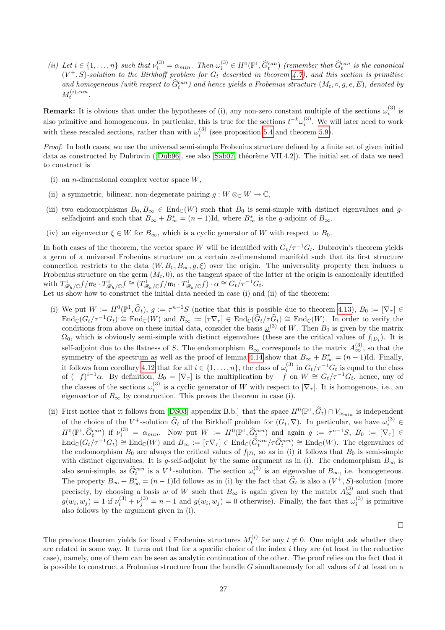(ii) Let  $i \in \{1, ..., n\}$  such that  $\nu_i^{(3)} = \alpha_{min}$ . Then  $\omega_i^{(3)} \in H^0(\mathbb{P}^1, \widehat{G}_i^{can})$  (remember that  $\widehat{G}_t^{can}$  is the canonical  $(H + \widehat{G}_i^{can})$ )  $(V^+, S)$ -solution to the Birkhoff problem for  $G_t$  described in theorem [4.7\)](#page-20-2), and this section is primitive and homogeneous (with respect to  $\widehat{G}_t^{can}$ ) and hence yields a Frobenius structure  $(M_t, \circ, g, e, E)$ , denoted by  $M_t^{(i),can}.$ 

**Remark:** It is obvious that under the hypotheses of (i), any non-zero constant multiple of the sections  $\omega_i^{(3)}$  is also primitive and homogeneous. In particular, this is true for the sections  $t^{-k}\omega_i^{(3)}$ . We will later need to work with these rescaled sections, rather than with  $\omega_i^{(3)}$  (see proposition [5.4](#page-27-1) and theorem [5.9\)](#page-30-0).

Proof. In both cases, we use the universal semi-simple Frobenius structure defined by a finite set of given initial dataas constructed by Dubrovin ([\[Dub96\]](#page-35-13), see also [\[Sab07,](#page-36-6) théorème VII.4.2]). The initial set of data we need to construct is

- (i) an *n*-dimensional complex vector space  $W$ ,
- (ii) a symmetric, bilinear, non-degenerate pairing  $g: W \otimes_{\mathbb{C}} W \to \mathbb{C}$ ,
- (iii) two endomorphisms  $B_0, B_\infty \in \text{End}_{\mathbb{C}}(W)$  such that  $B_0$  is semi-simple with distinct eigenvalues and gselfadjoint and such that  $B_{\infty} + B_{\infty}^* = (n-1)$ Id, where  $B_{\infty}^*$  is the *g*-adjoint of  $B_{\infty}$ .
- (iv) an eigenvector  $\xi \in W$  for  $B_{\infty}$ , which is a cyclic generator of W with respect to  $B_0$ .

In both cases of the theorem, the vector space W will be identified with  $G_t/\tau^{-1}G_t$ . Dubrovin's theorem yields a germ of a universal Frobenius structure on a certain  $n$ -dimensional manifold such that its first structure connection restricts to the data  $(W, B_0, B_{\infty}, g, \xi)$  over the origin. The universality property then induces a Frobenius structure on the germ  $(M_t, 0)$ , as the tangent space of the latter at the origin is canonically identified with  $T_{\mathscr{R}_h/\mathbb{C}}^1 f/\mathfrak{m}_t \cdot T_{\mathscr{R}_h/\mathbb{C}}^1 f \cong (T_{\mathscr{R}_h/\mathbb{C}}^1 f/\mathfrak{m}_t \cdot T_{\mathscr{R}_h/\mathbb{C}}^1 f) \cdot \alpha \cong G_t/\tau^{-1} G_t$ .

Let us show how to construct the initial data needed in case (i) and (ii) of the theorem:

- (i) We put  $W := H^0(\mathbb{P}^1, \widehat{G}_t)$ ,  $g := \tau^{n-1}S$  (notice that this is possible due to theorem [4.13\)](#page-23-0),  $B_0 := [\nabla_{\tau}] \in$  $\text{End}_{\mathbb{C}}(G_t/\tau^{-1}G_t) \cong \text{End}_{\mathbb{C}}(W)$  and  $B_{\infty} := [\tau \nabla_{\tau}] \in \text{End}_{\mathbb{C}}(\widehat{G}_t/\tau \widehat{G}_t) \cong \text{End}_{\mathbb{C}}(W)$ . In order to verify the conditions from above on these initial data, consider the basis  $\underline{\omega}^{(3)}$  of W. Then  $B_0$  is given by the matrix  $\Omega_0$ , which is obviously semi-simple with distinct eigenvalues (these are the critical values of  $f_{|D_t}$ ). It is self-adjoint due to the flatness of S. The endomorphism  $B_{\infty}$  corresponds to the matrix  $A_{\infty}^{(3)}$ , so that the symmetry of the spectrum as well as the proof of lemma [4.14](#page-23-1) show that  $B_{\infty} + B_{\infty}^* = (n-1)$ Id. Finally, it follows from corollary [4.12](#page-22-3) that for all  $i \in \{1, \ldots, n\}$ , the class of  $\omega_i^{(3)}$  in  $G_t/\tau^{-1}G_t$  is equal to the class of  $(-f)^{i-1}\alpha$ . By definition,  $B_0 = [\nabla_\tau]$  is the multiplication by  $-f$  on  $W \cong G_t/\tau^{-1}G_t$ , hence, any of the classes of the sections  $\omega_i^{(3)}$  is a cyclic generator of W with respect to  $[\nabla_\tau]$ . It is homogenous, i.e., an eigenvector of  $B_{\infty}$  by construction. This proves the theorem in case (i).
- (ii) First notice that it follows from [\[DS03,](#page-35-0) appendix B.b.] that the space  $H^0(\mathbb{P}^1, \widehat{G}_t) \cap V_{\alpha_{min}}$  is independent of the choice of the  $V^+$ -solution  $\widehat{G}_t$  of the Birkhoff problem for  $(G_t, \nabla)$ . In particular, we have  $\omega_i^{(3)} \in$  $H^0(\mathbb{P}^1, \widehat{G}^{can}_{t})$  if  $\nu_i^{(3)} = \alpha_{min}$ . Now put  $W := H^0(\mathbb{P}^1, \widehat{G}^{can}_{t})$  and again  $g := \tau^{n-1}S$ ,  $B_0 := [\nabla_{\tau}] \in$  $\text{End}_{\mathbb{C}}(G_t/\tau^{-1}G_t) \cong \text{End}_{\mathbb{C}}(W)$  and  $B_{\infty} := [\tau \nabla_{\tau}] \in \text{End}_{\mathbb{C}}(\widehat{G}_t^{can}/\tau \widehat{G}_t^{can}) \cong \text{End}_{\mathbb{C}}(W)$ . The eigenvalues of the endomorphism  $B_0$  are always the critical values of  $f_{|D_t}$  so as in (i) it follows that  $B_0$  is semi-simple with distinct eigenvalues. It is g-self-adjoint by the same argument as in (i). The endomorphism  $B_{\infty}$  is also semi-simple, as  $\hat{G}_t^{can}$  is a  $V^+$ -solution. The section  $\omega_i^{(3)}$  is an eigenvalue of  $B_{\infty}$ , i.e. homogeneous. The property  $B_{\infty} + B_{\infty}^* = (n-1)$ Id follows as in (i) by the fact that  $\hat{G}_t$  is also a  $(V^+, S)$ -solution (more precisely, by choosing a basis  $\underline{w}$  of W such that  $B_{\infty}$  is again given by the matrix  $A_{\infty}^{(3)}$  and such that  $g(w_i, w_j) = 1$  if  $\nu_i^{(3)} + \nu_j^{(3)} = n - 1$  and  $g(w_i, w_j) = 0$  otherwise). Finally, the fact that  $\omega_i^{(3)}$  is primitive also follows by the argument given in (i).

 $\Box$ 

The previous theorem yields for fixed i Frobenius structures  $M_t^{(i)}$  for any  $t \neq 0$ . One might ask whether they are related in some way. It turns out that for a specific choice of the index  $i$  they are (at least in the reductive case), namely, one of them can be seen as analytic continuation of the other. The proof relies on the fact that it is possible to construct a Frobenius structure from the bundle  $G$  simultaneously for all values of  $t$  at least on a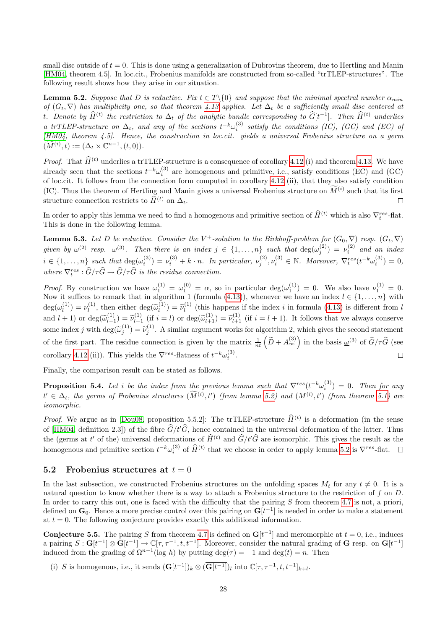small disc outside of  $t = 0$ . This is done using a generalization of Dubrovins theorem, due to Hertling and Manin [\[HM04,](#page-35-14) theorem 4.5]. In loc.cit., Frobenius manifolds are constructed from so-called "trTLEP-structures". The following result shows how they arise in our situation.

<span id="page-27-2"></span>**Lemma 5.2.** Suppose that D is reductive. Fix  $t \in T \setminus \{0\}$  and suppose that the minimal spectral number  $\alpha_{min}$ of  $(G_t, \nabla)$  has multiplicity one, so that theorem [4.13](#page-23-0) applies. Let  $\Delta_t$  be a sufficiently small disc centered at t. Denote by  $\hat{H}^{(t)}$  the restriction to  $\Delta_t$  of the analytic bundle corresponding to  $\hat{G}[t^{-1}]$ . Then  $\hat{H}^{(t)}$  underlies a trTLEP-structure on  $\Delta_t$ , and any of the sections  $t^{-k}\omega_i^{(3)}$  satisfy the conditions (IC), (GC) and (EC) of [\[HM04,](#page-35-14) theorem 4.5]. Hence, the construction in loc.cit. yields a universal Frobenius structure on a germ  $(\widetilde{M}^{(i)}, t) := (\Delta_t \times \mathbb{C}^{n-1}, (t, 0)).$ 

*Proof.* That  $\hat{H}^{(t)}$  underlies a trTLEP-structure is a consequence of corollary [4.12](#page-22-3) (i) and theorem [4.13.](#page-23-0) We have already seen that the sections  $t^{-k}\omega_i^{(3)}$  are homogenous and primitive, i.e., satisfy conditions (EC) and (GC) of loc.cit. It follows from the connection form computed in corollary [4.12](#page-22-3) (ii), that they also satisfy condition (IC). Thus the theorem of Hertling and Manin gives a universal Frobenius structure on  $\tilde{M}^{(i)}$  such that its first structure connection restricts to  $\widehat{H}^{(t)}$  on  $\Delta_t$ .  $\Box$ 

In order to apply this lemma we need to find a homogenous and primitive section of  $\hat{H}^{(t)}$  which is also  $\nabla_t^{res}$ -flat. This is done in the following lemma.

<span id="page-27-4"></span>**Lemma 5.3.** Let D be reductive. Consider the V<sup>+</sup>-solution to the Birkhoff-problem for  $(G_0, \nabla)$  resp.  $(G_t, \nabla)$ given by  $\underline{\omega}^{(2)}$  resp.  $\underline{\omega}^{(3)}$ . Then there is an index  $j \in \{1,\ldots,n\}$  such that  $\deg(\omega_j^{(2)}) = \nu_i^{(2)}$  and an index  $i \in \{1,\ldots,n\}$  such that  $\deg(\omega_i^{(3)}) = \nu_i^{(3)} + k \cdot n$ . In particular,  $\nu_j^{(2)}, \nu_i^{(3)} \in \mathbb{N}$ . Moreover,  $\nabla_t^{res}(t^{-k}\omega_i^{(3)}) = 0$ , where  $\nabla_t^{res} : \widehat{G}/\tau \widehat{G} \to \widehat{G}/\tau \widehat{G}$  is the residue connection.

*Proof.* By construction we have  $\omega_1^{(1)} = \omega_1^{(0)} = \alpha$ , so in particular  $\deg(\omega_1^{(1)}) = 0$ . We also have  $\nu_1^{(1)} = 0$ . Now it suffices to remark that in algorithm 1 (formula [\(4.13\)](#page-21-0)), whenever we have an index  $l \in \{1, \ldots, n\}$  with  $\deg(\omega_l^{(1)}) = \nu_l^{(1)}$ , then either  $\deg(\widetilde{\omega}_l^{(1)}) = \widetilde{\nu}_l^{(1)}$  (this happens if the index i in formula [\(4.13\)](#page-21-0) is different from l  $\tilde{\nu}_l^{(1)} = \nu_l^{(1)}$ , then either deg $(\tilde{\omega}_l^{(1)}) = \tilde{\nu}_l^{(1)}$ and  $l + 1$ ) or  $\deg(\widetilde{\omega}_{l-1}^{(1)})$  $\widetilde{\nu}_{l-1}^{(1)} = \widetilde{\nu}_{l-1}^{(1)}$  $\widetilde{l}_{l-1}^{(1)}$  (if  $i = l$ ) or  $\deg(\widetilde{\omega}_{l+1}^{(1)}) = \widetilde{\nu}_{l+1}^{(1)}$  (if  $i = l + 1$ ). It follows that we always conserve some index j with  $\deg(\widetilde{\omega}_j^{(1)}) = \widetilde{\nu}_j^{(1)}$ . A similar argument works for algorithm 2, which gives the second statement of the first part. The residue connection is given by the matrix  $\frac{1}{nt}(\tilde{D}+A_{\infty}^{(3)})$  in the basis  $\underline{\omega}^{(3)}$  of  $\hat{G}/\tau\hat{G}$  (see corollary [4.12](#page-22-3) (ii)). This yields the  $\nabla^{res}$ -flatness of  $t^{-k}\omega_i^{(3)}$ .  $\Box$ 

Finally, the comparison result can be stated as follows.

<span id="page-27-1"></span>**Proposition 5.4.** Let i be the index from the previous lemma such that  $\nabla^{res}(t^{-k}\omega_i^{(3)}) = 0$ . Then for any  $t' \in \Delta_t$ , the germs of Frobenius structures  $(M^{(i)}, t')$  (from lemma [5.2\)](#page-27-2) and  $(M^{(i)}, t')$  (from theorem [5.1\)](#page-25-0) are isomorphic.

*Proof.* We argue as in [\[Dou08,](#page-34-8) proposition 5.5.2]: The trTLEP-structure  $\hat{H}^{(t)}$  is a deformation (in the sense of [\[HM04,](#page-35-14) definition 2.3]) of the fibre  $\hat{G}/t'\hat{G}$ , hence contained in the universal deformation of the latter. Thus the (germs at t' of the) universal deformations of  $\hat{H}^{(t)}$  and  $\hat{G}/t'\hat{G}$  are isomorphic. This gives the result as the homogenous and primitive section  $t^{-k}\omega_i^{(3)}$  of  $\widehat{H}^{(t)}$  that we choose in order to apply lemma [5.2](#page-27-2) is  $\nabla^{res}$ -flat.

### <span id="page-27-0"></span>5.2 Frobenius structures at  $t = 0$

In the last subsection, we constructed Frobenius structures on the unfolding spaces  $M_t$  for any  $t \neq 0$ . It is a natural question to know whether there is a way to attach a Frobenius structure to the restriction of f on  $D$ . In order to carry this out, one is faced with the difficulty that the pairing  $S$  from theorem [4.7](#page-20-2) is not, a priori, defined on  $\mathbf{G}_0$ . Hence a more precise control over this pairing on  $\mathbf{G}[t^{-1}]$  is needed in order to make a statement at  $t = 0$ . The following conjecture provides exactly this additional information.

<span id="page-27-3"></span>**Conjecture 5.5.** The pairing S from theorem [4.7](#page-20-2) is defined on  $G[t^{-1}]$  and meromorphic at  $t = 0$ , i.e., induces a pairing  $S: G[t^{-1}] \otimes \overline{G}[t^{-1}] \to \mathbb{C}[\tau, \tau^{-1}, t, t^{-1}]$ . Moreover, consider the natural grading of G resp. on  $G[t^{-1}]$ induced from the grading of  $\Omega^{n-1}(\log h)$  by putting  $\deg(\tau) = -1$  and  $\deg(t) = n$ . Then

(i) S is homogenous, i.e., it sends  $(\mathbf{G}[t^{-1}])_k \otimes (\overline{\mathbf{G}[t^{-1}]})_l$  into  $\mathbb{C}[\tau, \tau^{-1}, t, t^{-1}]_{k+l}$ .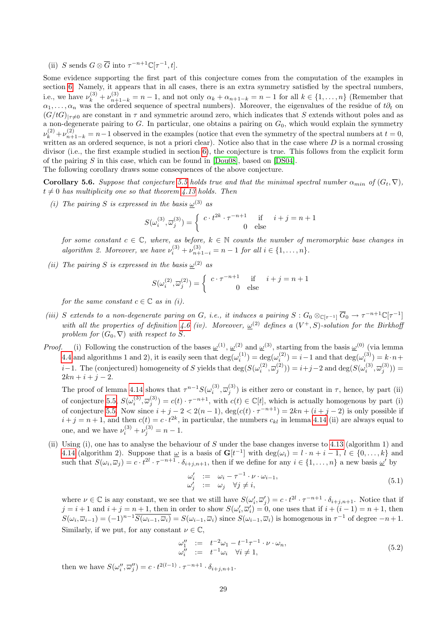(ii) S sends  $G \otimes \overline{G}$  into  $\tau^{-n+1} \mathbb{C}[\tau^{-1}, t]$ .

Some evidence supporting the first part of this conjecture comes from the computation of the examples in section [6.](#page-31-0) Namely, it appears that in all cases, there is an extra symmetry satisfied by the spectral numbers, i.e., we have  $\nu_k^{(3)} + \nu_{n+1-k}^{(3)} = n-1$ , and not only  $\alpha_k + \alpha_{n+1-k} = n-1$  for all  $k \in \{1, ..., n\}$  (Remember that  $\alpha_1, \ldots, \alpha_n$  was the ordered sequence of spectral numbers). Moreover, the eigenvalues of the residue of  $t\partial_t$  on  $(G/tG)|_{\tau\neq0}$  are constant in  $\tau$  and symmetric around zero, which indicates that S extends without poles and as a non-degenerate pairing to  $G$ . In particular, one obtains a pairing on  $G_0$ , which would explain the symmetry  $\nu_k^{(2)} + \nu_{n+1-k}^{(2)} = n-1$  observed in the examples (notice that even the symmetry of the spectral numbers at  $t = 0$ , written as an ordered sequence, is not a priori clear). Notice also that in the case where  $D$  is a normal crossing divisor (i.e., the first example studied in section [6\)](#page-31-0), the conjecture is true. This follows from the explicit form of the pairing S in this case, which can be found in  $[Dou08]$ , based on  $[DS04]$ .

The following corollary draws some consequences of the above conjecture.

<span id="page-28-0"></span>**Corollary 5.6.** Suppose that conjecture [5.5](#page-27-3) holds true and that the minimal spectral number  $\alpha_{min}$  of  $(G_t, \nabla)$ ,  $t \neq 0$  has multiplicity one so that theorem [4.13](#page-23-0) holds. Then

(i) The pairing S is expressed in the basis  $\omega^{(3)}$  as

$$
S(\omega_i^{(3)}, \overline{\omega}_j^{(3)}) = \begin{cases} c \cdot t^{2k} \cdot \tau^{-n+1} & \text{if } i+j = n+1 \\ 0 & \text{else} \end{cases}
$$

for some constant  $c \in \mathbb{C}$ , where, as before,  $k \in \mathbb{N}$  counts the number of meromorphic base changes in algorithm 2. Moreover, we have  $\nu_i^{(3)} + \nu_{n+1-i}^{(3)} = n-1$  for all  $i \in \{1, ..., n\}$ .

(ii) The pairing S is expressed in the basis  $\underline{\omega}^{(2)}$  as

$$
S(\omega_i^{(2)}, \overline{\omega}_j^{(2)}) = \begin{cases} c \cdot \tau^{-n+1} & \text{if } i+j = n+1 \\ 0 & \text{else} \end{cases}
$$

for the same constant  $c \in \mathbb{C}$  as in (i).

- (iii) S extends to a non-degenerate paring on G, i.e., it induces a pairing  $S: G_0 \otimes_{\mathbb{C}[\tau^{-1}]} \overline{G}_0 \to \tau^{-n+1} \mathbb{C}[\tau^{-1}]$ with all the properties of definition [4.6](#page-20-0) (iv). Moreover,  $\underline{\omega}^{(2)}$  defines a  $(V^+, S)$ -solution for the Birkhoff problem for  $(G_0, \nabla)$  with respect to S.
- *Proof.* (i) Following the construction of the bases  $\omega^{(1)}$ ,  $\omega^{(2)}$  and  $\omega^{(3)}$ , starting from the basis  $\omega^{(0)}$  (via lemma [4.4](#page-16-0) and algorithms 1 and 2), it is easily seen that  $\deg(\omega_i^{(1)}) = \deg(\omega_i^{(2)}) = i-1$  and that  $\deg(\omega_i^{(3)}) = k \cdot n +$ i–1. The (conjectured) homogeneity of S yields that  $\deg(S(\omega_i^{(2)}, \overline{\omega}_j^{(2)})) = i+j-2$  and  $\deg(S(\omega_i^{(3)}, \overline{\omega}_j^{(3)})) =$  $2kn + i + j - 2.$

The proof of lemma [4.14](#page-23-1) shows that  $\tau^{n-1}S(\omega_i^{(3)}, \overline{\omega}_j^{(3)})$  is either zero or constant in  $\tau$ , hence, by part (ii) of conjecture [5.5,](#page-27-3)  $S(\omega_i^{(3)}, \overline{\omega}_j^{(3)}) = c(t) \cdot \tau^{-n+1}$ , with  $c(t) \in \mathbb{C}[t]$ , which is actually homogenous by part (i) of conjecture [5.5.](#page-27-3) Now since  $i + j - 2 < 2(n - 1)$ ,  $\deg(c(t) \cdot \tau^{-n+1}) = 2kn + (i + j - 2)$  is only possible if  $i + j = n + 1$ , and then  $c(t) = c \cdot t^{2k}$ , in particular, the numbers  $c_{kl}$  in lemma [4.14](#page-23-1) (ii) are always equal to one, and we have  $\nu_i^{(3)} + \nu_j^{(3)} = n - 1$ .

(ii) Using (i), one has to analyse the behaviour of S under the base changes inverse to [4.13](#page-21-0) (algorithm 1) and [4.14](#page-22-0) (algorithm 2). Suppose that  $\underline{\omega}$  is a basis of  $\mathbf{G}[t^{-1}]$  with  $\deg(\omega_i) = l \cdot n + i - 1, l \in \{0, ..., k\}$  and such that  $S(\omega_i, \overline{\omega}_j) = c \cdot t^{2l} \cdot \tau^{-n+1} \cdot \delta_{i+j, n+1}$ , then if we define for any  $i \in \{1, ..., n\}$  a new basis  $\underline{\omega}'$  by

$$
\begin{array}{rcl}\n\omega_i' & := & \omega_i - \tau^{-1} \cdot \nu \cdot \omega_{i-1}, \\
\omega_j' & := & \omega_j \quad \forall j \neq i,\n\end{array} \tag{5.1}
$$

where  $\nu \in \mathbb{C}$  is any constant, we see that we still have  $S(\omega'_i, \overline{\omega}'_j) = c \cdot t^{2l} \cdot \tau^{-n+1} \cdot \delta_{i+j, n+1}$ . Notice that if  $j = i + 1$  and  $i + j = n + 1$ , then in order to show  $S(\omega'_i, \overline{\omega}'_i) = 0$ , one uses that if  $i + (i - 1) = n + 1$ , then  $S(\omega_i, \overline{\omega}_{i-1}) = (-1)^{n-1} \overline{S(\omega_{i-1}, \overline{\omega}_i)} = S(\omega_{i-1}, \overline{\omega}_i)$  since  $S(\omega_{i-1}, \overline{\omega}_i)$  is homogenous in  $\tau^{-1}$  of degree  $-n+1$ . Similarly, if we put, for any constant  $\nu \in \mathbb{C}$ ,

$$
\begin{array}{rcl}\n\omega_1'' & := & t^{-2}\omega_1 - t^{-1}\tau^{-1} \cdot \nu \cdot \omega_n, \\
\omega_i'' & := & t^{-1}\omega_i \quad \forall i \neq 1,\n\end{array} \tag{5.2}
$$

then we have  $S(\omega''_i, \overline{\omega}''_j) = c \cdot t^{2(l-1)} \cdot \tau^{-n+1} \cdot \delta_{i+j, n+1}$ .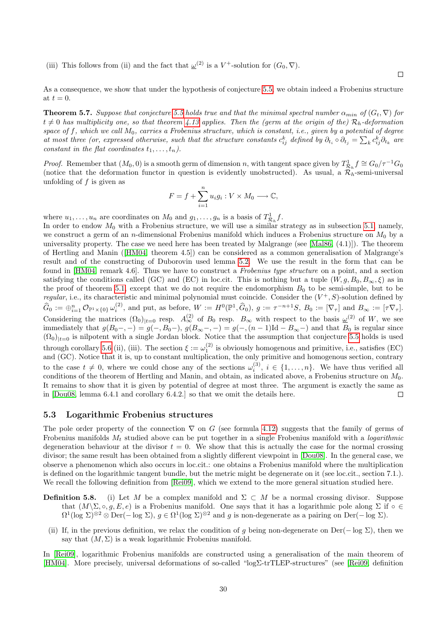(iii) This follows from (ii) and the fact that  $\underline{\omega}^{(2)}$  is a  $V^+$ -solution for  $(G_0, \nabla)$ .

 $\Box$ 

As a consequence, we show that under the hypothesis of conjecture [5.5,](#page-27-3) we obtain indeed a Frobenius structure at  $t = 0$ .

<span id="page-29-1"></span>**Theorem 5.7.** Suppose that conjecture [5.5](#page-27-3) holds true and that the minimal spectral number  $\alpha_{min}$  of  $(G_t, \nabla)$  for  $t \neq 0$  has multiplicity one, so that theorem [4.13](#page-23-0) applies. Then the (germ at the origin of the)  $\mathcal{R}_h$ -deformation space of f, which we call  $M_0$ , carries a Frobenius structure, which is constant, i.e., given by a potential of degree at most three (or, expressed otherwise, such that the structure constants  $c_{ij}^k$  defined by  $\partial_{t_i} \circ \partial_{t_j} = \sum_k c_{ij}^k \partial_{t_k}$  are constant in the flat coordinates  $t_1, \ldots, t_n$ ).

*Proof.* Remember that  $(M_0, 0)$  is a smooth germ of dimension n, with tangent space given by  $T_{\mathcal{R}_h}^1 f \cong G_0/\tau^{-1}G_0$ (notice that the deformation functor in question is evidently unobstructed). As usual, a  $\mathcal{R}_h$ -semi-universal unfolding of  $f$  is given as

$$
F = f + \sum_{i=1}^{n} u_i g_i : V \times M_0 \longrightarrow \mathbb{C},
$$

where  $u_1, \ldots, u_n$  are coordinates on  $M_0$  and  $g_1, \ldots, g_n$  is a basis of  $T^1_{\mathcal{R}_h} f$ .

In order to endow  $M_0$  with a Frobenius structure, we will use a similar strategy as in subsection [5.1,](#page-24-1) namely, we construct a germ of an n-dimensional Frobenius manifold which induces a Frobenius structure on  $M_0$  by a universality property. The case we need here has been treated by Malgrange (see [\[Mal86,](#page-35-15)  $(4.1)$ ]). The theorem of Hertling and Manin([\[HM04,](#page-35-14) theorem 4.5]) can be considered as a common generalisation of Malgrange's result and of the constructing of Duborovin used lemma [5.2.](#page-27-2) We use the result in the form that can be found in [\[HM04,](#page-35-14) remark 4.6]. Thus we have to construct a Frobenius type structure on a point, and a section satisfying the conditions called (GC) and (EC) in loc.cit. This is nothing but a tuple  $(W, g, B_0, B_\infty, \xi)$  as in the proof of theorem [5.1,](#page-25-0) except that we do not require the endomorphism  $B_0$  to be semi-simple, but to be regular, i.e., its characteristic and minimal polynomial must coincide. Consider the  $(V^+, S)$ -solution defined by  $\widehat{G}_0 := \bigoplus_{i=1}^n \mathcal{O}_{\mathbb{P}^1 \times \{0\}} \omega_i^{(2)}$ , and put, as before,  $W := H^0(\mathbb{P}^1, \widehat{G}_0)$ ,  $g := \tau^{-n+1}S$ ,  $B_0 := [\nabla_\tau]$  and  $B_\infty := [\tau \nabla_\tau]$ . Considering the matrices  $(\Omega_0)_{|t=0}$  resp.  $A_{\infty}^{(2)}$  of  $B_0$  resp.  $B_{\infty}$  with respect to the basis  $\underline{\omega}^{(2)}$  of W, we see immediately that  $g(B_0-, -) = g(-, B_0-, )$ ,  $g(B_\infty-, -) = g(-, (n-1)Id - B_\infty-)$  and that  $B_0$  is regular since  $(\Omega_0)|_{t=0}$  is nilpotent with a single Jordan block. Notice that the assumption that conjecture [5.5](#page-27-3) holds is used through corollary [5.6](#page-28-0) (ii), (iii). The section  $\xi := \omega_1^{(2)}$  is obviously homogenous and primitive, i.e., satisfies (EC) and (GC). Notice that it is, up to constant multiplication, the only primitive and homogenous section, contrary to the case  $t \neq 0$ , where we could chose any of the sections  $\omega_i^{(3)}$ ,  $i \in \{1, ..., n\}$ . We have thus verified all conditions of the theorem of Hertling and Manin, and obtain, as indicated above, a Frobenius structure on  $M_0$ . It remains to show that it is given by potential of degree at most three. The argument is exactly the same as in [\[Dou08,](#page-34-8) lemma 6.4.1 and corollary 6.4.2.] so that we omit the details here. □

#### <span id="page-29-0"></span>5.3 Logarithmic Frobenius structures

The pole order property of the connection  $\nabla$  on G (see formula [4.12\)](#page-18-1) suggests that the family of germs of Frobenius manifolds  $M_t$  studied above can be put together in a single Frobenius manifold with a *logarithmic* degeneration behaviour at the divisor  $t = 0$ . We show that this is actually the case for the normal crossing divisor; the same result has been obtained from a slightly different viewpoint in [\[Dou08\]](#page-34-8). In the general case, we observe a phenomenon which also occurs in loc.cit.: one obtains a Frobenius manifold where the multiplication is defined on the logarithmic tangent bundle, but the metric might be degenerate on it (see loc.cit., section 7.1.). We recall the following definition from [\[Rei09\]](#page-35-6), which we extend to the more general situation studied here.

- **Definition 5.8.** (i) Let M be a complex manifold and  $\Sigma \subset M$  be a normal crossing divisor. Suppose that  $(M\setminus\Sigma, \circ, g, E, e)$  is a Frobenius manifold. One says that it has a logarithmic pole along  $\Sigma$  if  $\circ \in$  $\Omega^1(\log \Sigma)^{\otimes 2} \otimes \mathrm{Der}(-\log \Sigma), g \in \Omega^1(\log \Sigma)^{\otimes 2}$  and g is non-degenerate as a pairing on  $\mathrm{Der}(-\log \Sigma)$ .
	- (ii) If, in the previous definition, we relax the condition of g being non-degenerate on Der(− log  $\Sigma$ ), then we say that  $(M, \Sigma)$  is a weak logarithmic Frobenius manifold.

In [\[Rei09\]](#page-35-6), logarithmic Frobenius manifolds are constructed using a generalisation of the main theorem of [\[HM04\]](#page-35-14). More precisely, universal deformations of so-called "logΣ-trTLEP-structures" (see [\[Rei09,](#page-35-6) definition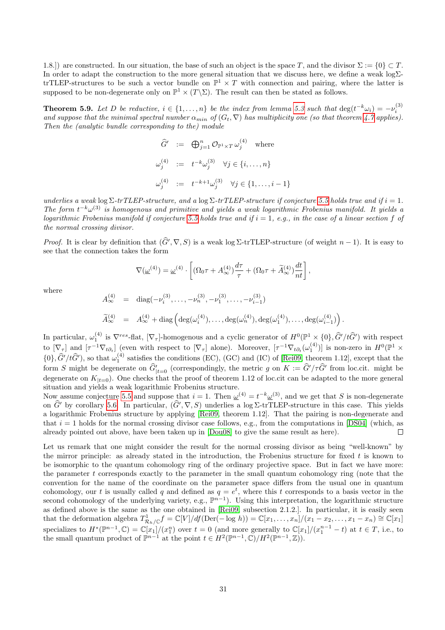1.8.]) are constructed. In our situation, the base of such an object is the space T, and the divisor  $\Sigma := \{0\} \subset T$ . In order to adapt the construction to the more general situation that we discuss here, we define a weak logΣtrTLEP-structures to be such a vector bundle on  $\mathbb{P}^1 \times T$  with connection and pairing, where the latter is supposed to be non-degenerate only on  $\mathbb{P}^1 \times (T \backslash \Sigma)$ . The result can then be stated as follows.

<span id="page-30-0"></span>**Theorem 5.9.** Let D be reductive,  $i \in \{1, ..., n\}$  be the index from lemma [5.3](#page-27-4) such that  $\deg(t^{-k}\omega_i) = -\nu_i^{(3)}$ and suppose that the minimal spectral number  $\alpha_{min}$  of  $(G_t, \nabla)$  has multiplicity one (so that theorem [4.7](#page-20-2) applies). Then the (analytic bundle corresponding to the) module

$$
\begin{array}{rcl}\n\widehat{G}' & := & \bigoplus_{j=1}^{n} \mathcal{O}_{\mathbb{P}^1 \times T} \,\omega_j^{(4)} \quad \text{where} \\
\omega_j^{(4)} & := & t^{-k} \omega_j^{(3)} \quad \forall j \in \{i, \dots, n\} \\
\omega_j^{(4)} & := & t^{-k+1} \omega_j^{(3)} \quad \forall j \in \{1, \dots, i-1\}\n\end{array}
$$

underlies a weak  $\log \Sigma$ -trTLEP-structure, and a  $\log \Sigma$ -trTLEP-structure if conjecture [5.5](#page-27-3) holds true and if  $i = 1$ . The form  $t^{-k}\omega^{(3)}$  is homogenous and primitive and yields a weak logarithmic Frobenius manifold. It yields a logarithmic Frobenius manifold if conjecture [5.5](#page-27-3) holds true and if  $i = 1$ , e.g., in the case of a linear section f of the normal crossing divisor.

*Proof.* It is clear by definition that  $(\widehat{G}', \nabla, S)$  is a weak log  $\Sigma$ -trTLEP-structure (of weight  $n - 1$ ). It is easy to see that the connection takes the form

$$
\nabla(\underline{\omega}^{(4)}) = \underline{\omega}^{(4)} \cdot \left[ (\Omega_0 \tau + A_{\infty}^{(4)}) \frac{d\tau}{\tau} + (\Omega_0 \tau + \widetilde{A}_{\infty}^{(4)}) \frac{dt}{nt} \right],
$$

where

A

$$
A_{\infty}^{(4)} = \text{diag}(-\nu_i^{(3)}, \dots, -\nu_n^{(3)}, -\nu_1^{(3)}, \dots, -\nu_{i-1}^{(3)})
$$

$$
\widetilde{A}_{\infty}^{(4)} = A_{\infty}^{(4)} + \text{diag}\left(\text{deg}(\omega_i^{(4)}), \ldots, \text{deg}(\omega_n^{(4)}), \text{deg}(\omega_1^{(4)}), \ldots, \text{deg}(\omega_{i-1}^{(4)})\right).
$$

In particular,  $\omega_1^{(4)}$  is  $\nabla^{res}$ -flat,  $[\nabla_\tau]$ -homogenous and a cyclic generator of  $H^0(\mathbb{P}^1\times\{0\},\hat{G}'/t\hat{G}')$  with respect to  $[\nabla_{\tau}]$  and  $[\tau^{-1}\nabla_{t\partial_t}]$  (even with respect to  $[\nabla_{\tau}]$  alone). Moreover,  $[\tau^{-1}\nabla_{t\partial_t}(\omega_1^{(4)})]$  is non-zero in  $H^0(\mathbb{P}^1 \times$  $\{0\}, \hat{G}'/t\hat{G}'$ , so that  $\omega_1^{(4)}$  satisfies the conditions (EC), (GC) and (IC) of [\[Rei09,](#page-35-6) theorem 1.12], except that the form S might be degenerate on  $\hat{G}_{|t=0}$  (correspondingly, the metric g on  $K := \hat{G}'/\tau\hat{G}'$  from loc.cit. might be degenerate on  $K_{|t=0}$ ). One checks that the proof of theorem 1.12 of loc.cit can be adapted to the more general situation and yields a weak logarithmic Frobenius structure.

Now assume conjecture [5.5](#page-27-3) and suppose that  $i = 1$ . Then  $\underline{\omega}^{(4)} = t^{-k} \underline{\omega}^{(3)}$ , and we get that S is non-degenerate on  $\hat{G}$  by corollary [5.6.](#page-28-0) In particular,  $(\hat{G}', \nabla, S)$  underlies a log Σ-trTLEP-structure in this case. This yields a logarithmic Frobenius structure by applying [\[Rei09,](#page-35-6) theorem 1.12]. That the pairing is non-degenerate and that  $i = 1$  holds for the normal crossing divisor case follows, e.g., from the computations in [\[DS04\]](#page-35-4) (which, as already pointed out above, have been taken up in [\[Dou08\]](#page-34-8) to give the same result as here).  $\Box$ 

Let us remark that one might consider the result for the normal crossing divisor as being "well-known" by the mirror principle: as already stated in the introduction, the Frobenius structure for fixed  $t$  is known to be isomorphic to the quantum cohomology ring of the ordinary projective space. But in fact we have more: the parameter  $t$  corresponds exactly to the parameter in the small quantum cohomology ring (note that the convention for the name of the coordinate on the parameter space differs from the usual one in quantum cohomology, our t is usually called q and defined as  $q = e^t$ , where this t corresponds to a basis vector in the second cohomology of the underlying variety, e.g.,  $\mathbb{P}^{n-1}$ ). Using this interpretation, the logarithmic structure as defined above is the same as the one obtained in [\[Rei09,](#page-35-6) subsection 2.1.2.]. In particular, it is easily seen that the deformation algebra  $T^1_{\mathcal{R}_h/\mathbb{C}}f = \mathbb{C}[V]/df(\text{Der}(-\log h)) = \mathbb{C}[x_1,\ldots,x_n]/(x_1-x_2,\ldots,x_1-x_n) \cong \mathbb{C}[x_1]$ specializes to  $H^*(\mathbb{P}^{n-1}, \mathbb{C}) = \mathbb{C}[x_1]/(x_1^n)$  over  $t = 0$  (and more generally to  $\mathbb{C}[x_1]/(x_1^{n-1} - t)$  at  $t \in T$ , i.e., to the small quantum product of  $\mathbb{P}^{n-1}$  at the point  $t \in H^2(\mathbb{P}^{n-1}, \mathbb{C})/H^2(\mathbb{P}^{n-1}, \mathbb{Z})$ .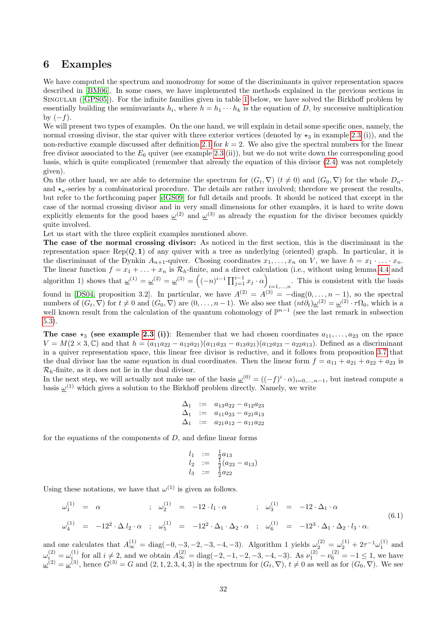## <span id="page-31-0"></span>6 Examples

We have computed the spectrum and monodromy for some of the discriminants in quiver representation spaces described in [\[BM06\]](#page-34-3). In some cases, we have implemented the methods explained in the previous sections in Singular ([\[GPS05\]](#page-35-16)). For the infinite families given in table [1](#page-33-0) below, we have solved the Birkhoff problem by essentially building the seminvariants  $h_i$ , where  $h = h_1 \cdots h_k$  is the equation of D, by successive multiplication by  $(-f)$ .

We will present two types of examples. On the one hand, we will explain in detail some specific ones, namely, the normal crossing divisor, the star quiver with three exterior vertices (denoted by  $\star_3$  in example [2.3](#page-3-1) (i)), and the non-reductive example discussed after definition [2.1](#page-2-4) for  $k = 2$ . We also give the spectral numbers for the linear free divisor associated to the  $E_6$  quiver (see example [2.3](#page-3-1) (ii)), but we do not write down the corresponding good basis, which is quite complicated (remember that already the equation of this divisor [\(2.4\)](#page-3-2) was not completely given).

On the other hand, we are able to determine the spectrum for  $(G_t, \nabla)$   $(t \neq 0)$  and  $(G_0, \nabla)$  for the whole  $D_n$ and  $\star_n$ -series by a combinatorical procedure. The details are rather involved; therefore we present the results, but refer to the forthcoming paper [\[dGS09\]](#page-34-9) for full details and proofs. It should be noticed that except in the case of the normal crossing divisor and in very small dimensions for other examples, it is hard to write down explicitly elements for the good bases  $\underline{\omega}^{(2)}$  and  $\underline{\omega}^{(3)}$  as already the equation for the divisor becomes quickly quite involved.

Let us start with the three explicit examples mentioned above.

The case of the normal crossing divisor: As noticed in the first section, this is the discriminant in the representation space  $\text{Rep}(Q, 1)$  of any quiver with a tree as underlying (oriented) graph. In particular, it is the discriminant of the Dynkin  $A_{n+1}$ -quiver. Chosing coordinates  $x_1, \ldots, x_n$  on V, we have  $h = x_1 \cdot \ldots \cdot x_n$ . The linear function  $f = x_1 + \ldots + x_n$  is  $\mathcal{R}_h$ -finite, and a direct calculation (i.e., without using lemma [4.4](#page-16-1) and algorithm 1) shows that  $\underline{\omega}^{(1)} = \underline{\omega}^{(2)} = \underline{\omega}^{(3)} = \left( (-n)^{i-1} \prod_{j=1}^{i-1} x_j \cdot \alpha \right)$ . This is consistent with the basis  $i=1,...,n$ found in [\[DS04,](#page-35-4) proposition 3.2]. In particular, we have  $A^{(2)} = A^{(3)} = -diag(0, \ldots, n-1)$ , so the spectral numbers of  $(G_t, \nabla)$  for  $t \neq 0$  and  $(G_0, \nabla)$  are  $(0, \ldots, n-1)$ . We also see that  $(nt\partial_t)\underline{\omega}^{(2)} = \underline{\omega}^{(2)} \cdot \tau\Omega_0$ , which is a well known result from the calculation of the quantum cohomology of  $\mathbb{P}^{n-1}$  (see the last remark in subsection [5.3\)](#page-29-0).

The case  $\star_3$  (see example [2.3](#page-3-1) (i)): Remember that we had chosen coordinates  $a_{11}, \ldots, a_{23}$  on the space  $V = M(2 \times 3, \mathbb{C})$  and that  $h = (a_{11}a_{22} - a_{12}a_{21})(a_{11}a_{23} - a_{13}a_{21})(a_{12}a_{23} - a_{22}a_{13})$ . Defined as a discriminant in a quiver representation space, this linear free divisor is reductive, and it follows from proposition [3.7](#page-9-3) that the dual divisor has the same equation in dual coordinates. Then the linear form  $f = a_{11} + a_{21} + a_{22} + a_{23}$  is  $\mathcal{R}_h$ -finite, as it does not lie in the dual divisor.

In the next step, we will actually not make use of the basis  $\underline{\omega}^{(0)} = ((-f)^i \cdot \alpha)_{i=0,\dots,n-1}$ , but instead compute a basis  $\underline{\omega}^{(1)}$  which gives a solution to the Birkhoff problem directly. Namely, we write

$$
\begin{array}{rcl}\n\Delta_1 & := & a_{13}a_{22} - a_{12}a_{23} \\
\Delta_1 & := & a_{11}a_{23} - a_{21}a_{13} \\
\Delta_1 & := & a_{21}a_{12} - a_{11}a_{22}\n\end{array}
$$

for the equations of the components of  $D$ , and define linear forms

$$
l_1 := \frac{1}{2}a_{13}
$$
  
\n
$$
l_2 := \frac{1}{2}(a_{23} - a_{13})
$$
  
\n
$$
l_3 := \frac{1}{2}a_{22}
$$

Using these notations, we have that  $\omega^{(1)}$  is given as follows.

$$
\omega_1^{(1)} = \alpha \qquad ; \quad \omega_2^{(1)} = -12 \cdot l_1 \cdot \alpha \qquad ; \quad \omega_3^{(1)} = -12 \cdot \Delta_1 \cdot \alpha
$$
\n
$$
\omega_4^{(1)} = -12^2 \cdot \Delta \cdot l_2 \cdot \alpha \qquad ; \quad \omega_5^{(1)} = -12^2 \cdot \Delta_1 \cdot \Delta_2 \cdot \alpha \qquad ; \quad \omega_6^{(1)} = -12^3 \cdot \Delta_1 \cdot \Delta_2 \cdot l_3 \cdot \alpha. \tag{6.1}
$$

and one calculates that  $A_{\infty}^{(1)} = \text{diag}(-0, -3, -2, -3, -4, -3)$ . Algorithm 1 yields  $\omega_2^{(2)} = \omega_2^{(1)} + 2\tau^{-1}\omega_1^{(1)}$  and  $\omega_{i}^{(2)} = \omega_{i}^{(1)}$  for all  $i \neq 2$ , and we obtain  $A_{\infty}^{(2)} = \text{diag}(-2, -1, -2, -3, -4, -3)$ . As  $\nu_1^{(2)} - \nu_6^{(2)} = -1 \le 1$ , we have  $\underline{\omega}^{(2)} = \underline{\omega}^{(3)}$ , hence  $G^{(3)} = G$  and  $(2, 1, 2, 3, 4, 3)$  is the spectrum for  $(G_t, \nabla), t \neq 0$  as well as for  $(G_0, \nabla)$ . We see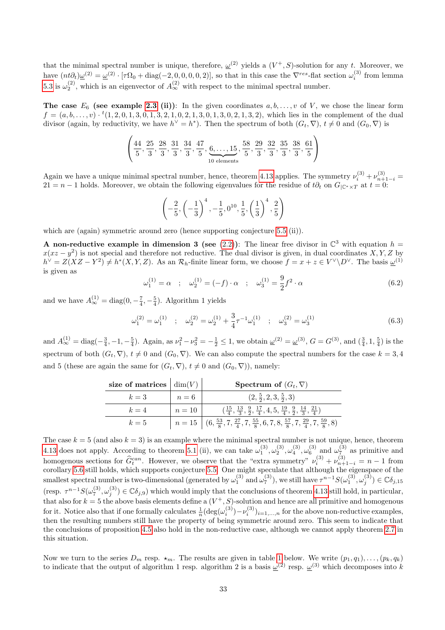that the minimal spectral number is unique, therefore,  $\underline{\omega}^{(2)}$  yields a  $(V^+, S)$ -solution for any t. Moreover, we have  $(nt\partial_t)\underline{\omega}^{(2)} = \underline{\omega}^{(2)} \cdot [\tau\Omega_0 + \text{diag}(-2, 0, 0, 0, 0, 2)]$ , so that in this case the  $\nabla^{res}$ -flat section  $\omega_i^{(3)}$  from lemma [5.3](#page-27-4) is  $\omega_2^{(2)}$ , which is an eigenvector of  $A_{\infty}^{(2)}$  with respect to the minimal spectral number.

The case  $E_6$  (see example [2.3](#page-3-1) (ii)): In the given coordinates  $a, b, \ldots, v$  of V, we chose the linear form  $f = (a, b, \ldots, v) \cdot {}^t(1, 2, 0, 1, 3, 0, 1, 3, 2, 1, 0, 2, 1, 3, 0, 1, 3, 0, 2, 1, 3, 2)$ , which lies in the complement of the dual divisor (again, by reductivity, we have  $h^{\vee} = h^*$ ). Then the spectrum of both  $(G_t, \nabla), t \neq 0$  and  $(G_0, \nabla)$  is

$$
\left(\frac{44}{5}, \frac{25}{3}, \frac{28}{3}, \frac{31}{3}, \frac{34}{3}, \frac{47}{5}, \underbrace{6, \ldots, 15}_{10 \text{ elements}}, \frac{58}{5}, \frac{29}{3}, \frac{32}{3}, \frac{35}{3}, \frac{38}{3}, \frac{61}{5}\right)
$$

Again we have a unique minimal spectral number, hence, theorem [4.13](#page-23-0) applies. The symmetry  $\nu_i^{(3)} + \nu_{n+1-i}^{(3)} =$  $21 = n - 1$  holds. Moreover, we obtain the following eigenvalues for the residue of  $t\partial_t$  on  $G_{|\mathbb{C}^*\times T}$  at  $t = 0$ :

$$
\left(-\frac{2}{5}, \left(-\frac{1}{3}\right)^4, -\frac{1}{5}, 0^{10}, \frac{1}{5}, \left(\frac{1}{3}\right)^4, \frac{2}{5}\right)
$$

which are (again) symmetric around zero (hence supporting conjecture [5.5](#page-27-3) (ii)).

A non-reductive example in dimension 3 (see [\(2.2\)](#page-2-3)): The linear free divisor in  $\mathbb{C}^3$  with equation  $h =$  $x(xz - y^2)$  is not special and therefore not reductive. The dual divisor is given, in dual coordinates X, Y, Z by  $h^{\vee} = Z(XZ - Y^2) \neq h^*(X, Y, Z)$ . As an  $\mathcal{R}_h$ -finite linear form, we choose  $f = x + z \in V^{\vee} \backslash D^{\vee}$ . The basis  $\underline{\omega}^{(1)}$ is given as

$$
\omega_1^{(1)} = \alpha \quad ; \quad \omega_2^{(1)} = (-f) \cdot \alpha \quad ; \quad \omega_3^{(1)} = \frac{9}{2} f^2 \cdot \alpha \tag{6.2}
$$

and we have  $A_{\infty}^{(1)} = \text{diag}(0, -\frac{7}{4}, -\frac{5}{4})$ . Algorithm 1 yields

$$
\omega_1^{(2)} = \omega_1^{(1)} \quad ; \quad \omega_2^{(2)} = \omega_2^{(1)} + \frac{3}{4}\tau^{-1}\omega_1^{(1)} \quad ; \quad \omega_3^{(2)} = \omega_3^{(1)} \tag{6.3}
$$

and  $A_{\infty}^{(1)} = \text{diag}(-\frac{3}{4}, -1, -\frac{5}{4})$ . Again, as  $\nu_1^2 - \nu_3^2 = -\frac{1}{2} \le 1$ , we obtain  $\underline{\omega}^{(2)} = \underline{\omega}^{(3)}$ ,  $G = G^{(3)}$ , and  $(\frac{3}{4}, 1, \frac{5}{4})$  is the spectrum of both  $(G_t, \nabla), t \neq 0$  and  $(G_0, \nabla)$ . We can also compute the spectral numbers for the case  $k = 3, 4$ and 5 (these are again the same for  $(G_t, \nabla), t \neq 0$  and  $(G_0, \nabla)$ ), namely:

| size of matrices $\vert \dim(V) \vert$ |        | <b>Spectrum of</b> $(G_t, \nabla)$                                                                                                      |
|----------------------------------------|--------|-----------------------------------------------------------------------------------------------------------------------------------------|
| $k=3$                                  | $n=6$  | $(2, \frac{5}{2}, 2, 3, \frac{5}{2}, 3)$                                                                                                |
| $k=4$                                  | $n=10$ | $\left(\frac{15}{4},\frac{13}{3},\frac{9}{2},\frac{17}{4},4,5,\frac{19}{4},\frac{9}{2},\frac{14}{3},\frac{21}{4}\right)$                |
| $k=5$                                  |        | $n = 15 \left( (6, \frac{53}{8}, 7, \frac{27}{4}, 7, \frac{55}{8}, 6, 7, 8, \frac{57}{8}, 7, \frac{29}{4}, 7, \frac{59}{8}, 8) \right)$ |

The case  $k = 5$  (and also  $k = 3$ ) is an example where the minimal spectral number is not unique, hence, theorem [4.13](#page-23-0) does not apply. According to theorem [5.1](#page-25-0) (ii), we can take  $\omega_1^{(3)}$ ,  $\omega_2^{(3)}$ ,  $\omega_4^{(3)}$ ,  $\omega_6^{(3)}$  and  $\omega_7^{(3)}$  as primitive and homogenous sections for  $\hat{G}_t^{can}$ . However, we observe that the "extra symmetry"  $\nu_i^{(3)} + \nu_{n+1-i}^{(3)} = n-1$  from corollary [5.6](#page-28-0) still holds, which supports conjecture [5.5.](#page-27-3) One might speculate that although the eigenspace of the smallest spectral number is two-dimensional (generated by  $\omega_1^{(3)}$  and  $\omega_7^{(3)}$ ), we still have  $\tau^{n-1}S(\omega_1^{(3)},\omega_j^{(3)})\in\mathbb{C}\delta_{j,15}$  $(\text{resp. } \tau^{n-1}S(\omega_7^{(3)}, \omega_3^{(3)}) \in \mathbb{C}\delta_{j,9})$  which would imply that the conclusions of theorem [4.13](#page-23-0) still hold, in particular, that also for  $k = 5$  the above basis elements define a  $(V^+, S)$ -solution and hence are all primitive and homogenous for it. Notice also that if one formally calculates  $\frac{1}{n} (\deg(\omega_i^{(3)}) - \nu_i^{(3)})_{i=1,\dots,n}$  for the above non-reductive examples, then the resulting numbers still have the property of being symmetric around zero. This seem to indicate that the conclusions of proposition [4.5](#page-18-2) also hold in the non-reductive case, although we cannot apply theorem [2.7](#page-5-0) in this situation.

Now we turn to the series  $D_m$  resp.  $\star_m$ . The results are given in table [1](#page-33-0) below. We write  $(p_1, q_1), \ldots, (p_k, q_k)$ to indicate that the output of algorithm 1 resp. algorithm 2 is a basis  $\underline{\omega}^{(2)}$  resp.  $\underline{\omega}^{(3)}$  which decomposes into k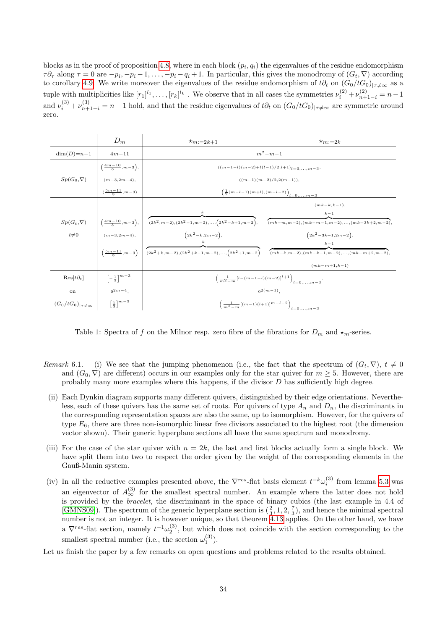blocks as in the proof of proposition [4.8,](#page-20-1) where in each block  $(p_i, q_i)$  the eigenvalues of the residue endomorphism  $\tau \partial_\tau$  along  $\tau = 0$  are  $-p_i, -p_i - 1, \ldots, -p_i - q_i + 1$ . In particular, this gives the monodromy of  $(G_t, \nabla)$  according to corollary [4.9.](#page-21-1) We write moreover the eigenvalues of the residue endomorphism of  $t\partial_t$  on  $(G_0/tG_0)_{|\tau\neq\infty}$  as a tuple with multiplicities like  $[r_1]^{l_1}, \ldots, [r_k]^{l_k}$ . We observe that in all cases the symmetries  $\nu_i^{(2)} + \nu_{n+1-i}^{(2)} = n-1$ and  $\nu_i^{(3)} + \nu_{n+1-i}^{(3)} = n-1$  hold, and that the residue eigenvalues of  $t\partial_t$  on  $(G_0/tG_0)_{|\tau \neq \infty}$  are symmetric around zero.

|                                  | $D_m$                               | $\star_{m:=2k+1}$                                               | $x_{m:=2k}$                                                                     |  |  |  |
|----------------------------------|-------------------------------------|-----------------------------------------------------------------|---------------------------------------------------------------------------------|--|--|--|
| $dim(D)=n-1$                     | $4m - 11$                           | $m^2 - m - 1$                                                   |                                                                                 |  |  |  |
|                                  | $\left(\frac{4m-10}{3},m-3\right),$ | $((m-1-l)(m-2)+l(l-1)/2,l+1)_{l=0,\ldots,m-3}$                  |                                                                                 |  |  |  |
| $Sp(G_0,\nabla)$                 | $(m-3,2m-4),$                       | $((m-1)(m-2)/2,2(m-1)),$                                        |                                                                                 |  |  |  |
|                                  | $(\frac{5m-11}{2},m-3)$             | $\left(\frac{1}{2}(m-l-1)(m+l),(m-l-2)\right)_{l=0,\ldots,m-3}$ |                                                                                 |  |  |  |
|                                  |                                     |                                                                 | $(mk-k,k-1),$                                                                   |  |  |  |
|                                  |                                     |                                                                 | $k-1$                                                                           |  |  |  |
| $Sp(G_t,\nabla)$                 | $\left(\frac{4m-10}{3},m-3\right),$ | $(2k^2, m-2), (2k^2-1, m-2), \ldots, (2k^2-k+1, m-2),$          | $(mk-m,m-2),(mk-m-1,m-2),, (mk-3k+2,m-2),$                                      |  |  |  |
| $t\neq 0$                        | $(m-3,2m-4),$                       | $(2k^2 - k, 2m - 2),$                                           | $(2k^2-3k+1,2m-2),$                                                             |  |  |  |
|                                  |                                     |                                                                 | $k-1$                                                                           |  |  |  |
|                                  | $\left(\frac{5m-11}{3},m-3\right)$  | $(2k^2+k,m-2),(2k^2+k-1,m-2),,(2k^2+1,m-2)$                     | $(mk-k,m-2), (mk-k-1,m-2), \ldots, (mk-m+2,m-2),$                               |  |  |  |
|                                  |                                     |                                                                 | $(mk-m+1,k-1)$                                                                  |  |  |  |
| $\text{Res}[t\partial_t]$        | $\left[-\frac{1}{3}\right]^{m-3},$  |                                                                 | $\left(\frac{1}{m^2-m}\left[l-(m-1-l)(m-2)\right]^{l+1}\right)_{l=0,\dots,m-3}$ |  |  |  |
| <sub>on</sub>                    | $0^{2m-4}$                          |                                                                 | $n^{2(m-1)}$                                                                    |  |  |  |
| $(G_0/tG_0)_{ \tau \neq \infty}$ | $\left[\frac{1}{3}\right]^{m-3}$    |                                                                 | $\left(\frac{1}{m^2-m}[(m-1)(l+1)]^{m-l-2}\right)_{l=0,\ldots,m-3}$             |  |  |  |

<span id="page-33-0"></span>Table 1: Spectra of f on the Milnor resp. zero fibre of the fibrations for  $D_m$  and  $\star_m$ -series.

- Remark 6.1. (i) We see that the jumping phenomenon (i.e., the fact that the spectrum of  $(G_t, \nabla), t \neq 0$ and  $(G_0, \nabla)$  are different) occurs in our examples only for the star quiver for  $m \geq 5$ . However, there are probably many more examples where this happens, if the divisor  $D$  has sufficiently high degree.
- (ii) Each Dynkin diagram supports many different quivers, distinguished by their edge orientations. Nevertheless, each of these quivers has the same set of roots. For quivers of type  $A_n$  and  $D_n$ , the discriminants in the corresponding representation spaces are also the same, up to isomorphism. However, for the quivers of type  $E_6$ , there are three non-isomorphic linear free divisors associated to the highest root (the dimension vector shown). Their generic hyperplane sections all have the same spectrum and monodromy.
- (iii) For the case of the star quiver with  $n = 2k$ , the last and first blocks actually form a single block. We have split them into two to respect the order given by the weight of the corresponding elements in the Gauß-Manin system.
- (iv) In all the reductive examples presented above, the  $\nabla^{res}$ -flat basis element  $t^{-k}\omega_i^{(3)}$  from lemma [5.3](#page-27-4) was an eigenvector of  $A_{\infty}^{(3)}$  for the smallest spectral number. An example where the latter does not hold is provided by the bracelet, the discriminant in the space of binary cubics (the last example in 4.4 of [\[GMNS09\]](#page-35-5)). The spectrum of the generic hyperplane section is  $(\frac{2}{3}, 1, 2, \frac{7}{3})$ , and hence the minimal spectral number is not an integer. It is however unique, so that theorem [4.13](#page-23-0) applies. On the other hand, we have a  $\nabla^{res}$ -flat section, namely  $t^{-1}\omega_2^{(3)}$ , but which does not coincide with the section corresponding to the smallest spectral number (i.e., the section  $\omega_1^{(3)}$ ).

Let us finish the paper by a few remarks on open questions and problems related to the results obtained.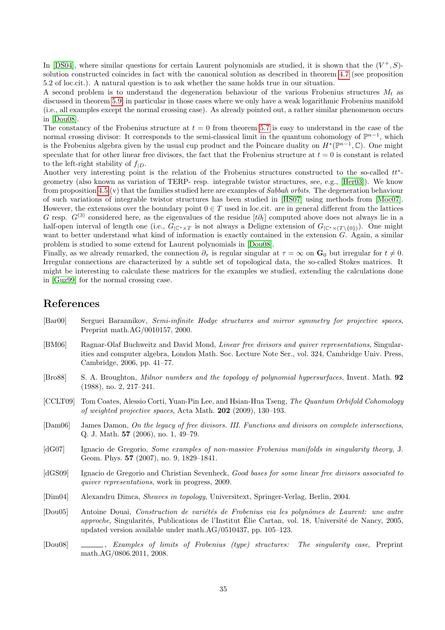In [\[DS04\]](#page-35-4), where similar questions for certain Laurent polynomials are studied, it is shown that the  $(V^+, S)$ solution constructed coincides in fact with the canonical solution as described in theorem [4.7](#page-20-2) (see proposition 5.2 of loc.cit.). A natural question is to ask whether the same holds true in our situation.

A second problem is to understand the degeneration behaviour of the various Frobenius structures  $M_t$  as discussed in theorem [5.9,](#page-30-0) in particular in those cases where we only have a weak logarithmic Frobenius manifold (i.e., all examples except the normal crossing case). As already pointed out, a rather similar phenomenon occurs in [\[Dou08\]](#page-34-8).

The constancy of the Frobenius structure at  $t = 0$  from theorem [5.7](#page-29-1) is easy to understand in the case of the normal crossing divisor: It corresponds to the semi-classical limit in the quantum cohomology of  $\mathbb{P}^{n-1}$ , which is the Frobenius algebra given by the usual cup product and the Poincare duality on  $H^*(\mathbb{P}^{n-1}, \mathbb{C})$ . One might speculate that for other linear free divisors, the fact that the Frobenius structure at  $t = 0$  is constant is related to the left-right stability of  $f_{|D}$ .

Another very interesting point is the relation of the Frobenius structures constructed to the so-called  $tt^*$ geometry (also known as variation of TERP- resp. integrable twistor structures, see, e.g., [\[Her03\]](#page-35-17)). We know from proposition [4.5](#page-18-2) (v) that the families studied here are examples of Sabbah orbits. The degeneration behaviour of such variations of integrable twistor structures has been studied in [\[HS07\]](#page-35-11) using methods from [\[Moc07\]](#page-35-18). However, the extensions over the boundary point  $0 \in T$  used in loc.cit. are in general different from the lattices G resp.  $G^{(3)}$  considered here, as the eigenvalues of the residue  $[t\partial_t]$  computed above does not always lie in a half-open interval of length one (i.e.,  $G_{\mathbb{C}^*\times T}$  is not always a Deligne extension of  $G_{\mathbb{C}^*\times (T\setminus\{0\})}$ ). One might want to better understand what kind of information is exactly contained in the extension G. Again, a similar problem is studied to some extend for Laurent polynomials in [\[Dou08\]](#page-34-8).

Finally, as we already remarked, the connection  $\partial_{\tau}$  is regular singular at  $\tau = \infty$  on  $G_0$  but irregular for  $t \neq 0$ . Irregular connections are characterized by a subtle set of topological data, the so-called Stokes matrices. It might be interesting to calculate these matrices for the examples we studied, extending the calculations done in [\[Guz99\]](#page-35-19) for the normal crossing case.

# References

- <span id="page-34-1"></span>[Bar00] Serguei Barannikov, Semi-infinite Hodge structures and mirror symmetry for projective spaces, Preprint math.AG/0010157, 2000.
- <span id="page-34-3"></span>[BM06] Ragnar-Olaf Buchweitz and David Mond, Linear free divisors and quiver representations, Singularities and computer algebra, London Math. Soc. Lecture Note Ser., vol. 324, Cambridge Univ. Press, Cambridge, 2006, pp. 41–77.
- <span id="page-34-6"></span>[Bro88] S. A. Broughton, Milnor numbers and the topology of polynomial hypersurfaces, Invent. Math. 92 (1988), no. 2, 217–241.
- <span id="page-34-2"></span>[CCLT09] Tom Coates, Alessio Corti, Yuan-Pin Lee, and Hsian-Hua Tseng, The Quantum Orbifold Cohomology of weighted projective spaces, Acta Math. 202 (2009), 130–193.
- <span id="page-34-4"></span>[Dam06] James Damon, On the legacy of free divisors. III. Functions and divisors on complete intersections, Q. J. Math. 57 (2006), no. 1, 49–79.
- <span id="page-34-7"></span>[dG07] Ignacio de Gregorio, Some examples of non-massive Frobenius manifolds in singularity theory, J. Geom. Phys. 57 (2007), no. 9, 1829–1841.
- <span id="page-34-9"></span>[dGS09] Ignacio de Gregorio and Christian Sevenheck, Good bases for some linear free divisors associated to quiver representations, work in progress, 2009.
- <span id="page-34-5"></span>[Dim04] Alexandru Dimca, Sheaves in topology, Universitext, Springer-Verlag, Berlin, 2004.
- <span id="page-34-0"></span>[Dou05] Antoine Douai, Construction de variétés de Frobenius via les polynômes de Laurent: une autre approche, Singularités, Publications de l'Institut Élie Cartan, vol. 18, Université de Nancy, 2005, updated version available under math.AG/0510437, pp. 105–123.
- <span id="page-34-8"></span>[Dou08] , Examples of limits of Frobenius (type) structures: The singularity case, Preprint math.AG/0806.2011, 2008.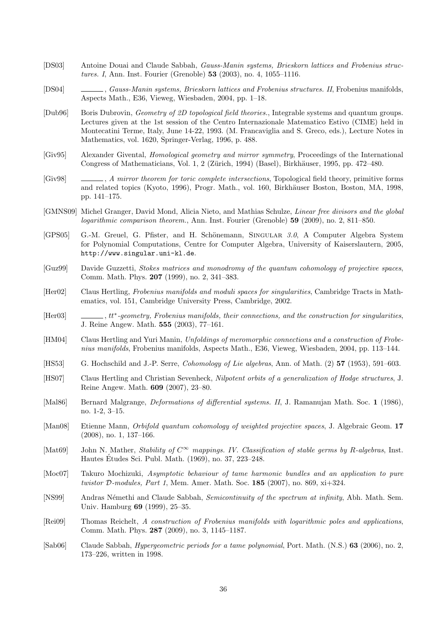- <span id="page-35-0"></span>[DS03] Antoine Douai and Claude Sabbah, Gauss-Manin systems, Brieskorn lattices and Frobenius structures. I, Ann. Inst. Fourier (Grenoble) 53 (2003), no. 4, 1055–1116.
- <span id="page-35-4"></span>[DS04] , Gauss-Manin systems, Brieskorn lattices and Frobenius structures. II, Frobenius manifolds, Aspects Math., E36, Vieweg, Wiesbaden, 2004, pp. 1–18.
- <span id="page-35-13"></span>[Dub96] Boris Dubrovin, Geometry of 2D topological field theories., Integrable systems and quantum groups. Lectures given at the 1st session of the Centro Internazionale Matematico Estivo (CIME) held in Montecatini Terme, Italy, June 14-22, 1993. (M. Francaviglia and S. Greco, eds.), Lecture Notes in Mathematics, vol. 1620, Springer-Verlag, 1996, p. 488.
- <span id="page-35-1"></span>[Giv95] Alexander Givental, Homological geometry and mirror symmetry, Proceedings of the International Congress of Mathematicians, Vol. 1, 2 (Zürich, 1994) (Basel), Birkhäuser, 1995, pp. 472–480.
- <span id="page-35-2"></span>[Giv98] , A mirror theorem for toric complete intersections, Topological field theory, primitive forms and related topics (Kyoto, 1996), Progr. Math., vol. 160, Birkhäuser Boston, Boston, MA, 1998, pp. 141–175.
- <span id="page-35-5"></span>[GMNS09] Michel Granger, David Mond, Alicia Nieto, and Mathias Schulze, Linear free divisors and the global logarithmic comparison theorem., Ann. Inst. Fourier (Grenoble) 59 (2009), no. 2, 811–850.
- <span id="page-35-16"></span>[GPS05] G.-M. Greuel, G. Pfister, and H. Schönemann, SINGULAR 3.0, A Computer Algebra System for Polynomial Computations, Centre for Computer Algebra, University of Kaiserslautern, 2005, http://www.singular.uni-kl.de.
- <span id="page-35-19"></span>[Guz99] Davide Guzzetti, Stokes matrices and monodromy of the quantum cohomology of projective spaces, Comm. Math. Phys. 207 (1999), no. 2, 341–383.
- <span id="page-35-12"></span>[Her02] Claus Hertling, Frobenius manifolds and moduli spaces for singularities, Cambridge Tracts in Mathematics, vol. 151, Cambridge University Press, Cambridge, 2002.
- <span id="page-35-17"></span> $[Her03]$  $g_{\mu\nu}$ ,  $tt^*$ -geometry, Frobenius manifolds, their connections, and the construction for singularities, J. Reine Angew. Math. 555 (2003), 77–161.
- <span id="page-35-14"></span>[HM04] Claus Hertling and Yuri Manin, Unfoldings of meromorphic connections and a construction of Frobenius manifolds, Frobenius manifolds, Aspects Math., E36, Vieweg, Wiesbaden, 2004, pp. 113–144.
- <span id="page-35-8"></span>[HS53] G. Hochschild and J.-P. Serre, Cohomology of Lie algebras, Ann. of Math. (2) 57 (1953), 591–603.
- <span id="page-35-11"></span>[HS07] Claus Hertling and Christian Sevenheck, Nilpotent orbits of a generalization of Hodge structures, J. Reine Angew. Math. 609 (2007), 23–80.
- <span id="page-35-15"></span>[Mal86] Bernard Malgrange, Deformations of differential systems. II, J. Ramanujan Math. Soc. 1 (1986), no. 1-2, 3–15.
- <span id="page-35-3"></span>[Man08] Etienne Mann, *Orbifold quantum cohomology of weighted projective spaces*, J. Algebraic Geom. 17 (2008), no. 1, 137–166.
- <span id="page-35-7"></span>[Mat69] John N. Mather, Stability of  $C^{\infty}$  mappings. IV. Classification of stable germs by R-algebras, Inst. Hautes Etudes Sci. Publ. Math. (1969), no. 37, 223–248. ´
- <span id="page-35-18"></span>[Moc07] Takuro Mochizuki, Asymptotic behaviour of tame harmonic bundles and an application to pure twistor D-modules, Part 1, Mem. Amer. Math. Soc.  $185$  (2007), no.  $869$ ,  $xi+324$ .
- <span id="page-35-10"></span>[NS99] Andras N´emethi and Claude Sabbah, Semicontinuity of the spectrum at infinity, Abh. Math. Sem. Univ. Hamburg 69 (1999), 25–35.
- <span id="page-35-6"></span>[Rei09] Thomas Reichelt, A construction of Frobenius manifolds with logarithmic poles and applications, Comm. Math. Phys. 287 (2009), no. 3, 1145–1187.
- <span id="page-35-9"></span>[Sab06] Claude Sabbah, Hypergeometric periods for a tame polynomial, Port. Math. (N.S.) 63 (2006), no. 2, 173–226, written in 1998.